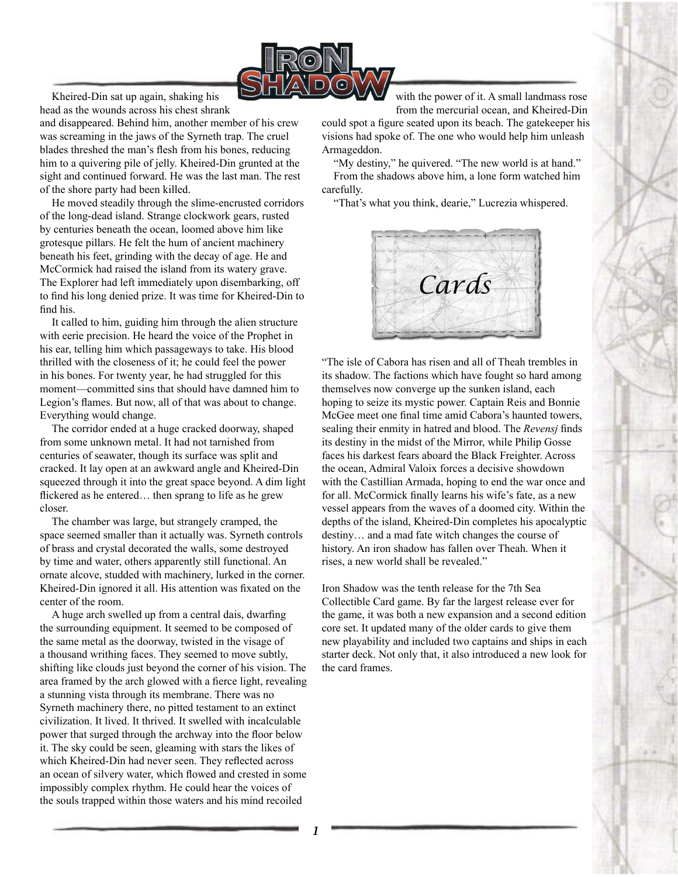

Kheired-Din sat up again, shaking his head as the wounds across his chest shrank

and disappeared. Behind him, another member of his crew was screaming in the jaws of the Syrneth trap. The cruel blades threshed the man's flesh from his bones, reducing him to a quivering pile of jelly. Kheired-Din grunted at the sight and continued forward. He was the last man. The rest of the shore party had been killed.

He moved steadily through the slime-encrusted corridors of the long-dead island. Strange clockwork gears, rusted by centuries beneath the ocean, loomed above him like grotesque pillars. He felt the hum of ancient machinery beneath his feet, grinding with the decay of age. He and McCormick had raised the island from its watery grave. The Explorer had left immediately upon disembarking, off to find his long denied prize. It was time for Kheired-Din to find his.

It called to him, guiding him through the alien structure with eerie precision. He heard the voice of the Prophet in his ear, telling him which passageways to take. His blood thrilled with the closeness of it; he could feel the power in his bones. For twenty year, he had struggled for this moment—committed sins that should have damned him to Legion's flames. But now, all of that was about to change. Everything would change.

The corridor ended at a huge cracked doorway, shaped from some unknown metal. It had not tarnished from centuries of seawater, though its surface was split and cracked. It lay open at an awkward angle and Kheired-Din squeezed through it into the great space beyond. A dim light flickered as he entered... then sprang to life as he grew closer.

The chamber was large, but strangely cramped, the space seemed smaller than it actually was. Syrneth controls of brass and crystal decorated the walls, some destroyed by time and water, others apparently still functional. An ornate alcove, studded with machinery, lurked in the corner. Kheired-Din ignored it all. His attention was fixated on the center of the room.

A huge arch swelled up from a central dais, dwarfing the surrounding equipment. It seemed to be composed of the same metal as the doorway, twisted in the visage of a thousand writhing faces. They seemed to move subtly, shifting like clouds just beyond the corner of his vision. The area framed by the arch glowed with a fierce light, revealing a stunning vista through its membrane. There was no Syrneth machinery there, no pitted testament to an extinct civilization. It lived. It thrived. It swelled with incalculable power that surged through the archway into the floor below it. The sky could be seen, gleaming with stars the likes of which Kheired-Din had never seen. They reflected across an ocean of silvery water, which flowed and crested in some impossibly complex rhythm. He could hear the voices of the souls trapped within those waters and his mind recoiled

with the power of it. A small landmass rose from the mercurial ocean, and Kheired-Din

could spot a figure seated upon its beach. The gatekeeper his visions had spoke of. The one who would help him unleash Armageddon.

"My destiny," he quivered. "The new world is at hand." From the shadows above him, a lone form watched him carefully.

"That's what you think, dearie," Lucrezia whispered.



"The isle of Cabora has risen and all of Theah trembles in its shadow. The factions which have fought so hard among themselves now converge up the sunken island, each hoping to seize its mystic power. Captain Reis and Bonnie McGee meet one final time amid Cabora's haunted towers, sealing their enmity in hatred and blood. The *Revensj* finds its destiny in the midst of the Mirror, while Philip Gosse faces his darkest fears aboard the Black Freighter. Across the ocean, Admiral Valoix forces a decisive showdown with the Castillian Armada, hoping to end the war once and for all. McCormick finally learns his wife's fate, as a new vessel appears from the waves of a doomed city. Within the depths of the island, Kheired-Din completes his apocalyptic destiny… and a mad fate witch changes the course of history. An iron shadow has fallen over Theah. When it rises, a new world shall be revealed."

Iron Shadow was the tenth release for the 7th Sea Collectible Card game. By far the largest release ever for the game, it was both a new expansion and a second edition core set. It updated many of the older cards to give them new playability and included two captains and ships in each starter deck. Not only that, it also introduced a new look for the card frames.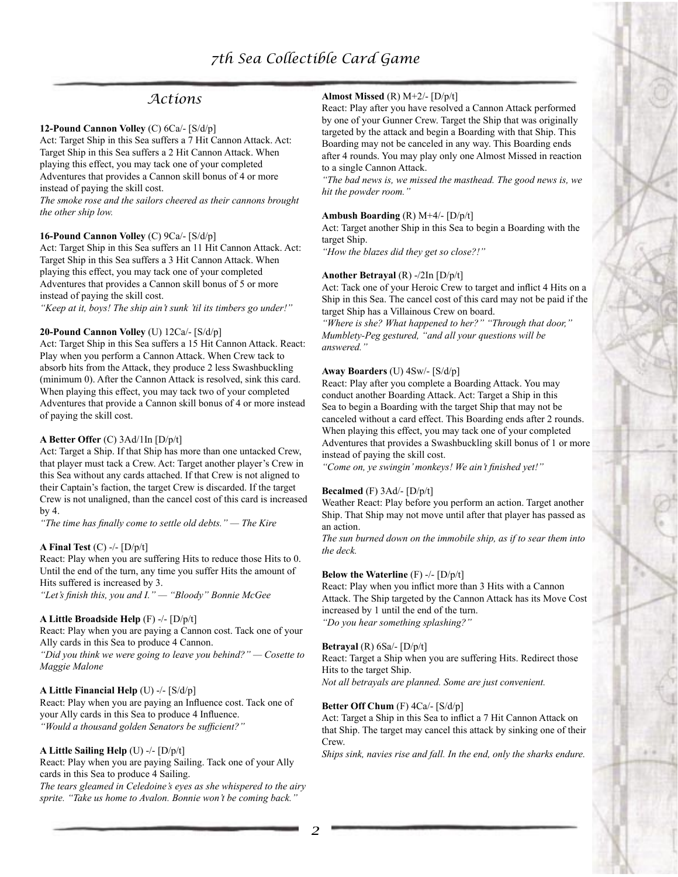# *Actions*

#### **12-Pound Cannon Volley** (C) 6Ca/- [S/d/p]

Act: Target Ship in this Sea suffers a 7 Hit Cannon Attack. Act: Target Ship in this Sea suffers a 2 Hit Cannon Attack. When playing this effect, you may tack one of your completed Adventures that provides a Cannon skill bonus of 4 or more instead of paying the skill cost.

*The smoke rose and the sailors cheered as their cannons brought the other ship low.*

#### **16-Pound Cannon Volley** (C) 9Ca/- [S/d/p]

Act: Target Ship in this Sea suffers an 11 Hit Cannon Attack. Act: Target Ship in this Sea suffers a 3 Hit Cannon Attack. When playing this effect, you may tack one of your completed Adventures that provides a Cannon skill bonus of 5 or more instead of paying the skill cost.

*"Keep at it, boys! The ship ain't sunk 'til its timbers go under!"*

#### **20-Pound Cannon Volley** (U) 12Ca/- [S/d/p]

Act: Target Ship in this Sea suffers a 15 Hit Cannon Attack. React: Play when you perform a Cannon Attack. When Crew tack to absorb hits from the Attack, they produce 2 less Swashbuckling (minimum 0). After the Cannon Attack is resolved, sink this card. When playing this effect, you may tack two of your completed Adventures that provide a Cannon skill bonus of 4 or more instead of paying the skill cost.

## **A Better Offer** (C) 3Ad/1In [D/p/t]

Act: Target a Ship. If that Ship has more than one untacked Crew, that player must tack a Crew. Act: Target another player's Crew in this Sea without any cards attached. If that Crew is not aligned to their Captain's faction, the target Crew is discarded. If the target Crew is not unaligned, than the cancel cost of this card is increased by 4.

*"The time has finally come to settle old debts." — The Kire*

#### **A Final Test** (C) -/- [D/p/t]

React: Play when you are suffering Hits to reduce those Hits to 0. Until the end of the turn, any time you suffer Hits the amount of Hits suffered is increased by 3. *"Let's finish this, you and I." — "Bloody" Bonnie McGee*

#### **A Little Broadside Help** (F) -/- [D/p/t]

React: Play when you are paying a Cannon cost. Tack one of your Ally cards in this Sea to produce 4 Cannon.

*"Did you think we were going to leave you behind?" — Cosette to Maggie Malone*

#### **A Little Financial Help** (U) -/- [S/d/p]

React: Play when you are paying an Influence cost. Tack one of your Ally cards in this Sea to produce 4 Influence. *"Would a thousand golden Senators be sufficient?"*

## **A Little Sailing Help** (U) -/- [D/p/t]

React: Play when you are paying Sailing. Tack one of your Ally cards in this Sea to produce 4 Sailing. *The tears gleamed in Celedoine's eyes as she whispered to the airy sprite. "Take us home to Avalon. Bonnie won't be coming back."*

## **Almost Missed** (R) M+2/- [D/p/t]

React: Play after you have resolved a Cannon Attack performed by one of your Gunner Crew. Target the Ship that was originally targeted by the attack and begin a Boarding with that Ship. This Boarding may not be canceled in any way. This Boarding ends after 4 rounds. You may play only one Almost Missed in reaction to a single Cannon Attack.

*"The bad news is, we missed the masthead. The good news is, we hit the powder room."*

#### **Ambush Boarding** (R) M+4/- [D/p/t]

Act: Target another Ship in this Sea to begin a Boarding with the target Ship.

*"How the blazes did they get so close?!"*

#### **Another Betrayal** (R) -/2In [D/p/t]

Act: Tack one of your Heroic Crew to target and inflict 4 Hits on a Ship in this Sea. The cancel cost of this card may not be paid if the target Ship has a Villainous Crew on board.

*"Where is she? What happened to her?" "Through that door," Mumblety-Peg gestured, "and all your questions will be answered."*

#### **Away Boarders** (U) 4Sw/- [S/d/p]

React: Play after you complete a Boarding Attack. You may conduct another Boarding Attack. Act: Target a Ship in this Sea to begin a Boarding with the target Ship that may not be canceled without a card effect. This Boarding ends after 2 rounds. When playing this effect, you may tack one of your completed Adventures that provides a Swashbuckling skill bonus of 1 or more instead of paying the skill cost.

*"Come on, ye swingin' monkeys! We ain't finished yet!"*

#### **Becalmed** (F) 3Ad/- [D/p/t]

Weather React: Play before you perform an action. Target another Ship. That Ship may not move until after that player has passed as an action.

*The sun burned down on the immobile ship, as if to sear them into the deck.*

#### **Below the Waterline** (F) -/- [D/p/t]

React: Play when you inflict more than 3 Hits with a Cannon Attack. The Ship targeted by the Cannon Attack has its Move Cost increased by 1 until the end of the turn. *"Do you hear something splashing?"*

#### **Betrayal** (R) 6Sa/- [D/p/t]

React: Target a Ship when you are suffering Hits. Redirect those Hits to the target Ship.

*Not all betrayals are planned. Some are just convenient.*

#### **Better Off Chum** (F) 4Ca/- [S/d/p]

Act: Target a Ship in this Sea to inflict a 7 Hit Cannon Attack on that Ship. The target may cancel this attack by sinking one of their **Crew** 

*Ships sink, navies rise and fall. In the end, only the sharks endure.*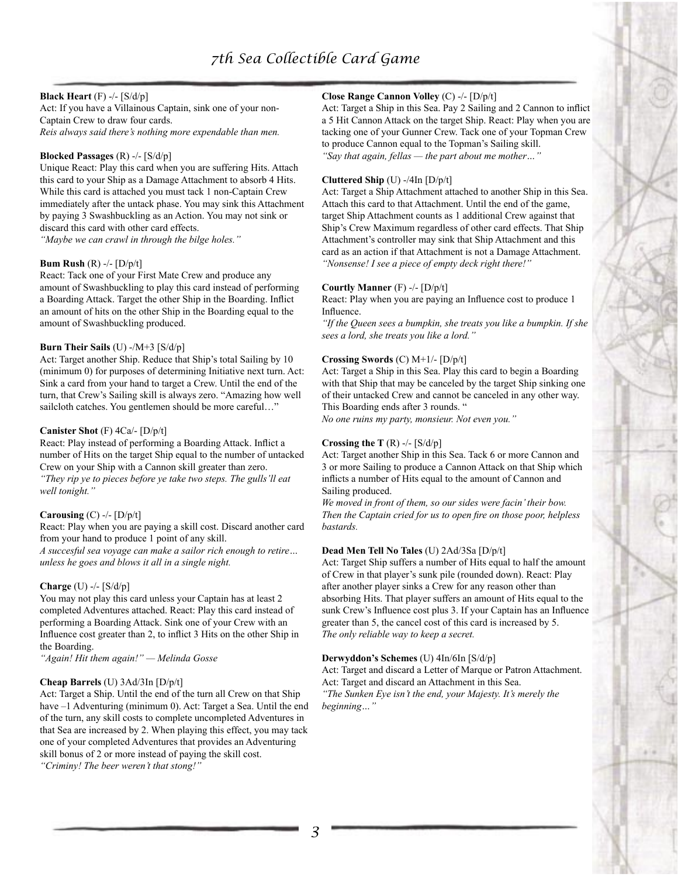# *7th Sea Collectible Card Game*

## **Black Heart** (F) -/- [S/d/p]

Act: If you have a Villainous Captain, sink one of your non-Captain Crew to draw four cards. *Reis always said there's nothing more expendable than men.*

#### **Blocked Passages** (R) -/- [S/d/p]

Unique React: Play this card when you are suffering Hits. Attach this card to your Ship as a Damage Attachment to absorb 4 Hits. While this card is attached you must tack 1 non-Captain Crew immediately after the untack phase. You may sink this Attachment by paying 3 Swashbuckling as an Action. You may not sink or discard this card with other card effects.

*"Maybe we can crawl in through the bilge holes."*

#### **Bum Rush** (R) -/- [D/p/t]

React: Tack one of your First Mate Crew and produce any amount of Swashbuckling to play this card instead of performing a Boarding Attack. Target the other Ship in the Boarding. Inflict an amount of hits on the other Ship in the Boarding equal to the amount of Swashbuckling produced.

#### **Burn Their Sails** (U) -/M+3 [S/d/p]

Act: Target another Ship. Reduce that Ship's total Sailing by 10 (minimum 0) for purposes of determining Initiative next turn. Act: Sink a card from your hand to target a Crew. Until the end of the turn, that Crew's Sailing skill is always zero. "Amazing how well sailcloth catches. You gentlemen should be more careful..."

#### **Canister Shot** (F) 4Ca/- [D/p/t]

React: Play instead of performing a Boarding Attack. Inflict a number of Hits on the target Ship equal to the number of untacked Crew on your Ship with a Cannon skill greater than zero. *"They rip ye to pieces before ye take two steps. The gulls'll eat well tonight."*

#### **Carousing** (C) -/- [D/p/t]

React: Play when you are paying a skill cost. Discard another card from your hand to produce 1 point of any skill. *A succesful sea voyage can make a sailor rich enough to retire… unless he goes and blows it all in a single night.*

#### **Charge** (U) -/- [S/d/p]

You may not play this card unless your Captain has at least 2 completed Adventures attached. React: Play this card instead of performing a Boarding Attack. Sink one of your Crew with an Influence cost greater than 2, to inflict 3 Hits on the other Ship in the Boarding.

*"Again! Hit them again!" — Melinda Gosse*

#### **Cheap Barrels** (U) 3Ad/3In [D/p/t]

Act: Target a Ship. Until the end of the turn all Crew on that Ship have  $-1$  Adventuring (minimum 0). Act: Target a Sea. Until the end of the turn, any skill costs to complete uncompleted Adventures in that Sea are increased by 2. When playing this effect, you may tack one of your completed Adventures that provides an Adventuring skill bonus of 2 or more instead of paying the skill cost. *"Criminy! The beer weren't that stong!"*

#### **Close Range Cannon Volley** (C) -/- [D/p/t]

Act: Target a Ship in this Sea. Pay 2 Sailing and 2 Cannon to inflict a 5 Hit Cannon Attack on the target Ship. React: Play when you are tacking one of your Gunner Crew. Tack one of your Topman Crew to produce Cannon equal to the Topman's Sailing skill. *"Say that again, fellas — the part about me mother…"*

#### **Cluttered Ship** (U) -/4In [D/p/t]

Act: Target a Ship Attachment attached to another Ship in this Sea. Attach this card to that Attachment. Until the end of the game, target Ship Attachment counts as 1 additional Crew against that Ship's Crew Maximum regardless of other card effects. That Ship Attachment's controller may sink that Ship Attachment and this card as an action if that Attachment is not a Damage Attachment. *"Nonsense! I see a piece of empty deck right there!"*

#### **Courtly Manner** (F) -/- [D/p/t]

React: Play when you are paying an Influence cost to produce 1 Influence.

*"If the Queen sees a bumpkin, she treats you like a bumpkin. If she sees a lord, she treats you like a lord."*

#### **Crossing Swords** (C) M+1/- [D/p/t]

Act: Target a Ship in this Sea. Play this card to begin a Boarding with that Ship that may be canceled by the target Ship sinking one of their untacked Crew and cannot be canceled in any other way. This Boarding ends after 3 rounds. "

*No one ruins my party, monsieur. Not even you."*

#### **Crossing the T** (R) -/- [S/d/p]

Act: Target another Ship in this Sea. Tack 6 or more Cannon and 3 or more Sailing to produce a Cannon Attack on that Ship which inflicts a number of Hits equal to the amount of Cannon and Sailing produced.

*We moved in front of them, so our sides were facin' their bow. Then the Captain cried for us to open fire on those poor, helpless bastards.*

#### **Dead Men Tell No Tales** (U) 2Ad/3Sa [D/p/t]

Act: Target Ship suffers a number of Hits equal to half the amount of Crew in that player's sunk pile (rounded down). React: Play after another player sinks a Crew for any reason other than absorbing Hits. That player suffers an amount of Hits equal to the sunk Crew's Influence cost plus 3. If your Captain has an Influence greater than 5, the cancel cost of this card is increased by 5. *The only reliable way to keep a secret.*

#### **Derwyddon's Schemes** (U) 4In/6In [S/d/p]

Act: Target and discard a Letter of Marque or Patron Attachment. Act: Target and discard an Attachment in this Sea. *"The Sunken Eye isn't the end, your Majesty. It's merely the beginning…"*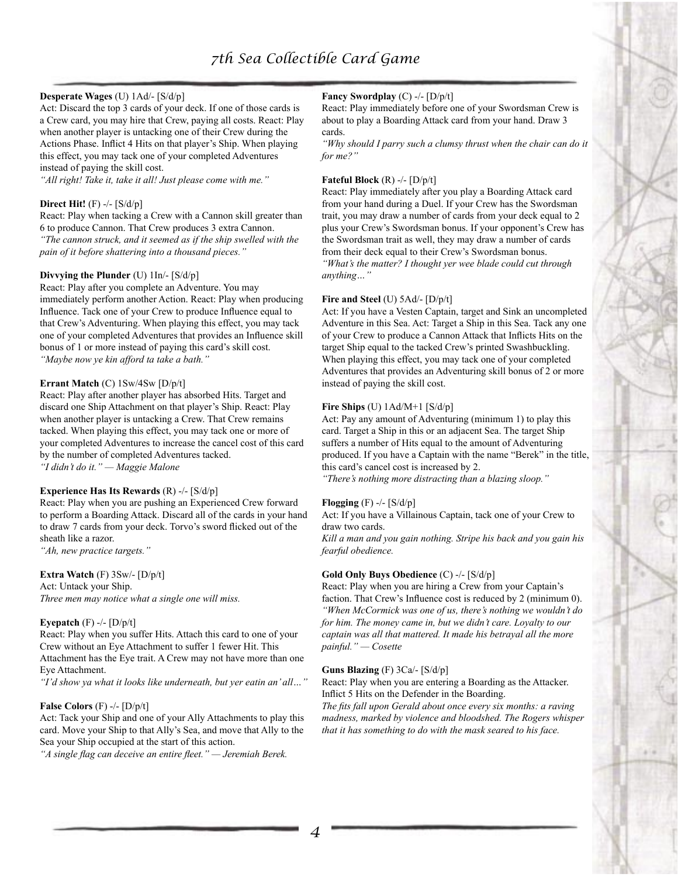## **Desperate Wages** (U) 1Ad/- [S/d/p]

Act: Discard the top 3 cards of your deck. If one of those cards is a Crew card, you may hire that Crew, paying all costs. React: Play when another player is untacking one of their Crew during the Actions Phase. Inflict 4 Hits on that player's Ship. When playing this effect, you may tack one of your completed Adventures instead of paying the skill cost.

*"All right! Take it, take it all! Just please come with me."*

#### **Direct Hit!** (F) -/- [S/d/p]

React: Play when tacking a Crew with a Cannon skill greater than 6 to produce Cannon. That Crew produces 3 extra Cannon. *"The cannon struck, and it seemed as if the ship swelled with the pain of it before shattering into a thousand pieces."*

#### **Divvying the Plunder** (U) 1In/- [S/d/p]

React: Play after you complete an Adventure. You may immediately perform another Action. React: Play when producing Influence. Tack one of your Crew to produce Influence equal to that Crew's Adventuring. When playing this effect, you may tack one of your completed Adventures that provides an Influence skill bonus of 1 or more instead of paying this card's skill cost. *"Maybe now ye kin afford ta take a bath."*

#### **Errant Match** (C) 1Sw/4Sw [D/p/t]

React: Play after another player has absorbed Hits. Target and discard one Ship Attachment on that player's Ship. React: Play when another player is untacking a Crew. That Crew remains tacked. When playing this effect, you may tack one or more of your completed Adventures to increase the cancel cost of this card by the number of completed Adventures tacked. *"I didn't do it." — Maggie Malone*

#### **Experience Has Its Rewards** (R) -/- [S/d/p]

React: Play when you are pushing an Experienced Crew forward to perform a Boarding Attack. Discard all of the cards in your hand to draw 7 cards from your deck. Torvo's sword flicked out of the sheath like a razor.

*"Ah, new practice targets."*

#### **Extra Watch** (F) 3Sw/- [D/p/t]

Act: Untack your Ship. *Three men may notice what a single one will miss.*

#### **Eyepatch** (F) -/- [D/p/t]

React: Play when you suffer Hits. Attach this card to one of your Crew without an Eye Attachment to suffer 1 fewer Hit. This Attachment has the Eye trait. A Crew may not have more than one Eye Attachment.

*"I'd show ya what it looks like underneath, but yer eatin an' all…"*

#### **False Colors** (F) -/- [D/p/t]

Act: Tack your Ship and one of your Ally Attachments to play this card. Move your Ship to that Ally's Sea, and move that Ally to the Sea your Ship occupied at the start of this action.

*"A single flag can deceive an entire fleet." — Jeremiah Berek.*

#### **Fancy Swordplay** (C) -/- [D/p/t]

React: Play immediately before one of your Swordsman Crew is about to play a Boarding Attack card from your hand. Draw 3 cards.

*"Why should I parry such a clumsy thrust when the chair can do it for me?"*

#### **Fateful Block** (R) -/- [D/p/t]

React: Play immediately after you play a Boarding Attack card from your hand during a Duel. If your Crew has the Swordsman trait, you may draw a number of cards from your deck equal to 2 plus your Crew's Swordsman bonus. If your opponent's Crew has the Swordsman trait as well, they may draw a number of cards from their deck equal to their Crew's Swordsman bonus. *"What's the matter? I thought yer wee blade could cut through anything…"*

#### **Fire and Steel** (U) 5Ad/- [D/p/t]

Act: If you have a Vesten Captain, target and Sink an uncompleted Adventure in this Sea. Act: Target a Ship in this Sea. Tack any one of your Crew to produce a Cannon Attack that Inflicts Hits on the target Ship equal to the tacked Crew's printed Swashbuckling. When playing this effect, you may tack one of your completed Adventures that provides an Adventuring skill bonus of 2 or more instead of paying the skill cost.

#### **Fire Ships** (U) 1Ad/M+1 [S/d/p]

Act: Pay any amount of Adventuring (minimum 1) to play this card. Target a Ship in this or an adjacent Sea. The target Ship suffers a number of Hits equal to the amount of Adventuring produced. If you have a Captain with the name "Berek" in the title, this card's cancel cost is increased by 2.

*"There's nothing more distracting than a blazing sloop."*

#### **Flogging** (F) -/- [S/d/p]

Act: If you have a Villainous Captain, tack one of your Crew to draw two cards.

*Kill a man and you gain nothing. Stripe his back and you gain his fearful obedience.*

#### **Gold Only Buys Obedience** (C) -/- [S/d/p]

React: Play when you are hiring a Crew from your Captain's faction. That Crew's Influence cost is reduced by 2 (minimum 0). *"When McCormick was one of us, there's nothing we wouldn't do for him. The money came in, but we didn't care. Loyalty to our captain was all that mattered. It made his betrayal all the more painful." — Cosette*

#### **Guns Blazing** (F) 3Ca/- [S/d/p]

React: Play when you are entering a Boarding as the Attacker. Inflict 5 Hits on the Defender in the Boarding.

*The fits fall upon Gerald about once every six months: a raving madness, marked by violence and bloodshed. The Rogers whisper that it has something to do with the mask seared to his face.*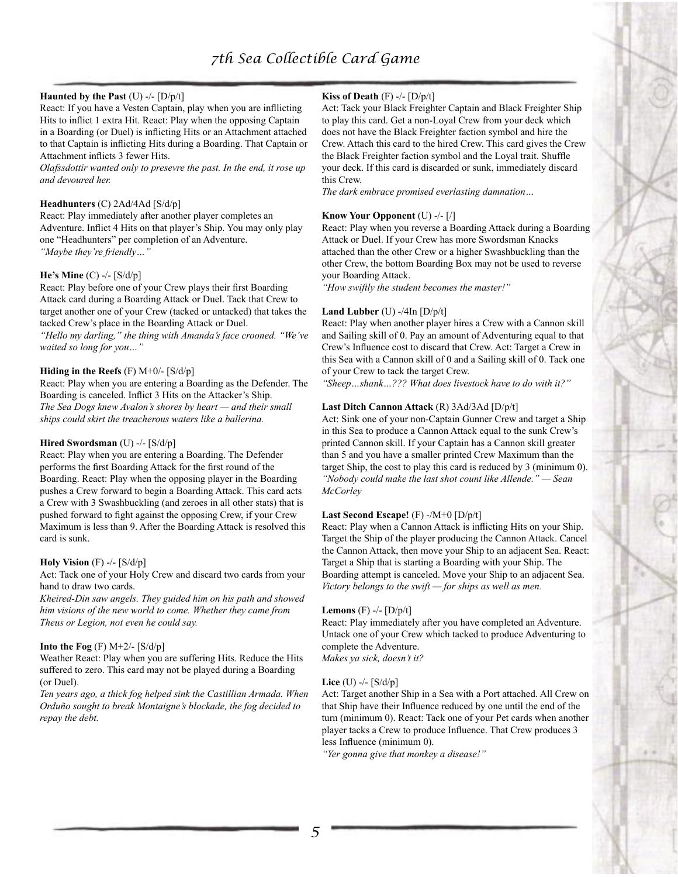## **Haunted by the Past** (U) -/- [D/p/t]

React: If you have a Vesten Captain, play when you are infllicting Hits to inflict 1 extra Hit. React: Play when the opposing Captain in a Boarding (or Duel) is inflicting Hits or an Attachment attached to that Captain is inflicting Hits during a Boarding. That Captain or Attachment inflicts 3 fewer Hits.

*Olafssdottir wanted only to presevre the past. In the end, it rose up and devoured her.*

#### **Headhunters** (C) 2Ad/4Ad [S/d/p]

React: Play immediately after another player completes an Adventure. Inflict 4 Hits on that player's Ship. You may only play one "Headhunters" per completion of an Adventure. *"Maybe they're friendly…"*

#### **He's Mine** (C) -/- [S/d/p]

React: Play before one of your Crew plays their first Boarding Attack card during a Boarding Attack or Duel. Tack that Crew to target another one of your Crew (tacked or untacked) that takes the tacked Crew's place in the Boarding Attack or Duel.

*"Hello my darling," the thing with Amanda's face crooned. "We've waited so long for you…"*

#### **Hiding in the Reefs** (F) M+0/- [S/d/p]

React: Play when you are entering a Boarding as the Defender. The Boarding is canceled. Inflict 3 Hits on the Attacker's Ship. *The Sea Dogs knew Avalon's shores by heart — and their small ships could skirt the treacherous waters like a ballerina.*

#### **Hired Swordsman** (U) -/- [S/d/p]

React: Play when you are entering a Boarding. The Defender performs the first Boarding Attack for the first round of the Boarding. React: Play when the opposing player in the Boarding pushes a Crew forward to begin a Boarding Attack. This card acts a Crew with 3 Swashbuckling (and zeroes in all other stats) that is pushed forward to fight against the opposing Crew, if your Crew Maximum is less than 9. After the Boarding Attack is resolved this card is sunk.

#### **Holy Vision** (F) -/- [S/d/p]

Act: Tack one of your Holy Crew and discard two cards from your hand to draw two cards.

*Kheired-Din saw angels. They guided him on his path and showed him visions of the new world to come. Whether they came from Theus or Legion, not even he could say.*

#### **Into the Fog**  $(F)$  M+2/-  $[S/d/p]$

Weather React: Play when you are suffering Hits. Reduce the Hits suffered to zero. This card may not be played during a Boarding (or Duel).

*Ten years ago, a thick fog helped sink the Castillian Armada. When Orduño sought to break Montaigne's blockade, the fog decided to repay the debt.*

## **Kiss of Death** (F) -/- [D/p/t]

Act: Tack your Black Freighter Captain and Black Freighter Ship to play this card. Get a non-Loyal Crew from your deck which does not have the Black Freighter faction symbol and hire the Crew. Attach this card to the hired Crew. This card gives the Crew the Black Freighter faction symbol and the Loyal trait. Shuffle your deck. If this card is discarded or sunk, immediately discard this Crew.

*The dark embrace promised everlasting damnation…*

#### **Know Your Opponent** (U) -/- [/]

React: Play when you reverse a Boarding Attack during a Boarding Attack or Duel. If your Crew has more Swordsman Knacks attached than the other Crew or a higher Swashbuckling than the other Crew, the bottom Boarding Box may not be used to reverse your Boarding Attack.

*"How swiftly the student becomes the master!"*

#### **Land Lubber** (U) -/4In [D/p/t]

React: Play when another player hires a Crew with a Cannon skill and Sailing skill of 0. Pay an amount of Adventuring equal to that Crew's Influence cost to discard that Crew. Act: Target a Crew in this Sea with a Cannon skill of 0 and a Sailing skill of 0. Tack one of your Crew to tack the target Crew.

*"Sheep…shank…??? What does livestock have to do with it?"*

#### **Last Ditch Cannon Attack** (R) 3Ad/3Ad [D/p/t]

Act: Sink one of your non-Captain Gunner Crew and target a Ship in this Sea to produce a Cannon Attack equal to the sunk Crew's printed Cannon skill. If your Captain has a Cannon skill greater than 5 and you have a smaller printed Crew Maximum than the target Ship, the cost to play this card is reduced by 3 (minimum 0). *"Nobody could make the last shot count like Allende." — Sean McCorley*

#### **Last Second Escape!** (F) -/M+0 [D/p/t]

React: Play when a Cannon Attack is inflicting Hits on your Ship. Target the Ship of the player producing the Cannon Attack. Cancel the Cannon Attack, then move your Ship to an adjacent Sea. React: Target a Ship that is starting a Boarding with your Ship. The Boarding attempt is canceled. Move your Ship to an adjacent Sea. *Victory belongs to the swift — for ships as well as men.*

#### **Lemons** (F) -/- [D/p/t]

React: Play immediately after you have completed an Adventure. Untack one of your Crew which tacked to produce Adventuring to complete the Adventure.

*Makes ya sick, doesn't it?*

#### **Lice** (U) -/- [S/d/p]

Act: Target another Ship in a Sea with a Port attached. All Crew on that Ship have their Influence reduced by one until the end of the turn (minimum 0). React: Tack one of your Pet cards when another player tacks a Crew to produce Influence. That Crew produces 3 less Influence (minimum 0).

*"Yer gonna give that monkey a disease!"*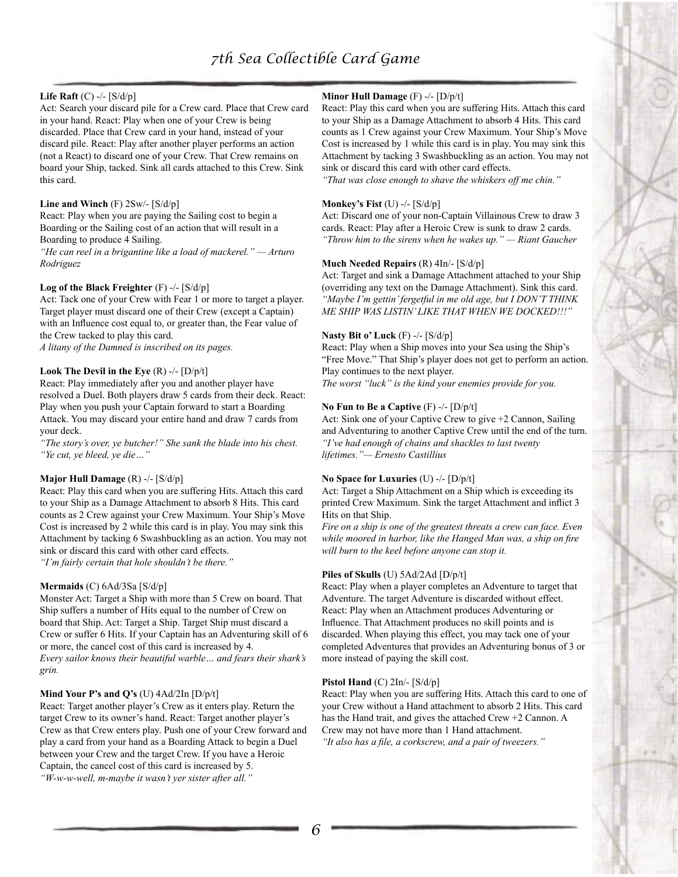### **Life Raft** (C) -/- [S/d/p]

Act: Search your discard pile for a Crew card. Place that Crew card in your hand. React: Play when one of your Crew is being discarded. Place that Crew card in your hand, instead of your discard pile. React: Play after another player performs an action (not a React) to discard one of your Crew. That Crew remains on board your Ship, tacked. Sink all cards attached to this Crew. Sink this card.

#### **Line and Winch** (F) 2Sw/- [S/d/p]

React: Play when you are paying the Sailing cost to begin a Boarding or the Sailing cost of an action that will result in a Boarding to produce 4 Sailing.

*"He can reel in a brigantine like a load of mackerel." — Arturo Rodriguez*

#### **Log of the Black Freighter** (F) -/- [S/d/p]

Act: Tack one of your Crew with Fear 1 or more to target a player. Target player must discard one of their Crew (except a Captain) with an Influence cost equal to, or greater than, the Fear value of the Crew tacked to play this card.

*A litany of the Damned is inscribed on its pages.*

#### **Look The Devil in the Eye** (R) -/- [D/p/t]

React: Play immediately after you and another player have resolved a Duel. Both players draw 5 cards from their deck. React: Play when you push your Captain forward to start a Boarding Attack. You may discard your entire hand and draw 7 cards from your deck.

*"The story's over, ye butcher!" She sank the blade into his chest. "Ye cut, ye bleed, ye die…"*

#### **Major Hull Damage** (R) -/- [S/d/p]

React: Play this card when you are suffering Hits. Attach this card to your Ship as a Damage Attachment to absorb 8 Hits. This card counts as 2 Crew against your Crew Maximum. Your Ship's Move Cost is increased by 2 while this card is in play. You may sink this Attachment by tacking 6 Swashbuckling as an action. You may not sink or discard this card with other card effects. *"I'm fairly certain that hole shouldn't be there."*

#### **Mermaids** (C) 6Ad/3Sa [S/d/p]

Monster Act: Target a Ship with more than 5 Crew on board. That Ship suffers a number of Hits equal to the number of Crew on board that Ship. Act: Target a Ship. Target Ship must discard a Crew or suffer 6 Hits. If your Captain has an Adventuring skill of 6 or more, the cancel cost of this card is increased by 4. *Every sailor knows their beautiful warble… and fears their shark's grin.*

#### **Mind Your P's and Q's** (U) 4Ad/2In [D/p/t]

React: Target another player's Crew as it enters play. Return the target Crew to its owner's hand. React: Target another player's Crew as that Crew enters play. Push one of your Crew forward and play a card from your hand as a Boarding Attack to begin a Duel between your Crew and the target Crew. If you have a Heroic Captain, the cancel cost of this card is increased by 5. *"W-w-w-well, m-maybe it wasn't yer sister after all."*

#### **Minor Hull Damage** (F) -/- [D/p/t]

React: Play this card when you are suffering Hits. Attach this card to your Ship as a Damage Attachment to absorb 4 Hits. This card counts as 1 Crew against your Crew Maximum. Your Ship's Move Cost is increased by 1 while this card is in play. You may sink this Attachment by tacking 3 Swashbuckling as an action. You may not sink or discard this card with other card effects.

*"That was close enough to shave the whiskers off me chin."*

#### **Monkey's Fist** (U) -/- [S/d/p]

Act: Discard one of your non-Captain Villainous Crew to draw 3 cards. React: Play after a Heroic Crew is sunk to draw 2 cards. *"Throw him to the sirens when he wakes up." — Riant Gaucher*

#### **Much Needed Repairs** (R) 4In/- [S/d/p]

Act: Target and sink a Damage Attachment attached to your Ship (overriding any text on the Damage Attachment). Sink this card. *"Maybe I'm gettin' fergetful in me old age, but I DON'T THINK ME SHIP WAS LISTIN' LIKE THAT WHEN WE DOCKED!!!"*

#### **Nasty Bit o' Luck** (F) -/- [S/d/p]

React: Play when a Ship moves into your Sea using the Ship's "Free Move." That Ship's player does not get to perform an action. Play continues to the next player. *The worst "luck" is the kind your enemies provide for you.*

#### **No Fun to Be a Captive** (F) -/- [D/p/t]

Act: Sink one of your Captive Crew to give +2 Cannon, Sailing and Adventuring to another Captive Crew until the end of the turn. *"I've had enough of chains and shackles to last twenty lifetimes."— Ernesto Castillius*

#### **No Space for Luxuries** (U) -/- [D/p/t]

Act: Target a Ship Attachment on a Ship which is exceeding its printed Crew Maximum. Sink the target Attachment and inflict 3 Hits on that Ship.

*Fire on a ship is one of the greatest threats a crew can face. Even while moored in harbor, like the Hanged Man was, a ship on fire will burn to the keel before anyone can stop it.*

#### **Piles of Skulls** (U) 5Ad/2Ad [D/p/t]

React: Play when a player completes an Adventure to target that Adventure. The target Adventure is discarded without effect. React: Play when an Attachment produces Adventuring or Influence. That Attachment produces no skill points and is discarded. When playing this effect, you may tack one of your completed Adventures that provides an Adventuring bonus of 3 or more instead of paying the skill cost.

#### **Pistol Hand** (C) 2In/- [S/d/p]

React: Play when you are suffering Hits. Attach this card to one of your Crew without a Hand attachment to absorb 2 Hits. This card has the Hand trait, and gives the attached Crew +2 Cannon. A Crew may not have more than 1 Hand attachment. *"It also has a file, a corkscrew, and a pair of tweezers."*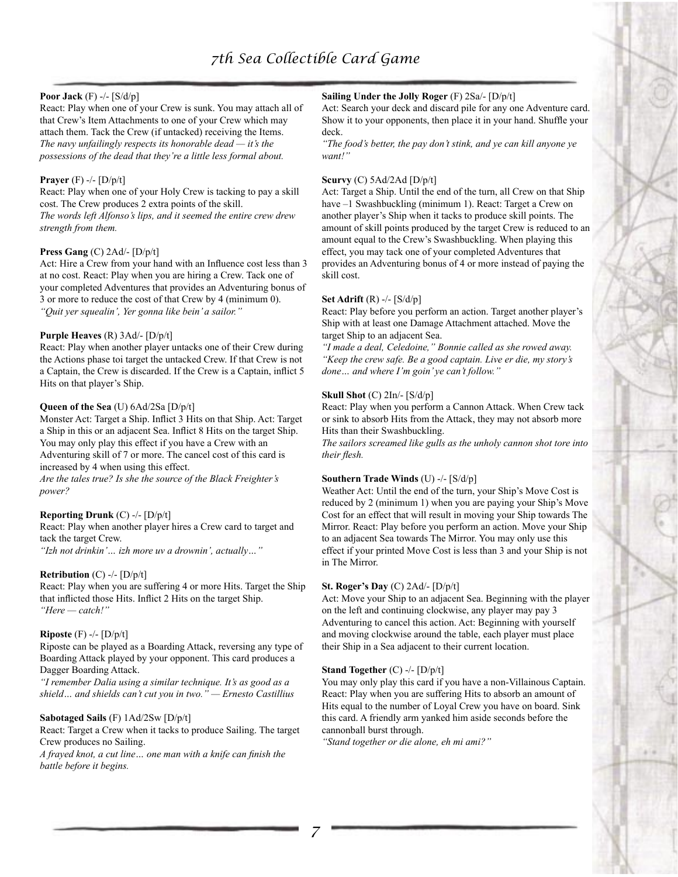## **Poor Jack** (F) -/- [S/d/p]

React: Play when one of your Crew is sunk. You may attach all of that Crew's Item Attachments to one of your Crew which may attach them. Tack the Crew (if untacked) receiving the Items. *The navy unfailingly respects its honorable dead — it's the possessions of the dead that they're a little less formal about.*

#### **Prayer** (F) -/- [D/p/t]

*strength from them.*

React: Play when one of your Holy Crew is tacking to pay a skill cost. The Crew produces 2 extra points of the skill. *The words left Alfonso's lips, and it seemed the entire crew drew* 

#### **Press Gang** (C) 2Ad/- [D/p/t]

Act: Hire a Crew from your hand with an Influence cost less than 3 at no cost. React: Play when you are hiring a Crew. Tack one of your completed Adventures that provides an Adventuring bonus of 3 or more to reduce the cost of that Crew by 4 (minimum 0). *"Quit yer squealin', Yer gonna like bein' a sailor."*

#### **Purple Heaves** (R) 3Ad/- [D/p/t]

React: Play when another player untacks one of their Crew during the Actions phase toi target the untacked Crew. If that Crew is not a Captain, the Crew is discarded. If the Crew is a Captain, inflict 5 Hits on that player's Ship.

#### **Queen of the Sea** (U) 6Ad/2Sa [D/p/t]

Monster Act: Target a Ship. Inflict 3 Hits on that Ship. Act: Target a Ship in this or an adjacent Sea. Inflict 8 Hits on the target Ship. You may only play this effect if you have a Crew with an Adventuring skill of 7 or more. The cancel cost of this card is increased by 4 when using this effect.

*Are the tales true? Is she the source of the Black Freighter's power?*

## **Reporting Drunk** (C) -/- [D/p/t]

React: Play when another player hires a Crew card to target and tack the target Crew.

*"Izh not drinkin'… izh more uv a drownin', actually…"*

#### **Retribution** (C) -/- [D/p/t]

React: Play when you are suffering 4 or more Hits. Target the Ship that inflicted those Hits. Inflict 2 Hits on the target Ship. *"Here — catch!"*

#### **Riposte** (F) -/- [D/p/t]

Riposte can be played as a Boarding Attack, reversing any type of Boarding Attack played by your opponent. This card produces a Dagger Boarding Attack.

*"I remember Dalia using a similar technique. It's as good as a shield… and shields can't cut you in two." — Ernesto Castillius*

#### **Sabotaged Sails** (F) 1Ad/2Sw [D/p/t]

React: Target a Crew when it tacks to produce Sailing. The target Crew produces no Sailing.

*A frayed knot, a cut line… one man with a knife can finish the battle before it begins.*

## **Sailing Under the Jolly Roger** (F) 2Sa/- [D/p/t]

Act: Search your deck and discard pile for any one Adventure card. Show it to your opponents, then place it in your hand. Shuffle your deck.

*"The food's better, the pay don't stink, and ye can kill anyone ye want!"*

#### **Scurvy** (C) 5Ad/2Ad [D/p/t]

Act: Target a Ship. Until the end of the turn, all Crew on that Ship have  $-1$  Swashbuckling (minimum 1). React: Target a Crew on another player's Ship when it tacks to produce skill points. The amount of skill points produced by the target Crew is reduced to an amount equal to the Crew's Swashbuckling. When playing this effect, you may tack one of your completed Adventures that provides an Adventuring bonus of 4 or more instead of paying the skill cost.

#### **Set Adrift** (R) -/- [S/d/p]

React: Play before you perform an action. Target another player's Ship with at least one Damage Attachment attached. Move the target Ship to an adjacent Sea.

*"I made a deal, Celedoine," Bonnie called as she rowed away. "Keep the crew safe. Be a good captain. Live er die, my story's done… and where I'm goin' ye can't follow."*

#### **Skull Shot** (C) 2In/- [S/d/p]

React: Play when you perform a Cannon Attack. When Crew tack or sink to absorb Hits from the Attack, they may not absorb more Hits than their Swashbuckling.

*The sailors screamed like gulls as the unholy cannon shot tore into their flesh.*

#### **Southern Trade Winds** (U) -/- [S/d/p]

Weather Act: Until the end of the turn, your Ship's Move Cost is reduced by 2 (minimum 1) when you are paying your Ship's Move Cost for an effect that will result in moving your Ship towards The Mirror. React: Play before you perform an action. Move your Ship to an adjacent Sea towards The Mirror. You may only use this effect if your printed Move Cost is less than 3 and your Ship is not in The Mirror.

#### **St. Roger's Day** (C) 2Ad/- [D/p/t]

Act: Move your Ship to an adjacent Sea. Beginning with the player on the left and continuing clockwise, any player may pay 3 Adventuring to cancel this action. Act: Beginning with yourself and moving clockwise around the table, each player must place their Ship in a Sea adjacent to their current location.

#### **Stand Together** (C) -/- [D/p/t]

You may only play this card if you have a non-Villainous Captain. React: Play when you are suffering Hits to absorb an amount of Hits equal to the number of Loyal Crew you have on board. Sink this card. A friendly arm yanked him aside seconds before the cannonball burst through.

*"Stand together or die alone, eh mi ami?"*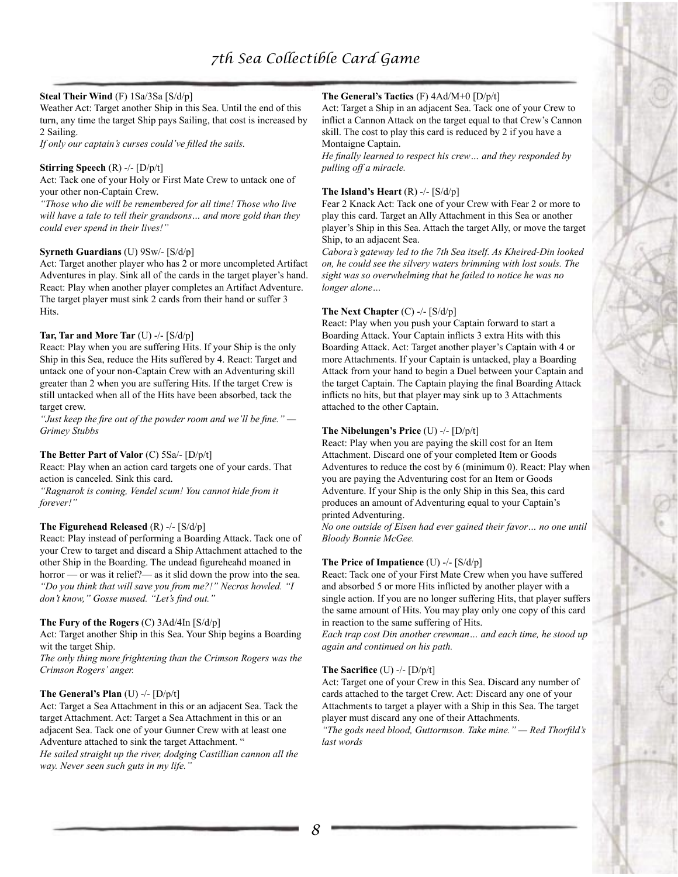## **Steal Their Wind** (F) 1Sa/3Sa [S/d/p]

Weather Act: Target another Ship in this Sea. Until the end of this turn, any time the target Ship pays Sailing, that cost is increased by 2 Sailing.

*If only our captain's curses could've filled the sails.*

#### **Stirring Speech** (R) -/- [D/p/t]

Act: Tack one of your Holy or First Mate Crew to untack one of your other non-Captain Crew.

*"Those who die will be remembered for all time! Those who live will have a tale to tell their grandsons… and more gold than they could ever spend in their lives!"*

#### **Syrneth Guardians** (U) 9Sw/- [S/d/p]

Act: Target another player who has 2 or more uncompleted Artifact Adventures in play. Sink all of the cards in the target player's hand. React: Play when another player completes an Artifact Adventure. The target player must sink 2 cards from their hand or suffer 3 Hits.

#### **Tar, Tar and More Tar** (U) -/- [S/d/p]

React: Play when you are suffering Hits. If your Ship is the only Ship in this Sea, reduce the Hits suffered by 4. React: Target and untack one of your non-Captain Crew with an Adventuring skill greater than 2 when you are suffering Hits. If the target Crew is still untacked when all of the Hits have been absorbed, tack the target crew.

*"Just keep the fire out of the powder room and we'll be fine." — Grimey Stubbs*

#### **The Better Part of Valor** (C) 5Sa/- [D/p/t]

React: Play when an action card targets one of your cards. That action is canceled. Sink this card.

*"Ragnarok is coming, Vendel scum! You cannot hide from it forever!"*

#### **The Figurehead Released** (R) -/- [S/d/p]

React: Play instead of performing a Boarding Attack. Tack one of your Crew to target and discard a Ship Attachment attached to the other Ship in the Boarding. The undead figureheahd moaned in horror — or was it relief?— as it slid down the prow into the sea. *"Do you think that will save you from me?!" Necros howled. "I don't know," Gosse mused. "Let's find out."*

#### **The Fury of the Rogers** (C) 3Ad/4In [S/d/p]

Act: Target another Ship in this Sea. Your Ship begins a Boarding wit the target Ship.

*The only thing more frightening than the Crimson Rogers was the Crimson Rogers' anger.*

#### **The General's Plan** (U) -/- [D/p/t]

Act: Target a Sea Attachment in this or an adjacent Sea. Tack the target Attachment. Act: Target a Sea Attachment in this or an adjacent Sea. Tack one of your Gunner Crew with at least one Adventure attached to sink the target Attachment. "

*He sailed straight up the river, dodging Castillian cannon all the way. Never seen such guts in my life."*

#### **The General's Tactics** (F) 4Ad/M+0 [D/p/t]

Act: Target a Ship in an adjacent Sea. Tack one of your Crew to inflict a Cannon Attack on the target equal to that Crew's Cannon skill. The cost to play this card is reduced by 2 if you have a Montaigne Captain.

*He finally learned to respect his crew… and they responded by pulling off a miracle.*

#### **The Island's Heart** (R) -/- [S/d/p]

Fear 2 Knack Act: Tack one of your Crew with Fear 2 or more to play this card. Target an Ally Attachment in this Sea or another player's Ship in this Sea. Attach the target Ally, or move the target Ship, to an adjacent Sea.

*Cabora's gateway led to the 7th Sea itself. As Kheired-Din looked on, he could see the silvery waters brimming with lost souls. The sight was so overwhelming that he failed to notice he was no longer alone…*

#### **The Next Chapter** (C) -/- [S/d/p]

React: Play when you push your Captain forward to start a Boarding Attack. Your Captain inflicts 3 extra Hits with this Boarding Attack. Act: Target another player's Captain with 4 or more Attachments. If your Captain is untacked, play a Boarding Attack from your hand to begin a Duel between your Captain and the target Captain. The Captain playing the final Boarding Attack inflicts no hits, but that player may sink up to 3 Attachments attached to the other Captain.

#### **The Nibelungen's Price** (U) -/- [D/p/t]

React: Play when you are paying the skill cost for an Item Attachment. Discard one of your completed Item or Goods Adventures to reduce the cost by 6 (minimum 0). React: Play when you are paying the Adventuring cost for an Item or Goods Adventure. If your Ship is the only Ship in this Sea, this card produces an amount of Adventuring equal to your Captain's printed Adventuring.

*No one outside of Eisen had ever gained their favor… no one until Bloody Bonnie McGee.*

#### **The Price of Impatience** (U) -/- [S/d/p]

React: Tack one of your First Mate Crew when you have suffered and absorbed 5 or more Hits inflicted by another player with a single action. If you are no longer suffering Hits, that player suffers the same amount of Hits. You may play only one copy of this card in reaction to the same suffering of Hits.

*Each trap cost Din another crewman… and each time, he stood up again and continued on his path.*

#### **The Sacrifice** (U) -/- [D/p/t]

Act: Target one of your Crew in this Sea. Discard any number of cards attached to the target Crew. Act: Discard any one of your Attachments to target a player with a Ship in this Sea. The target player must discard any one of their Attachments.

*"The gods need blood, Guttormson. Take mine." — Red Thorfild's last words*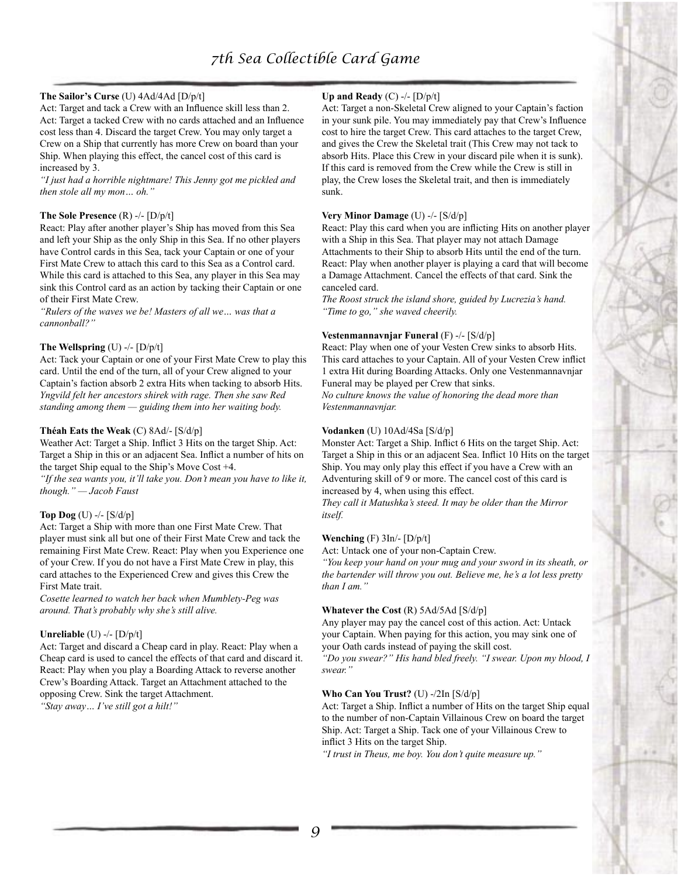## **The Sailor's Curse** (U) 4Ad/4Ad [D/p/t]

Act: Target and tack a Crew with an Influence skill less than 2. Act: Target a tacked Crew with no cards attached and an Influence cost less than 4. Discard the target Crew. You may only target a Crew on a Ship that currently has more Crew on board than your Ship. When playing this effect, the cancel cost of this card is increased by 3.

*"I just had a horrible nightmare! This Jenny got me pickled and then stole all my mon… oh."*

#### **The Sole Presence** (R) -/- [D/p/t]

React: Play after another player's Ship has moved from this Sea and left your Ship as the only Ship in this Sea. If no other players have Control cards in this Sea, tack your Captain or one of your First Mate Crew to attach this card to this Sea as a Control card. While this card is attached to this Sea, any player in this Sea may sink this Control card as an action by tacking their Captain or one of their First Mate Crew.

*"Rulers of the waves we be! Masters of all we… was that a cannonball?"*

#### **The Wellspring** (U) -/- [D/p/t]

Act: Tack your Captain or one of your First Mate Crew to play this card. Until the end of the turn, all of your Crew aligned to your Captain's faction absorb 2 extra Hits when tacking to absorb Hits. *Yngvild felt her ancestors shirek with rage. Then she saw Red standing among them — guiding them into her waiting body.*

#### **Théah Eats the Weak** (C) 8Ad/- [S/d/p]

Weather Act: Target a Ship. Inflict 3 Hits on the target Ship. Act: Target a Ship in this or an adjacent Sea. Inflict a number of hits on the target Ship equal to the Ship's Move Cost +4.

*"If the sea wants you, it'll take you. Don't mean you have to like it, though." — Jacob Faust*

#### **Top Dog** (U) -/- [S/d/p]

Act: Target a Ship with more than one First Mate Crew. That player must sink all but one of their First Mate Crew and tack the remaining First Mate Crew. React: Play when you Experience one of your Crew. If you do not have a First Mate Crew in play, this card attaches to the Experienced Crew and gives this Crew the First Mate trait.

*Cosette learned to watch her back when Mumblety-Peg was around. That's probably why she's still alive.*

#### **Unreliable** (U) -/- [D/p/t]

Act: Target and discard a Cheap card in play. React: Play when a Cheap card is used to cancel the effects of that card and discard it. React: Play when you play a Boarding Attack to reverse another Crew's Boarding Attack. Target an Attachment attached to the opposing Crew. Sink the target Attachment. *"Stay away… I've still got a hilt!"*

## **Up and Ready** (C) -/- [D/p/t]

Act: Target a non-Skeletal Crew aligned to your Captain's faction in your sunk pile. You may immediately pay that Crew's Influence cost to hire the target Crew. This card attaches to the target Crew, and gives the Crew the Skeletal trait (This Crew may not tack to absorb Hits. Place this Crew in your discard pile when it is sunk). If this card is removed from the Crew while the Crew is still in play, the Crew loses the Skeletal trait, and then is immediately sunk.

#### **Very Minor Damage** (U) -/- [S/d/p]

React: Play this card when you are inflicting Hits on another player with a Ship in this Sea. That player may not attach Damage Attachments to their Ship to absorb Hits until the end of the turn. React: Play when another player is playing a card that will become a Damage Attachment. Cancel the effects of that card. Sink the canceled card.

*The Roost struck the island shore, guided by Lucrezia's hand. "Time to go," she waved cheerily.*

#### **Vestenmannavnjar Funeral** (F) -/- [S/d/p]

React: Play when one of your Vesten Crew sinks to absorb Hits. This card attaches to your Captain. All of your Vesten Crew inflict 1 extra Hit during Boarding Attacks. Only one Vestenmannavnjar Funeral may be played per Crew that sinks.

*No culture knows the value of honoring the dead more than Vestenmannavnjar.*

#### **Vodanken** (U) 10Ad/4Sa [S/d/p]

Monster Act: Target a Ship. Inflict 6 Hits on the target Ship. Act: Target a Ship in this or an adjacent Sea. Inflict 10 Hits on the target Ship. You may only play this effect if you have a Crew with an Adventuring skill of 9 or more. The cancel cost of this card is increased by 4, when using this effect.

*They call it Matushka's steed. It may be older than the Mirror itself.*

#### **Wenching** (F) 3In/- [D/p/t]

Act: Untack one of your non-Captain Crew.

*"You keep your hand on your mug and your sword in its sheath, or the bartender will throw you out. Believe me, he's a lot less pretty than I am."*

#### **Whatever the Cost** (R) 5Ad/5Ad [S/d/p]

Any player may pay the cancel cost of this action. Act: Untack your Captain. When paying for this action, you may sink one of your Oath cards instead of paying the skill cost.

*"Do you swear?" His hand bled freely. "I swear. Upon my blood, I swear."*

#### **Who Can You Trust?** (U) -/2In [S/d/p]

Act: Target a Ship. Inflict a number of Hits on the target Ship equal to the number of non-Captain Villainous Crew on board the target Ship. Act: Target a Ship. Tack one of your Villainous Crew to inflict 3 Hits on the target Ship.

*"I trust in Theus, me boy. You don't quite measure up."*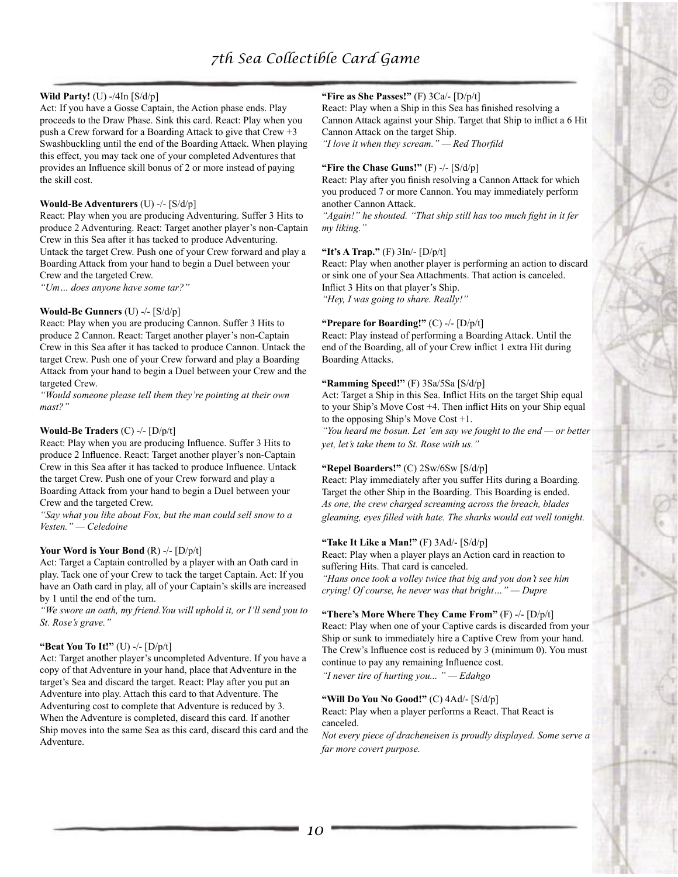## **Wild Party!** (U) -/4In [S/d/p]

Act: If you have a Gosse Captain, the Action phase ends. Play proceeds to the Draw Phase. Sink this card. React: Play when you push a Crew forward for a Boarding Attack to give that Crew +3 Swashbuckling until the end of the Boarding Attack. When playing this effect, you may tack one of your completed Adventures that provides an Influence skill bonus of 2 or more instead of paying the skill cost.

#### **Would-Be Adventurers** (U) -/- [S/d/p]

React: Play when you are producing Adventuring. Suffer 3 Hits to produce 2 Adventuring. React: Target another player's non-Captain Crew in this Sea after it has tacked to produce Adventuring. Untack the target Crew. Push one of your Crew forward and play a Boarding Attack from your hand to begin a Duel between your Crew and the targeted Crew.

*"Um… does anyone have some tar?"*

#### **Would-Be Gunners** (U) -/- [S/d/p]

React: Play when you are producing Cannon. Suffer 3 Hits to produce 2 Cannon. React: Target another player's non-Captain Crew in this Sea after it has tacked to produce Cannon. Untack the target Crew. Push one of your Crew forward and play a Boarding Attack from your hand to begin a Duel between your Crew and the targeted Crew.

*"Would someone please tell them they're pointing at their own mast?"*

#### **Would-Be Traders** (C) -/- [D/p/t]

React: Play when you are producing Influence. Suffer 3 Hits to produce 2 Influence. React: Target another player's non-Captain Crew in this Sea after it has tacked to produce Influence. Untack the target Crew. Push one of your Crew forward and play a Boarding Attack from your hand to begin a Duel between your Crew and the targeted Crew.

*"Say what you like about Fox, but the man could sell snow to a Vesten." — Celedoine*

#### **Your Word is Your Bond** (R) -/- [D/p/t]

Act: Target a Captain controlled by a player with an Oath card in play. Tack one of your Crew to tack the target Captain. Act: If you have an Oath card in play, all of your Captain's skills are increased by 1 until the end of the turn.

*"We swore an oath, my friend.You will uphold it, or I'll send you to St. Rose's grave."*

#### **"Beat You To It!"** (U) -/- [D/p/t]

Act: Target another player's uncompleted Adventure. If you have a copy of that Adventure in your hand, place that Adventure in the target's Sea and discard the target. React: Play after you put an Adventure into play. Attach this card to that Adventure. The Adventuring cost to complete that Adventure is reduced by 3. When the Adventure is completed, discard this card. If another Ship moves into the same Sea as this card, discard this card and the Adventure.

#### **"Fire as She Passes!"** (F) 3Ca/- [D/p/t]

React: Play when a Ship in this Sea has finished resolving a Cannon Attack against your Ship. Target that Ship to inflict a 6 Hit Cannon Attack on the target Ship. *"I love it when they scream." — Red Thorfild*

#### **"Fire the Chase Guns!"** (F) -/- [S/d/p]

React: Play after you finish resolving a Cannon Attack for which you produced 7 or more Cannon. You may immediately perform another Cannon Attack.

*"Again!" he shouted. "That ship still has too much fight in it fer my liking."*

#### **"It's A Trap."** (F) 3In/- [D/p/t]

React: Play when another player is performing an action to discard or sink one of your Sea Attachments. That action is canceled. Inflict 3 Hits on that player's Ship. *"Hey, I was going to share. Really!"*

#### **"Prepare for Boarding!"** (C) -/- [D/p/t]

React: Play instead of performing a Boarding Attack. Until the end of the Boarding, all of your Crew inflict 1 extra Hit during Boarding Attacks.

#### **"Ramming Speed!"** (F) 3Sa/5Sa [S/d/p]

Act: Target a Ship in this Sea. Inflict Hits on the target Ship equal to your Ship's Move Cost +4. Then inflict Hits on your Ship equal to the opposing Ship's Move Cost +1.

*"You heard me bosun. Let 'em say we fought to the end — or better yet, let's take them to St. Rose with us."*

## **"Repel Boarders!"** (C) 2Sw/6Sw [S/d/p]

React: Play immediately after you suffer Hits during a Boarding. Target the other Ship in the Boarding. This Boarding is ended. *As one, the crew charged screaming across the breach, blades gleaming, eyes filled with hate. The sharks would eat well tonight.*

#### **"Take It Like a Man!"** (F) 3Ad/- [S/d/p]

React: Play when a player plays an Action card in reaction to suffering Hits. That card is canceled.

*"Hans once took a volley twice that big and you don't see him crying! Of course, he never was that bright…" — Dupre*

## **"There's More Where They Came From"** (F) -/- [D/p/t]

React: Play when one of your Captive cards is discarded from your Ship or sunk to immediately hire a Captive Crew from your hand. The Crew's Influence cost is reduced by 3 (minimum 0). You must continue to pay any remaining Influence cost.

*"I never tire of hurting you... " — Edahgo*

#### **"Will Do You No Good!"** (C) 4Ad/- [S/d/p]

React: Play when a player performs a React. That React is canceled.

*Not every piece of dracheneisen is proudly displayed. Some serve a far more covert purpose.*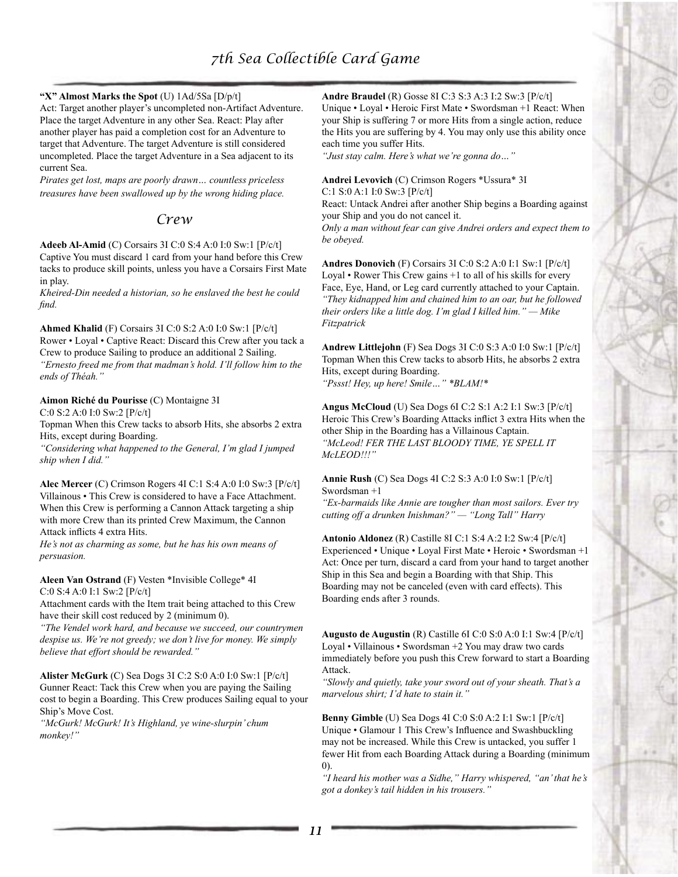### **"X" Almost Marks the Spot** (U) 1Ad/5Sa [D/p/t]

Act: Target another player's uncompleted non-Artifact Adventure. Place the target Adventure in any other Sea. React: Play after another player has paid a completion cost for an Adventure to target that Adventure. The target Adventure is still considered uncompleted. Place the target Adventure in a Sea adjacent to its current Sea.

*Pirates get lost, maps are poorly drawn… countless priceless treasures have been swallowed up by the wrong hiding place.*

# *Crew*

**Adeeb Al-Amid** (C) Corsairs 3I C:0 S:4 A:0 I:0 Sw:1 [P/c/t] Captive You must discard 1 card from your hand before this Crew tacks to produce skill points, unless you have a Corsairs First Mate in play.

*Kheired-Din needed a historian, so he enslaved the best he could find.*

**Ahmed Khalid** (F) Corsairs 3I C:0 S:2 A:0 I:0 Sw:1 [P/c/t] Rower • Loyal • Captive React: Discard this Crew after you tack a Crew to produce Sailing to produce an additional 2 Sailing. *"Ernesto freed me from that madman's hold. I'll follow him to the ends of Théah."*

#### **Aimon Riché du Pourisse** (C) Montaigne 3I

C:0 S:2 A:0 I:0 Sw:2 [P/c/t]

Topman When this Crew tacks to absorb Hits, she absorbs 2 extra Hits, except during Boarding.

*"Considering what happened to the General, I'm glad I jumped ship when I did."*

**Alec Mercer** (C) Crimson Rogers 4I C:1 S:4 A:0 I:0 Sw:3 [P/c/t] Villainous • This Crew is considered to have a Face Attachment. When this Crew is performing a Cannon Attack targeting a ship with more Crew than its printed Crew Maximum, the Cannon Attack inflicts 4 extra Hits.

*He's not as charming as some, but he has his own means of persuasion.*

**Aleen Van Ostrand** (F) Vesten \*Invisible College\* 4I C:0 S:4 A:0 I:1 Sw:2 [P/c/t]

Attachment cards with the Item trait being attached to this Crew have their skill cost reduced by 2 (minimum 0).

*"The Vendel work hard, and because we succeed, our countrymen despise us. We're not greedy; we don't live for money. We simply believe that effort should be rewarded."*

**Alister McGurk** (C) Sea Dogs 3I C:2 S:0 A:0 I:0 Sw:1 [P/c/t] Gunner React: Tack this Crew when you are paying the Sailing cost to begin a Boarding. This Crew produces Sailing equal to your Ship's Move Cost.

*"McGurk! McGurk! It's Highland, ye wine-slurpin' chum monkey!"*

#### **Andre Braudel** (R) Gosse 8I C:3 S:3 A:3 I:2 Sw:3 [P/c/t]

Unique • Loyal • Heroic First Mate • Swordsman +1 React: When your Ship is suffering 7 or more Hits from a single action, reduce the Hits you are suffering by 4. You may only use this ability once each time you suffer Hits.

*"Just stay calm. Here's what we're gonna do…"*

**Andrei Levovich** (C) Crimson Rogers \*Ussura\* 3I

C:1 S:0 A:1 I:0 Sw:3 [P/c/t]

React: Untack Andrei after another Ship begins a Boarding against your Ship and you do not cancel it.

*Only a man without fear can give Andrei orders and expect them to be obeyed.*

**Andres Donovich** (F) Corsairs 3I C:0 S:2 A:0 I:1 Sw:1 [P/c/t] Loyal • Rower This Crew gains +1 to all of his skills for every Face, Eye, Hand, or Leg card currently attached to your Captain. *"They kidnapped him and chained him to an oar, but he followed their orders like a little dog. I'm glad I killed him." — Mike Fitzpatrick*

**Andrew Littlejohn** (F) Sea Dogs 3I C:0 S:3 A:0 I:0 Sw:1 [P/c/t] Topman When this Crew tacks to absorb Hits, he absorbs 2 extra Hits, except during Boarding. *"Pssst! Hey, up here! Smile…" \*BLAM!\**

**Angus McCloud** (U) Sea Dogs 6I C:2 S:1 A:2 I:1 Sw:3 [P/c/t] Heroic This Crew's Boarding Attacks inflict 3 extra Hits when the other Ship in the Boarding has a Villainous Captain. *"McLeod! FER THE LAST BLOODY TIME, YE SPELL IT McLEOD!!!"*

**Annie Rush** (C) Sea Dogs 4I C:2 S:3 A:0 I:0 Sw:1 [P/c/t] Swordsman +1

*"Ex-barmaids like Annie are tougher than most sailors. Ever try cutting off a drunken Inishman?" — "Long Tall" Harry*

**Antonio Aldonez** (R) Castille 8I C:1 S:4 A:2 I:2 Sw:4 [P/c/t] Experienced • Unique • Loyal First Mate • Heroic • Swordsman +1 Act: Once per turn, discard a card from your hand to target another Ship in this Sea and begin a Boarding with that Ship. This Boarding may not be canceled (even with card effects). This Boarding ends after 3 rounds.

**Augusto de Augustin** (R) Castille 6I C:0 S:0 A:0 I:1 Sw:4 [P/c/t] Loyal • Villainous • Swordsman +2 You may draw two cards immediately before you push this Crew forward to start a Boarding **Attack** 

*"Slowly and quietly, take your sword out of your sheath. That's a marvelous shirt; I'd hate to stain it."*

**Benny Gimble** (U) Sea Dogs 4I C:0 S:0 A:2 I:1 Sw:1 [P/c/t] Unique • Glamour 1 This Crew's Influence and Swashbuckling may not be increased. While this Crew is untacked, you suffer 1 fewer Hit from each Boarding Attack during a Boarding (minimum  $(0)$ 

*"I heard his mother was a Sidhe," Harry whispered, "an' that he's got a donkey's tail hidden in his trousers."*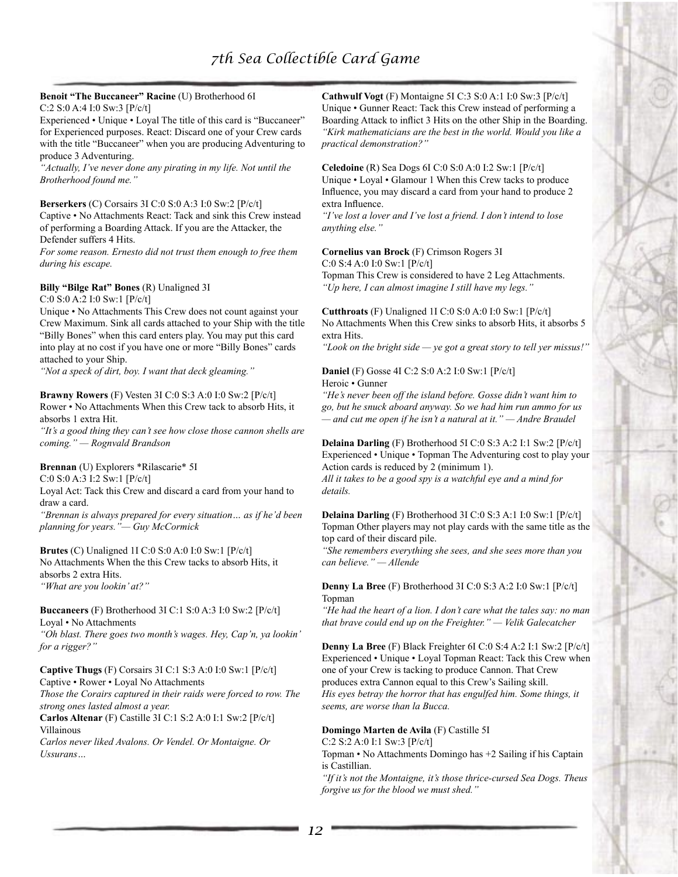# **Benoit "The Buccaneer" Racine** (U) Brotherhood 6I

C:2 S:0 A:4 I:0 Sw:3 [P/c/t]

Experienced • Unique • Loyal The title of this card is "Buccaneer" for Experienced purposes. React: Discard one of your Crew cards with the title "Buccaneer" when you are producing Adventuring to produce 3 Adventuring.

*"Actually, I've never done any pirating in my life. Not until the Brotherhood found me."*

#### **Berserkers** (C) Corsairs 3I C:0 S:0 A:3 I:0 Sw:2 [P/c/t]

Captive • No Attachments React: Tack and sink this Crew instead of performing a Boarding Attack. If you are the Attacker, the Defender suffers 4 Hits.

*For some reason. Ernesto did not trust them enough to free them during his escape.*

#### **Billy "Bilge Rat" Bones** (R) Unaligned 3I

C:0 S:0 A:2 I:0 Sw:1 [P/c/t]

Unique • No Attachments This Crew does not count against your Crew Maximum. Sink all cards attached to your Ship with the title "Billy Bones" when this card enters play. You may put this card into play at no cost if you have one or more "Billy Bones" cards attached to your Ship.

*"Not a speck of dirt, boy. I want that deck gleaming."*

## **Brawny Rowers** (F) Vesten 3I C:0 S:3 A:0 I:0 Sw:2 [P/c/t]

Rower • No Attachments When this Crew tack to absorb Hits, it absorbs 1 extra Hit.

*"It's a good thing they can't see how close those cannon shells are coming." — Rognvald Brandson*

#### **Brennan** (U) Explorers \*Rilascarie\* 5I

C:0 S:0 A:3 I:2 Sw:1 [P/c/t]

Loyal Act: Tack this Crew and discard a card from your hand to draw a card.

*"Brennan is always prepared for every situation… as if he'd been planning for years."— Guy McCormick*

**Brutes** (C) Unaligned 1I C:0 S:0 A:0 I:0 Sw:1 [P/c/t]

No Attachments When the this Crew tacks to absorb Hits, it absorbs 2 extra Hits.

*"What are you lookin' at?"*

#### **Buccaneers** (F) Brotherhood 3I C:1 S:0 A:3 I:0 Sw:2 [P/c/t] Loyal • No Attachments

*"Oh blast. There goes two month's wages. Hey, Cap'n, ya lookin' for a rigger?"*

#### **Captive Thugs** (F) Corsairs 3I C:1 S:3 A:0 I:0 Sw:1 [P/c/t] Captive • Rower • Loyal No Attachments

*Those the Corairs captured in their raids were forced to row. The strong ones lasted almost a year.*

**Carlos Altenar** (F) Castille 3I C:1 S:2 A:0 I:1 Sw:2 [P/c/t] Villainous

*Carlos never liked Avalons. Or Vendel. Or Montaigne. Or Ussurans…*

**Cathwulf Vogt** (F) Montaigne 5I C:3 S:0 A:1 I:0 Sw:3 [P/c/t] Unique • Gunner React: Tack this Crew instead of performing a Boarding Attack to inflict 3 Hits on the other Ship in the Boarding. *"Kirk mathematicians are the best in the world. Would you like a practical demonstration?"*

**Celedoine** (R) Sea Dogs 6I C:0 S:0 A:0 I:2 Sw:1 [P/c/t] Unique • Loyal • Glamour 1 When this Crew tacks to produce Influence, you may discard a card from your hand to produce 2 extra Influence.

*"I've lost a lover and I've lost a friend. I don't intend to lose anything else."*

# **Cornelius van Brock** (F) Crimson Rogers 3I

C:0 S:4 A:0 I:0 Sw:1 [P/c/t]

Topman This Crew is considered to have 2 Leg Attachments. *"Up here, I can almost imagine I still have my legs."*

**Cutthroats** (F) Unaligned 1I C:0 S:0 A:0 I:0 Sw:1 [P/c/t] No Attachments When this Crew sinks to absorb Hits, it absorbs 5 extra Hits.

*"Look on the bright side — ye got a great story to tell yer missus!"*

## **Daniel** (F) Gosse 4I C:2 S:0 A:2 I:0 Sw:1 [P/c/t] Heroic • Gunner

*"He's never been off the island before. Gosse didn't want him to go, but he snuck aboard anyway. So we had him run ammo for us — and cut me open if he isn't a natural at it." — Andre Braudel*

#### **Delaina Darling** (F) Brotherhood 5I C:0 S:3 A:2 I:1 Sw:2 [P/c/t] Experienced • Unique • Topman The Adventuring cost to play your Action cards is reduced by 2 (minimum 1).

*All it takes to be a good spy is a watchful eye and a mind for details.*

#### **Delaina Darling** (F) Brotherhood 3I C:0 S:3 A:1 I:0 Sw:1 [P/c/t] Topman Other players may not play cards with the same title as the top card of their discard pile.

*"She remembers everything she sees, and she sees more than you can believe." — Allende*

#### **Denny La Bree** (F) Brotherhood 3I C:0 S:3 A:2 I:0 Sw:1 [P/c/t] Topman

*"He had the heart of a lion. I don't care what the tales say: no man that brave could end up on the Freighter." — Velik Galecatcher*

#### **Denny La Bree** (F) Black Freighter 6I C:0 S:4 A:2 I:1 Sw:2 [P/c/t] Experienced • Unique • Loyal Topman React: Tack this Crew when one of your Crew is tacking to produce Cannon. That Crew produces extra Cannon equal to this Crew's Sailing skill. *His eyes betray the horror that has engulfed him. Some things, it seems, are worse than la Bucca.*

#### **Domingo Marten de Avila** (F) Castille 5I

C:2 S:2 A:0 I:1 Sw:3 [P/c/t]

Topman • No Attachments Domingo has +2 Sailing if his Captain is Castillian.

*"If it's not the Montaigne, it's those thrice-cursed Sea Dogs. Theus forgive us for the blood we must shed."*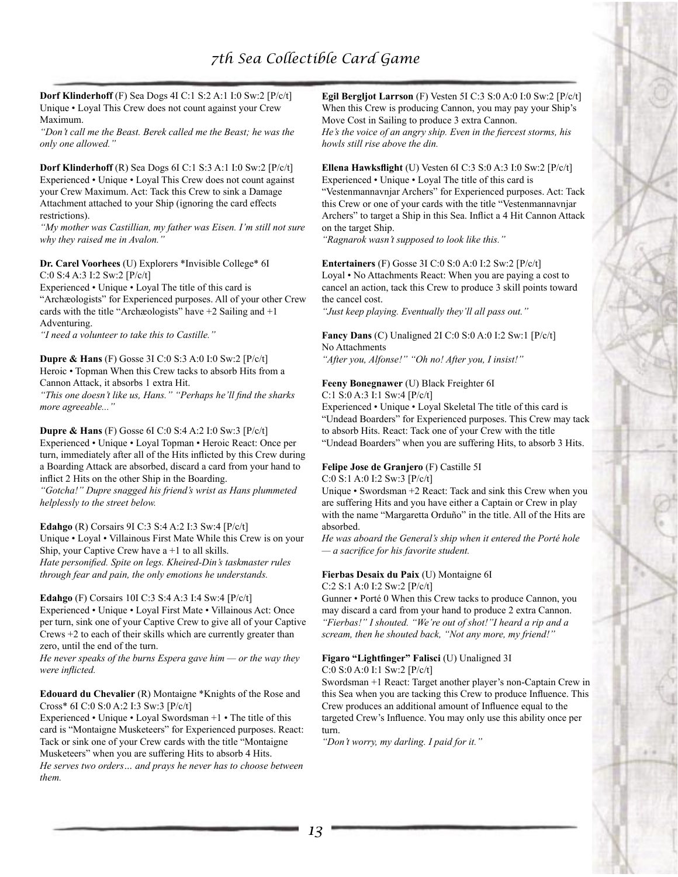**Dorf Klinderhoff** (F) Sea Dogs 4I C:1 S:2 A:1 I:0 Sw:2 [P/c/t] Unique • Loyal This Crew does not count against your Crew Maximum.

*"Don't call me the Beast. Berek called me the Beast; he was the only one allowed."*

**Dorf Klinderhoff** (R) Sea Dogs 6I C:1 S:3 A:1 I:0 Sw:2 [P/c/t] Experienced • Unique • Loyal This Crew does not count against your Crew Maximum. Act: Tack this Crew to sink a Damage Attachment attached to your Ship (ignoring the card effects restrictions).

*"My mother was Castillian, my father was Eisen. I'm still not sure why they raised me in Avalon."*

**Dr. Carel Voorhees** (U) Explorers \*Invisible College\* 6I C:0 S:4 A:3 I:2 Sw:2 [P/c/t]

Experienced • Unique • Loyal The title of this card is "Archæologists" for Experienced purposes. All of your other Crew cards with the title "Archæologists" have +2 Sailing and +1 Adventuring.

*"I need a volunteer to take this to Castille."*

**Dupre & Hans** (F) Gosse 3I C:0 S:3 A:0 I:0 Sw:2 [P/c/t] Heroic • Topman When this Crew tacks to absorb Hits from a Cannon Attack, it absorbs 1 extra Hit.

*"This one doesn't like us, Hans." "Perhaps he'll find the sharks more agreeable..."*

**Dupre & Hans** (F) Gosse 6I C:0 S:4 A:2 I:0 Sw:3 [P/c/t] Experienced • Unique • Loyal Topman • Heroic React: Once per turn, immediately after all of the Hits inflicted by this Crew during a Boarding Attack are absorbed, discard a card from your hand to inflict 2 Hits on the other Ship in the Boarding.

*"Gotcha!" Dupre snagged his friend's wrist as Hans plummeted helplessly to the street below.*

**Edahgo** (R) Corsairs 9I C:3 S:4 A:2 I:3 Sw:4 [P/c/t]

Unique • Loyal • Villainous First Mate While this Crew is on your Ship, your Captive Crew have  $a + 1$  to all skills. *Hate personified. Spite on legs. Kheired-Din's taskmaster rules* 

*through fear and pain, the only emotions he understands.*

**Edahgo** (F) Corsairs 10I C:3 S:4 A:3 I:4 Sw:4 [P/c/t]

Experienced • Unique • Loyal First Mate • Villainous Act: Once per turn, sink one of your Captive Crew to give all of your Captive Crews +2 to each of their skills which are currently greater than zero, until the end of the turn.

*He never speaks of the burns Espera gave him — or the way they were inflicted.*

**Edouard du Chevalier** (R) Montaigne \*Knights of the Rose and Cross\* 6I C:0 S:0 A:2 I:3 Sw:3 [P/c/t]

Experienced • Unique • Loyal Swordsman +1 • The title of this card is "Montaigne Musketeers" for Experienced purposes. React: Tack or sink one of your Crew cards with the title "Montaigne Musketeers" when you are suffering Hits to absorb 4 Hits. *He serves two orders… and prays he never has to choose between them.*

**Egil Bergljot Larrson** (F) Vesten 5I C:3 S:0 A:0 I:0 Sw:2 [P/c/t] When this Crew is producing Cannon, you may pay your Ship's Move Cost in Sailing to produce 3 extra Cannon. *He's the voice of an angry ship. Even in the fiercest storms, his* 

*howls still rise above the din.*

**Ellena Hawksflight** (U) Vesten 6I C:3 S:0 A:3 I:0 Sw:2 [P/c/t] Experienced • Unique • Loyal The title of this card is "Vestenmannavnjar Archers" for Experienced purposes. Act: Tack this Crew or one of your cards with the title "Vestenmannavnjar Archers" to target a Ship in this Sea. Inflict a 4 Hit Cannon Attack on the target Ship.

*"Ragnarok wasn't supposed to look like this."*

**Entertainers** (F) Gosse 3I C:0 S:0 A:0 I:2 Sw:2 [P/c/t] Loyal • No Attachments React: When you are paying a cost to cancel an action, tack this Crew to produce 3 skill points toward the cancel cost.

*"Just keep playing. Eventually they'll all pass out."*

**Fancy Dans** (C) Unaligned 2I C:0 S:0 A:0 I:2 Sw:1 [P/c/t] No Attachments

*"After you, Alfonse!" "Oh no! After you, I insist!"*

## **Feeny Bonegnawer** (U) Black Freighter 6I

C:1 S:0 A:3 I:1 Sw:4 [P/c/t]

Experienced • Unique • Loyal Skeletal The title of this card is "Undead Boarders" for Experienced purposes. This Crew may tack to absorb Hits. React: Tack one of your Crew with the title "Undead Boarders" when you are suffering Hits, to absorb 3 Hits.

## **Felipe Jose de Granjero** (F) Castille 5I

C:0 S:1 A:0 I:2 Sw:3 [P/c/t]

Unique • Swordsman +2 React: Tack and sink this Crew when you are suffering Hits and you have either a Captain or Crew in play with the name "Margaretta Orduño" in the title. All of the Hits are absorbed.

*He was aboard the General's ship when it entered the Porté hole — a sacrifice for his favorite student.*

## **Fierbas Desaix du Paix** (U) Montaigne 6I

C:2 S:1 A:0 I:2 Sw:2 [P/c/t]

Gunner • Porté 0 When this Crew tacks to produce Cannon, you may discard a card from your hand to produce 2 extra Cannon. *"Fierbas!" I shouted. "We're out of shot!"I heard a rip and a scream, then he shouted back, "Not any more, my friend!"*

# **Figaro "Lightfinger" Falisci** (U) Unaligned 3I

C:0 S:0 A:0 I:1 Sw:2 [P/c/t]

Swordsman +1 React: Target another player's non-Captain Crew in this Sea when you are tacking this Crew to produce Influence. This Crew produces an additional amount of Influence equal to the targeted Crew's Influence. You may only use this ability once per turn.

*"Don't worry, my darling. I paid for it."*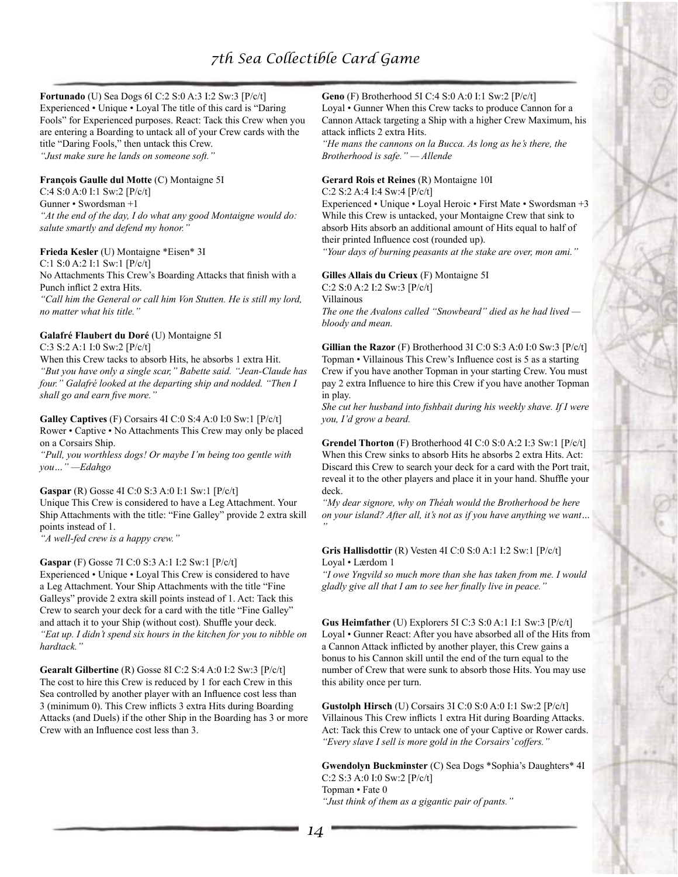# **Fortunado** (U) Sea Dogs 6I C:2 S:0 A:3 I:2 Sw:3 [P/c/t]

Experienced • Unique • Loyal The title of this card is "Daring Fools" for Experienced purposes. React: Tack this Crew when you are entering a Boarding to untack all of your Crew cards with the title "Daring Fools," then untack this Crew. *"Just make sure he lands on someone soft."*

#### **François Gaulle dul Motte** (C) Montaigne 5I

C:4 S:0 A:0 I:1 Sw:2 [P/c/t] Gunner • Swordsman +1 *"At the end of the day, I do what any good Montaigne would do: salute smartly and defend my honor."*

#### **Frieda Kesler** (U) Montaigne \*Eisen\* 3I

C:1 S:0 A:2 I:1 Sw:1 [P/c/t] No Attachments This Crew's Boarding Attacks that finish with a Punch inflict 2 extra Hits. *"Call him the General or call him Von Stutten. He is still my lord,* 

*no matter what his title."*

# **Galafré Flaubert du Doré** (U) Montaigne 5I

C:3 S:2 A:1 I:0 Sw:2 [P/c/t]

When this Crew tacks to absorb Hits, he absorbs 1 extra Hit. *"But you have only a single scar," Babette said. "Jean-Claude has four." Galafré looked at the departing ship and nodded. "Then I shall go and earn five more."*

## **Galley Captives** (F) Corsairs 4I C:0 S:4 A:0 I:0 Sw:1 [P/c/t] Rower • Captive • No Attachments This Crew may only be placed

on a Corsairs Ship. *"Pull, you worthless dogs! Or maybe I'm being too gentle with you…" —Edahgo*

#### **Gaspar** (R) Gosse 4I C:0 S:3 A:0 I:1 Sw:1 [P/c/t]

Unique This Crew is considered to have a Leg Attachment. Your Ship Attachments with the title: "Fine Galley" provide 2 extra skill points instead of 1.

*"A well-fed crew is a happy crew."*

#### **Gaspar** (F) Gosse 7I C:0 S:3 A:1 I:2 Sw:1 [P/c/t]

Experienced • Unique • Loyal This Crew is considered to have a Leg Attachment. Your Ship Attachments with the title "Fine Galleys" provide 2 extra skill points instead of 1. Act: Tack this Crew to search your deck for a card with the title "Fine Galley" and attach it to your Ship (without cost). Shuffle your deck. *"Eat up. I didn't spend six hours in the kitchen for you to nibble on hardtack."*

**Gearalt Gilbertine** (R) Gosse 8I C:2 S:4 A:0 I:2 Sw:3 [P/c/t] The cost to hire this Crew is reduced by 1 for each Crew in this Sea controlled by another player with an Influence cost less than 3 (minimum 0). This Crew inflicts 3 extra Hits during Boarding Attacks (and Duels) if the other Ship in the Boarding has 3 or more Crew with an Influence cost less than 3.

# **Geno** (F) Brotherhood 5I C:4 S:0 A:0 I:1 Sw:2 [P/c/t]

Loyal • Gunner When this Crew tacks to produce Cannon for a Cannon Attack targeting a Ship with a higher Crew Maximum, his attack inflicts 2 extra Hits.

*"He mans the cannons on la Bucca. As long as he's there, the Brotherhood is safe." — Allende*

#### **Gerard Rois et Reines** (R) Montaigne 10I

C:2 S:2 A:4 I:4 Sw:4 [P/c/t]

Experienced • Unique • Loyal Heroic • First Mate • Swordsman +3 While this Crew is untacked, your Montaigne Crew that sink to absorb Hits absorb an additional amount of Hits equal to half of their printed Influence cost (rounded up).

*"Your days of burning peasants at the stake are over, mon ami."*

## **Gilles Allais du Crieux** (F) Montaigne 5I C:2 S:0 A:2 I:2 Sw:3 [P/c/t]

Villainous *The one the Avalons called "Snowbeard" died as he had lived bloody and mean.*

**Gillian the Razor** (F) Brotherhood 3I C:0 S:3 A:0 I:0 Sw:3 [P/c/t] Topman • Villainous This Crew's Influence cost is 5 as a starting Crew if you have another Topman in your starting Crew. You must pay 2 extra Influence to hire this Crew if you have another Topman in play.

*She cut her husband into fishbait during his weekly shave. If I were you, I'd grow a beard.*

**Grendel Thorton** (F) Brotherhood 4I C:0 S:0 A:2 I:3 Sw:1 [P/c/t] When this Crew sinks to absorb Hits he absorbs 2 extra Hits. Act: Discard this Crew to search your deck for a card with the Port trait, reveal it to the other players and place it in your hand. Shuffle your deck.

*"My dear signore, why on Théah would the Brotherhood be here on your island? After all, it's not as if you have anything we want… "*

#### **Gris Hallisdottir** (R) Vesten 4I C:0 S:0 A:1 I:2 Sw:1 [P/c/t] Loyal • Lærdom 1

*"I owe Yngvild so much more than she has taken from me. I would gladly give all that I am to see her finally live in peace."*

**Gus Heimfather** (U) Explorers 5I C:3 S:0 A:1 I:1 Sw:3 [P/c/t] Loyal • Gunner React: After you have absorbed all of the Hits from a Cannon Attack inflicted by another player, this Crew gains a bonus to his Cannon skill until the end of the turn equal to the number of Crew that were sunk to absorb those Hits. You may use this ability once per turn.

**Gustolph Hirsch** (U) Corsairs 3I C:0 S:0 A:0 I:1 Sw:2 [P/c/t] Villainous This Crew inflicts 1 extra Hit during Boarding Attacks. Act: Tack this Crew to untack one of your Captive or Rower cards. *"Every slave I sell is more gold in the Corsairs' coffers."*

**Gwendolyn Buckminster** (C) Sea Dogs \*Sophia's Daughters\* 4I C:2 S:3 A:0 I:0 Sw:2 [P/c/t] Topman • Fate 0 *"Just think of them as a gigantic pair of pants."*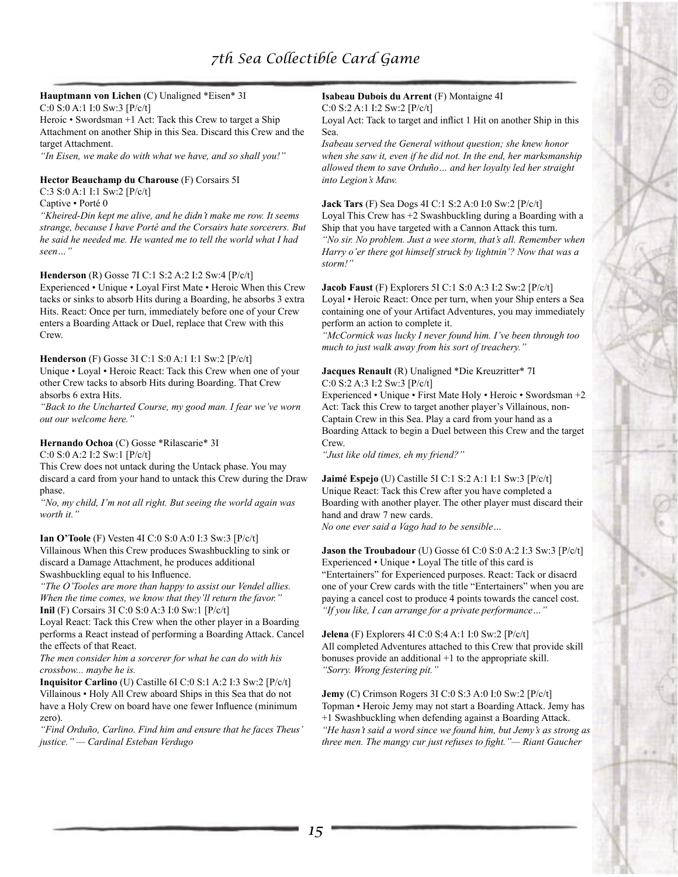# **Hauptmann von Lichen** (C) Unaligned \*Eisen\* 3I

C:0 S:0 A:1 I:0 Sw:3 [P/c/t]

Heroic • Swordsman +1 Act: Tack this Crew to target a Ship Attachment on another Ship in this Sea. Discard this Crew and the target Attachment.

*"In Eisen, we make do with what we have, and so shall you!"*

#### **Hector Beauchamp du Charouse** (F) Corsairs 5I

C:3 S:0 A:1 I:1 Sw:2 [P/c/t]

#### Captive • Porté 0

*"Kheired-Din kept me alive, and he didn't make me row. It seems strange, because I have Porté and the Corsairs hate sorcerers. But he said he needed me. He wanted me to tell the world what I had seen…"*

#### **Henderson** (R) Gosse 7I C:1 S:2 A:2 I:2 Sw:4 [P/c/t]

Experienced • Unique • Loyal First Mate • Heroic When this Crew tacks or sinks to absorb Hits during a Boarding, he absorbs 3 extra Hits. React: Once per turn, immediately before one of your Crew enters a Boarding Attack or Duel, replace that Crew with this Crew.

#### **Henderson** (F) Gosse 3I C:1 S:0 A:1 I:1 Sw:2 [P/c/t]

Unique • Loyal • Heroic React: Tack this Crew when one of your other Crew tacks to absorb Hits during Boarding. That Crew absorbs 6 extra Hits.

*"Back to the Uncharted Course, my good man. I fear we've worn out our welcome here."*

## **Hernando Ochoa** (C) Gosse \*Rilascarie\* 3I

C:0 S:0 A:2 I:2 Sw:1 [P/c/t]

This Crew does not untack during the Untack phase. You may discard a card from your hand to untack this Crew during the Draw phase.

*"No, my child, I'm not all right. But seeing the world again was worth it."*

#### **Ian O'Toole** (F) Vesten 4I C:0 S:0 A:0 I:3 Sw:3 [P/c/t]

Villainous When this Crew produces Swashbuckling to sink or discard a Damage Attachment, he produces additional Swashbuckling equal to his Influence.

*"The O'Tooles are more than happy to assist our Vendel allies. When the time comes, we know that they'll return the favor."* **Inil** (F) Corsairs 3I C:0 S:0 A:3 I:0 Sw:1 [P/c/t]

Loyal React: Tack this Crew when the other player in a Boarding performs a React instead of performing a Boarding Attack. Cancel the effects of that React.

*The men consider him a sorcerer for what he can do with his crossbow... maybe he is.*

**Inquisitor Carlino** (U) Castille 6I C:0 S:1 A:2 I:3 Sw:2 [P/c/t] Villainous • Holy All Crew aboard Ships in this Sea that do not have a Holy Crew on board have one fewer Influence (minimum zero).

*"Find Orduño, Carlino. Find him and ensure that he faces Theus' justice." — Cardinal Esteban Verdugo*

# **Isabeau Dubois du Arrent** (F) Montaigne 4I

C:0 S:2 A:1 I:2 Sw:2 [P/c/t]

Loyal Act: Tack to target and inflict 1 Hit on another Ship in this Sea.

*Isabeau served the General without question; she knew honor when she saw it, even if he did not. In the end, her marksmanship allowed them to save Orduño… and her loyalty led her straight into Legion's Maw.*

#### **Jack Tars** (F) Sea Dogs 4I C:1 S:2 A:0 I:0 Sw:2 [P/c/t]

Loyal This Crew has +2 Swashbuckling during a Boarding with a Ship that you have targeted with a Cannon Attack this turn. *"No sir. No problem. Just a wee storm, that's all. Remember when Harry o'er there got himself struck by lightnin'? Now that was a storm!"*

#### **Jacob Faust** (F) Explorers 5I C:1 S:0 A:3 I:2 Sw:2 [P/c/t]

Loyal • Heroic React: Once per turn, when your Ship enters a Sea containing one of your Artifact Adventures, you may immediately perform an action to complete it.

*"McCormick was lucky I never found him. I've been through too much to just walk away from his sort of treachery."*

## **Jacques Renault** (R) Unaligned \*Die Kreuzritter\* 7I C:0 S:2 A:3 I:2 Sw:3 [P/c/t]

Experienced • Unique • First Mate Holy • Heroic • Swordsman +2 Act: Tack this Crew to target another player's Villainous, non-Captain Crew in this Sea. Play a card from your hand as a Boarding Attack to begin a Duel between this Crew and the target Crew.

*"Just like old times, eh my friend?"*

**Jaimé Espejo** (U) Castille 5I C:1 S:2 A:1 I:1 Sw:3 [P/c/t] Unique React: Tack this Crew after you have completed a Boarding with another player. The other player must discard their hand and draw 7 new cards.

*No one ever said a Vago had to be sensible…*

# **Jason the Troubadour** (U) Gosse 6I C:0 S:0 A:2 I:3 Sw:3 [P/c/t] Experienced • Unique • Loyal The title of this card is "Entertainers" for Experienced purposes. React: Tack or disacrd

one of your Crew cards with the title "Entertainers" when you are paying a cancel cost to produce 4 points towards the cancel cost. *"If you like, I can arrange for a private performance…"*

**Jelena** (F) Explorers 4I C:0 S:4 A:1 I:0 Sw:2 [P/c/t] All completed Adventures attached to this Crew that provide skill bonuses provide an additional +1 to the appropriate skill. *"Sorry. Wrong festering pit."*

**Jemy** (C) Crimson Rogers 3I C:0 S:3 A:0 I:0 Sw:2 [P/c/t] Topman • Heroic Jemy may not start a Boarding Attack. Jemy has +1 Swashbuckling when defending against a Boarding Attack. *"He hasn't said a word since we found him, but Jemy's as strong as three men. The mangy cur just refuses to fight."— Riant Gaucher*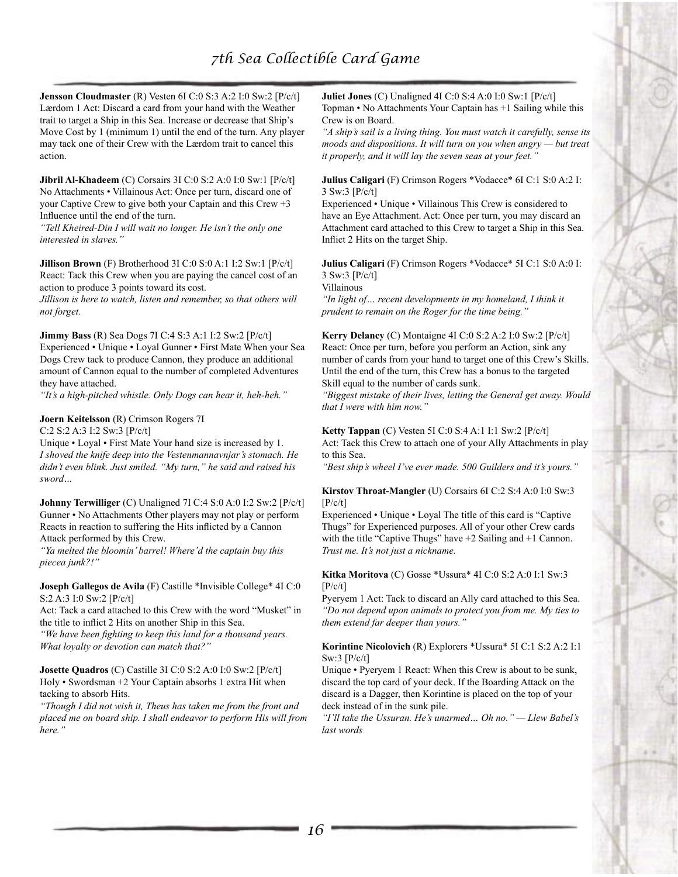**Jensson Cloudmaster** (R) Vesten 6I C:0 S:3 A:2 I:0 Sw:2 [P/c/t] Lærdom 1 Act: Discard a card from your hand with the Weather trait to target a Ship in this Sea. Increase or decrease that Ship's Move Cost by 1 (minimum 1) until the end of the turn. Any player may tack one of their Crew with the Lærdom trait to cancel this action.

**Jibril Al-Khadeem** (C) Corsairs 3I C:0 S:2 A:0 I:0 Sw:1 [P/c/t] No Attachments • Villainous Act: Once per turn, discard one of your Captive Crew to give both your Captain and this Crew +3 Influence until the end of the turn.

*"Tell Kheired-Din I will wait no longer. He isn't the only one interested in slaves."*

**Jillison Brown** (F) Brotherhood 3I C:0 S:0 A:1 I:2 Sw:1 [P/c/t] React: Tack this Crew when you are paying the cancel cost of an action to produce 3 points toward its cost.

*Jillison is here to watch, listen and remember, so that others will not forget.*

**Jimmy Bass** (R) Sea Dogs 7I C:4 S:3 A:1 I:2 Sw:2 [P/c/t] Experienced • Unique • Loyal Gunner • First Mate When your Sea Dogs Crew tack to produce Cannon, they produce an additional amount of Cannon equal to the number of completed Adventures they have attached.

*"It's a high-pitched whistle. Only Dogs can hear it, heh-heh."*

**Joern Keitelsson** (R) Crimson Rogers 7I

*sword…*

C:2 S:2 A:3 I:2 Sw:3 [P/c/t] Unique • Loyal • First Mate Your hand size is increased by 1. *I shoved the knife deep into the Vestenmannavnjar's stomach. He didn't even blink. Just smiled. "My turn," he said and raised his* 

**Johnny Terwilliger** (C) Unaligned 7I C:4 S:0 A:0 I:2 Sw:2 [P/c/t] Gunner • No Attachments Other players may not play or perform Reacts in reaction to suffering the Hits inflicted by a Cannon Attack performed by this Crew.

*"Ya melted the bloomin' barrel! Where'd the captain buy this piecea junk?!"*

**Joseph Gallegos de Avila** (F) Castille \*Invisible College\* 4I C:0 S:2 A:3 I:0 Sw:2 [P/c/t]

Act: Tack a card attached to this Crew with the word "Musket" in the title to inflict 2 Hits on another Ship in this Sea.

*"We have been fighting to keep this land for a thousand years. What loyalty or devotion can match that?"*

**Josette Quadros** (C) Castille 3I C:0 S:2 A:0 I:0 Sw:2 [P/c/t] Holy • Swordsman +2 Your Captain absorbs 1 extra Hit when tacking to absorb Hits.

*"Though I did not wish it, Theus has taken me from the front and placed me on board ship. I shall endeavor to perform His will from here."*

**Juliet Jones** (C) Unaligned 4I C:0 S:4 A:0 I:0 Sw:1 [P/c/t] Topman • No Attachments Your Captain has +1 Sailing while this Crew is on Board.

*"A ship's sail is a living thing. You must watch it carefully, sense its moods and dispositions. It will turn on you when angry — but treat it properly, and it will lay the seven seas at your feet."*

**Julius Caligari** (F) Crimson Rogers \*Vodacce\* 6I C:1 S:0 A:2 I: 3 Sw:3 [P/c/t]

Experienced • Unique • Villainous This Crew is considered to have an Eye Attachment. Act: Once per turn, you may discard an Attachment card attached to this Crew to target a Ship in this Sea. Inflict 2 Hits on the target Ship.

**Julius Caligari** (F) Crimson Rogers \*Vodacce\* 5I C:1 S:0 A:0 I: 3 Sw:3 [P/c/t]

Villainous

*"In light of… recent developments in my homeland, I think it prudent to remain on the Roger for the time being."*

**Kerry Delancy** (C) Montaigne 4I C:0 S:2 A:2 I:0 Sw:2 [P/c/t] React: Once per turn, before you perform an Action, sink any number of cards from your hand to target one of this Crew's Skills. Until the end of the turn, this Crew has a bonus to the targeted Skill equal to the number of cards sunk.

*"Biggest mistake of their lives, letting the General get away. Would that I were with him now."*

**Ketty Tappan** (C) Vesten 5I C:0 S:4 A:1 I:1 Sw:2 [P/c/t] Act: Tack this Crew to attach one of your Ally Attachments in play to this Sea.

*"Best ship's wheel I've ever made. 500 Guilders and it's yours."*

#### **Kirstov Throat-Mangler** (U) Corsairs 6I C:2 S:4 A:0 I:0 Sw:3  $[P/c/t]$

Experienced • Unique • Loyal The title of this card is "Captive Thugs" for Experienced purposes. All of your other Crew cards with the title "Captive Thugs" have  $+2$  Sailing and  $+1$  Cannon. *Trust me. It's not just a nickname.*

#### **Kitka Moritova** (C) Gosse \*Ussura\* 4I C:0 S:2 A:0 I:1 Sw:3  $[P/c/t]$

Pyeryem 1 Act: Tack to discard an Ally card attached to this Sea. *"Do not depend upon animals to protect you from me. My ties to them extend far deeper than yours."*

#### **Korintine Nicolovich** (R) Explorers \*Ussura\* 5I C:1 S:2 A:2 I:1 Sw:3 [P/c/t]

Unique • Pyeryem 1 React: When this Crew is about to be sunk, discard the top card of your deck. If the Boarding Attack on the discard is a Dagger, then Korintine is placed on the top of your deck instead of in the sunk pile.

*"I'll take the Ussuran. He's unarmed… Oh no." — Llew Babel's last words*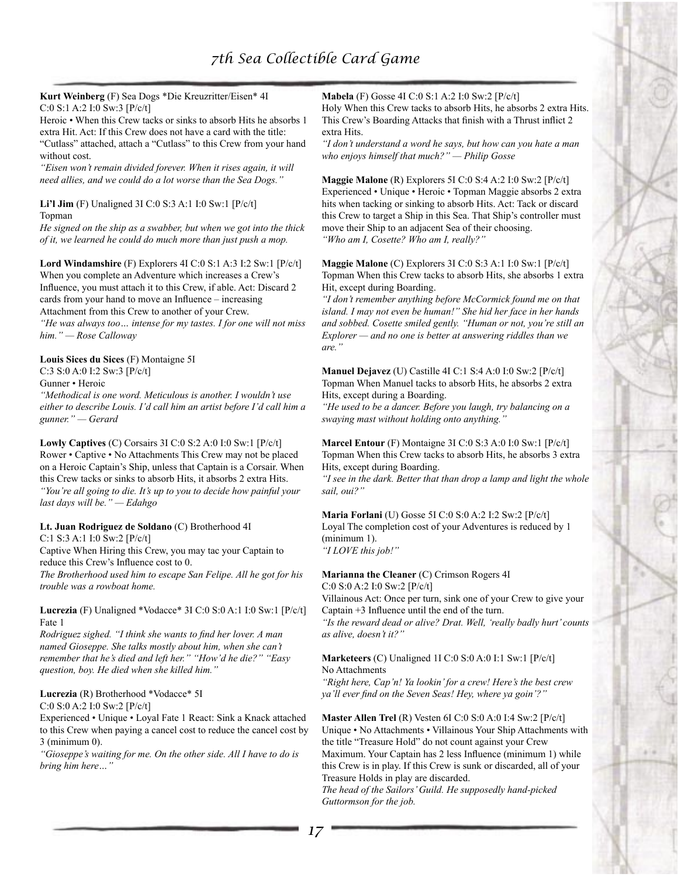**Kurt Weinberg** (F) Sea Dogs \*Die Kreuzritter/Eisen\* 4I C:0 S:1 A:2 I:0 Sw:3 [P/c/t]

Heroic • When this Crew tacks or sinks to absorb Hits he absorbs 1 extra Hit. Act: If this Crew does not have a card with the title: "Cutlass" attached, attach a "Cutlass" to this Crew from your hand without cost.

*"Eisen won't remain divided forever. When it rises again, it will need allies, and we could do a lot worse than the Sea Dogs."*

**Li'l Jim** (F) Unaligned 3I C:0 S:3 A:1 I:0 Sw:1 [P/c/t] Topman

*He signed on the ship as a swabber, but when we got into the thick of it, we learned he could do much more than just push a mop.*

**Lord Windamshire** (F) Explorers 4I C:0 S:1 A:3 I:2 Sw:1 [P/c/t] When you complete an Adventure which increases a Crew's Influence, you must attach it to this Crew, if able. Act: Discard 2 cards from your hand to move an Influence – increasing Attachment from this Crew to another of your Crew. *"He was always too… intense for my tastes. I for one will not miss him." — Rose Calloway*

**Louis Sices du Sices** (F) Montaigne 5I

C:3 S:0 A:0 I:2 Sw:3 [P/c/t]

Gunner • Heroic

*"Methodical is one word. Meticulous is another. I wouldn't use either to describe Louis. I'd call him an artist before I'd call him a gunner." — Gerard*

**Lowly Captives** (C) Corsairs 3I C:0 S:2 A:0 I:0 Sw:1 [P/c/t] Rower • Captive • No Attachments This Crew may not be placed on a Heroic Captain's Ship, unless that Captain is a Corsair. When this Crew tacks or sinks to absorb Hits, it absorbs 2 extra Hits. *"You're all going to die. It's up to you to decide how painful your last days will be." — Edahgo*

#### **Lt. Juan Rodriguez de Soldano** (C) Brotherhood 4I

C:1 S:3 A:1 I:0 Sw:2 [P/c/t]

Captive When Hiring this Crew, you may tac your Captain to reduce this Crew's Influence cost to 0.

*The Brotherhood used him to escape San Felipe. All he got for his trouble was a rowboat home.*

**Lucrezia** (F) Unaligned \*Vodacce\* 3I C:0 S:0 A:1 I:0 Sw:1 [P/c/t] Fate 1

*Rodriguez sighed. "I think she wants to find her lover. A man named Gioseppe. She talks mostly about him, when she can't remember that he's died and left her." "How'd he die?" "Easy question, boy. He died when she killed him."*

#### **Lucrezia** (R) Brotherhood \*Vodacce\* 5I C:0 S:0 A:2 I:0 Sw:2 [P/c/t]

Experienced • Unique • Loyal Fate 1 React: Sink a Knack attached to this Crew when paying a cancel cost to reduce the cancel cost by 3 (minimum 0).

*"Gioseppe's waiting for me. On the other side. All I have to do is bring him here…"*

**Mabela** (F) Gosse 4I C:0 S:1 A:2 I:0 Sw:2 [P/c/t]

Holy When this Crew tacks to absorb Hits, he absorbs 2 extra Hits. This Crew's Boarding Attacks that finish with a Thrust inflict 2 extra Hits.

*"I don't understand a word he says, but how can you hate a man who enjoys himself that much?" — Philip Gosse*

**Maggie Malone** (R) Explorers 5I C:0 S:4 A:2 I:0 Sw:2 [P/c/t] Experienced • Unique • Heroic • Topman Maggie absorbs 2 extra hits when tacking or sinking to absorb Hits. Act: Tack or discard this Crew to target a Ship in this Sea. That Ship's controller must move their Ship to an adjacent Sea of their choosing. *"Who am I, Cosette? Who am I, really?"*

**Maggie Malone** (C) Explorers 3I C:0 S:3 A:1 I:0 Sw:1 [P/c/t] Topman When this Crew tacks to absorb Hits, she absorbs 1 extra Hit, except during Boarding.

*"I don't remember anything before McCormick found me on that island. I may not even be human!" She hid her face in her hands and sobbed. Cosette smiled gently. "Human or not, you're still an Explorer — and no one is better at answering riddles than we are."*

**Manuel Dejavez** (U) Castille 4I C:1 S:4 A:0 I:0 Sw:2 [P/c/t] Topman When Manuel tacks to absorb Hits, he absorbs 2 extra Hits, except during a Boarding.

*"He used to be a dancer. Before you laugh, try balancing on a swaying mast without holding onto anything."*

**Marcel Entour** (F) Montaigne 3I C:0 S:3 A:0 I:0 Sw:1 [P/c/t] Topman When this Crew tacks to absorb Hits, he absorbs 3 extra Hits, except during Boarding.

*"I see in the dark. Better that than drop a lamp and light the whole sail, oui?"*

**Maria Forlani** (U) Gosse 5I C:0 S:0 A:2 I:2 Sw:2 [P/c/t] Loyal The completion cost of your Adventures is reduced by 1 (minimum 1). *"I LOVE this job!"*

**Marianna the Cleaner** (C) Crimson Rogers 4I

C:0 S:0 A:2 I:0 Sw:2 [P/c/t]

Villainous Act: Once per turn, sink one of your Crew to give your Captain +3 Influence until the end of the turn.

*"Is the reward dead or alive? Drat. Well, 'really badly hurt' counts as alive, doesn't it?"*

**Marketeers** (C) Unaligned 1I C:0 S:0 A:0 I:1 Sw:1 [P/c/t] No Attachments

*"Right here, Cap'n! Ya lookin' for a crew! Here's the best crew ya'll ever find on the Seven Seas! Hey, where ya goin'?"*

**Master Allen Trel** (R) Vesten 6I C:0 S:0 A:0 I:4 Sw:2 [P/c/t] Unique • No Attachments • Villainous Your Ship Attachments with the title "Treasure Hold" do not count against your Crew Maximum. Your Captain has 2 less Influence (minimum 1) while this Crew is in play. If this Crew is sunk or discarded, all of your Treasure Holds in play are discarded.

*The head of the Sailors' Guild. He supposedly hand-picked Guttormson for the job.*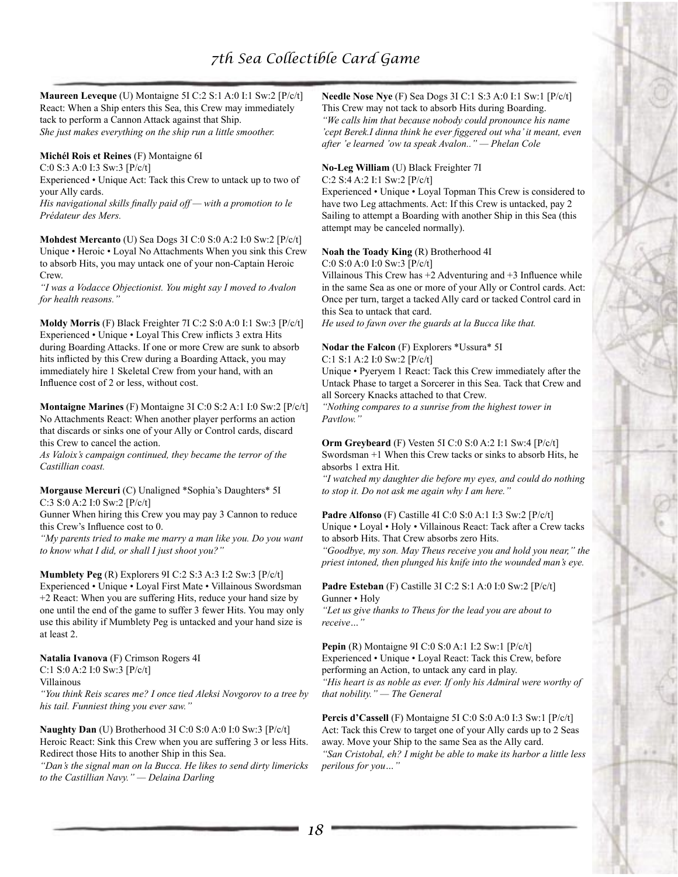**Maureen Leveque** (U) Montaigne 5I C:2 S:1 A:0 I:1 Sw:2 [P/c/t] React: When a Ship enters this Sea, this Crew may immediately tack to perform a Cannon Attack against that Ship. *She just makes everything on the ship run a little smoother.*

## **Michél Rois et Reines** (F) Montaigne 6I

C:0 S:3 A:0 I:3 Sw:3 [P/c/t]

Experienced • Unique Act: Tack this Crew to untack up to two of your Ally cards.

*His navigational skills finally paid off — with a promotion to le Prédateur des Mers.*

**Mohdest Mercanto** (U) Sea Dogs 3I C:0 S:0 A:2 I:0 Sw:2 [P/c/t] Unique • Heroic • Loyal No Attachments When you sink this Crew to absorb Hits, you may untack one of your non-Captain Heroic Crew.

*"I was a Vodacce Objectionist. You might say I moved to Avalon for health reasons."*

**Moldy Morris** (F) Black Freighter 7I C:2 S:0 A:0 I:1 Sw:3 [P/c/t] Experienced • Unique • Loyal This Crew inflicts 3 extra Hits during Boarding Attacks. If one or more Crew are sunk to absorb hits inflicted by this Crew during a Boarding Attack, you may immediately hire 1 Skeletal Crew from your hand, with an Influence cost of 2 or less, without cost.

**Montaigne Marines** (F) Montaigne 3I C:0 S:2 A:1 I:0 Sw:2 [P/c/t] No Attachments React: When another player performs an action that discards or sinks one of your Ally or Control cards, discard this Crew to cancel the action.

*As Valoix's campaign continued, they became the terror of the Castillian coast.*

#### **Morgause Mercuri** (C) Unaligned \*Sophia's Daughters\* 5I C:3 S:0 A:2 I:0 Sw:2 [P/c/t]

Gunner When hiring this Crew you may pay 3 Cannon to reduce this Crew's Influence cost to 0.

*"My parents tried to make me marry a man like you. Do you want to know what I did, or shall I just shoot you?"*

**Mumblety Peg** (R) Explorers 9I C:2 S:3 A:3 I:2 Sw:3 [P/c/t] Experienced • Unique • Loyal First Mate • Villainous Swordsman +2 React: When you are suffering Hits, reduce your hand size by one until the end of the game to suffer 3 fewer Hits. You may only use this ability if Mumblety Peg is untacked and your hand size is at least 2.

**Natalia Ivanova** (F) Crimson Rogers 4I C:1 S:0 A:2 I:0 Sw:3 [P/c/t]

Villainous

*"You think Reis scares me? I once tied Aleksi Novgorov to a tree by his tail. Funniest thing you ever saw."*

**Naughty Dan** (U) Brotherhood 3I C:0 S:0 A:0 I:0 Sw:3 [P/c/t] Heroic React: Sink this Crew when you are suffering 3 or less Hits. Redirect those Hits to another Ship in this Sea. *"Dan's the signal man on la Bucca. He likes to send dirty limericks to the Castillian Navy." — Delaina Darling*

**Needle Nose Nye** (F) Sea Dogs 3I C:1 S:3 A:0 I:1 Sw:1 [P/c/t] This Crew may not tack to absorb Hits during Boarding. *"We calls him that because nobody could pronounce his name 'cept Berek.I dinna think he ever figgered out wha' it meant, even after 'e learned 'ow ta speak Avalon.." — Phelan Cole*

## **No-Leg William** (U) Black Freighter 7I

C:2 S:4 A:2 I:1 Sw:2 [P/c/t]

Experienced • Unique • Loyal Topman This Crew is considered to have two Leg attachments. Act: If this Crew is untacked, pay 2 Sailing to attempt a Boarding with another Ship in this Sea (this attempt may be canceled normally).

# **Noah the Toady King** (R) Brotherhood 4I

C:0 S:0 A:0 I:0 Sw:3 [P/c/t]

Villainous This Crew has +2 Adventuring and +3 Influence while in the same Sea as one or more of your Ally or Control cards. Act: Once per turn, target a tacked Ally card or tacked Control card in this Sea to untack that card.

*He used to fawn over the guards at la Bucca like that.*

#### **Nodar the Falcon** (F) Explorers \*Ussura\* 5I

C:1 S:1 A:2 I:0 Sw:2 [P/c/t]

Unique • Pyeryem 1 React: Tack this Crew immediately after the Untack Phase to target a Sorcerer in this Sea. Tack that Crew and all Sorcery Knacks attached to that Crew.

*"Nothing compares to a sunrise from the highest tower in Pavtlow."*

**Orm Greybeard** (F) Vesten 5I C:0 S:0 A:2 I:1 Sw:4 [P/c/t] Swordsman +1 When this Crew tacks or sinks to absorb Hits, he absorbs 1 extra Hit.

*"I watched my daughter die before my eyes, and could do nothing to stop it. Do not ask me again why I am here."*

**Padre Alfonso** (F) Castille 4I C:0 S:0 A:1 I:3 Sw:2 [P/c/t] Unique • Loyal • Holy • Villainous React: Tack after a Crew tacks to absorb Hits. That Crew absorbs zero Hits.

*"Goodbye, my son. May Theus receive you and hold you near," the priest intoned, then plunged his knife into the wounded man's eye.*

#### **Padre Esteban** (F) Castille 3I C:2 S:1 A:0 I:0 Sw:2 [P/c/t] Gunner • Holy

*"Let us give thanks to Theus for the lead you are about to receive…"*

**Pepin** (R) Montaigne 9I C:0 S:0 A:1 I:2 Sw:1 [P/c/t] Experienced • Unique • Loyal React: Tack this Crew, before performing an Action, to untack any card in play. *"His heart is as noble as ever. If only his Admiral were worthy of that nobility." — The General*

**Percis d'Cassell** (F) Montaigne 5I C:0 S:0 A:0 I:3 Sw:1 [P/c/t] Act: Tack this Crew to target one of your Ally cards up to 2 Seas away. Move your Ship to the same Sea as the Ally card. *"San Cristobal, eh? I might be able to make its harbor a little less perilous for you…"*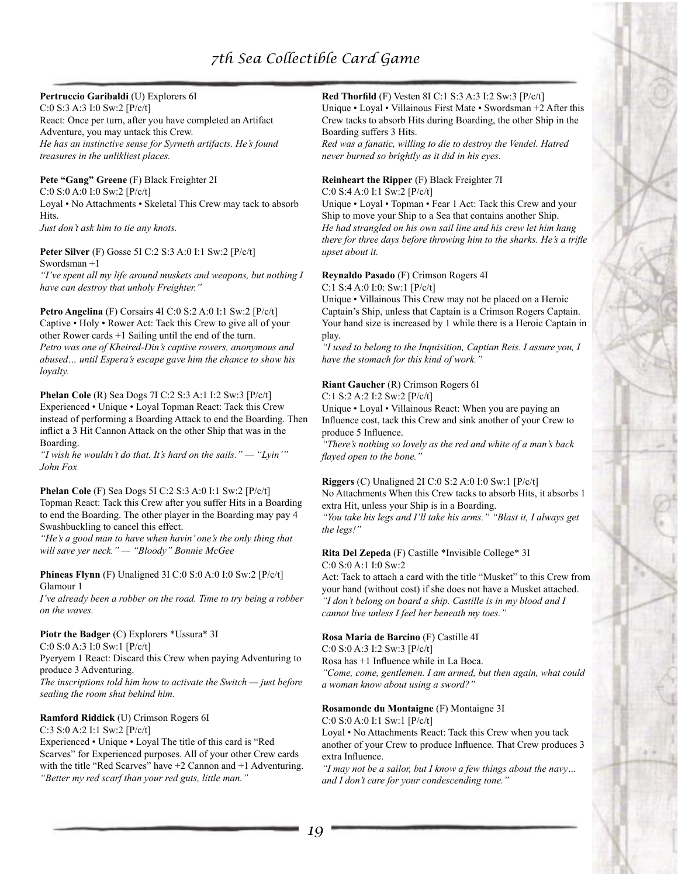## **Pertruccio Garibaldi** (U) Explorers 6I

C:0 S:3 A:3 I:0 Sw:2 [P/c/t] React: Once per turn, after you have completed an Artifact Adventure, you may untack this Crew. *He has an instinctive sense for Syrneth artifacts. He's found treasures in the unlikliest places.*

#### **Pete "Gang" Greene** (F) Black Freighter 2I

C:0 S:0 A:0 I:0 Sw:2 [P/c/t] Loyal • No Attachments • Skeletal This Crew may tack to absorb Hits.

*Just don't ask him to tie any knots.*

#### **Peter Silver** (F) Gosse 5I C:2 S:3 A:0 I:1 Sw:2 [P/c/t] Swordsman +1

*"I've spent all my life around muskets and weapons, but nothing I have can destroy that unholy Freighter."*

**Petro Angelina** (F) Corsairs 4I C:0 S:2 A:0 I:1 Sw:2 [P/c/t] Captive • Holy • Rower Act: Tack this Crew to give all of your other Rower cards +1 Sailing until the end of the turn. *Petro was one of Kheired-Din's captive rowers, anonymous and abused… until Espera's escape gave him the chance to show his loyalty.*

#### **Phelan Cole** (R) Sea Dogs 7I C:2 S:3 A:1 I:2 Sw:3 [P/c/t] Experienced • Unique • Loyal Topman React: Tack this Crew instead of performing a Boarding Attack to end the Boarding. Then inflict a 3 Hit Cannon Attack on the other Ship that was in the Boarding.

*"I wish he wouldn't do that. It's hard on the sails." — "Lyin'" John Fox*

**Phelan Cole** (F) Sea Dogs 5I C:2 S:3 A:0 I:1 Sw:2 [P/c/t] Topman React: Tack this Crew after you suffer Hits in a Boarding to end the Boarding. The other player in the Boarding may pay 4 Swashbuckling to cancel this effect.

*"He's a good man to have when havin' one's the only thing that will save yer neck." — "Bloody" Bonnie McGee*

#### **Phineas Flynn** (F) Unaligned 3I C:0 S:0 A:0 I:0 Sw:2 [P/c/t] Glamour 1

*I've already been a robber on the road. Time to try being a robber on the waves.*

# **Piotr the Badger** (C) Explorers \*Ussura\* 3I

C:0 S:0 A:3 I:0 Sw:1 [P/c/t]

Pyeryem 1 React: Discard this Crew when paying Adventuring to produce 3 Adventuring.

*The inscriptions told him how to activate the Switch — just before sealing the room shut behind him.*

## **Ramford Riddick** (U) Crimson Rogers 6I

C:3 S:0 A:2 I:1 Sw:2 [P/c/t]

Experienced • Unique • Loyal The title of this card is "Red Scarves" for Experienced purposes. All of your other Crew cards with the title "Red Scarves" have  $+2$  Cannon and  $+1$  Adventuring. *"Better my red scarf than your red guts, little man."*

## **Red Thorfild** (F) Vesten 8I C:1 S:3 A:3 I:2 Sw:3 [P/c/t]

Unique • Loyal • Villainous First Mate • Swordsman +2 After this Crew tacks to absorb Hits during Boarding, the other Ship in the Boarding suffers 3 Hits.

*Red was a fanatic, willing to die to destroy the Vendel. Hatred never burned so brightly as it did in his eyes.*

# **Reinheart the Ripper** (F) Black Freighter 7I

C:0 S:4 A:0 I:1 Sw:2 [P/c/t]

Unique • Loyal • Topman • Fear 1 Act: Tack this Crew and your Ship to move your Ship to a Sea that contains another Ship. *He had strangled on his own sail line and his crew let him hang there for three days before throwing him to the sharks. He's a trifle upset about it.*

# **Reynaldo Pasado** (F) Crimson Rogers 4I

C:1 S:4 A:0 I:0: Sw:1 [P/c/t]

Unique • Villainous This Crew may not be placed on a Heroic Captain's Ship, unless that Captain is a Crimson Rogers Captain. Your hand size is increased by 1 while there is a Heroic Captain in play.

*"I used to belong to the Inquisition, Captian Reis. I assure you, I have the stomach for this kind of work."*

# **Riant Gaucher** (R) Crimson Rogers 6I

C:1 S:2 A:2 I:2 Sw:2 [P/c/t]

Unique • Loyal • Villainous React: When you are paying an Influence cost, tack this Crew and sink another of your Crew to produce 5 Influence.

*"There's nothing so lovely as the red and white of a man's back flayed open to the bone."*

# **Riggers** (C) Unaligned 2I C:0 S:2 A:0 I:0 Sw:1 [P/c/t] No Attachments When this Crew tacks to absorb Hits, it absorbs 1 extra Hit, unless your Ship is in a Boarding.

*"You take his legs and I'll take his arms." "Blast it, I always get the legs!"*

## **Rita Del Zepeda** (F) Castille \*Invisible College\* 3I C:0 S:0 A:1 I:0 Sw:2

Act: Tack to attach a card with the title "Musket" to this Crew from your hand (without cost) if she does not have a Musket attached. *"I don't belong on board a ship. Castille is in my blood and I cannot live unless I feel her beneath my toes."*

# **Rosa Maria de Barcino** (F) Castille 4I

C:0 S:0 A:3 I:2 Sw:3 [P/c/t]

Rosa has +1 Influence while in La Boca.

*"Come, come, gentlemen. I am armed, but then again, what could a woman know about using a sword?"*

# **Rosamonde du Montaigne** (F) Montaigne 3I

C:0 S:0 A:0 I:1 Sw:1 [P/c/t]

Loyal • No Attachments React: Tack this Crew when you tack another of your Crew to produce Influence. That Crew produces 3 extra Influence.

*"I may not be a sailor, but I know a few things about the navy… and I don't care for your condescending tone."*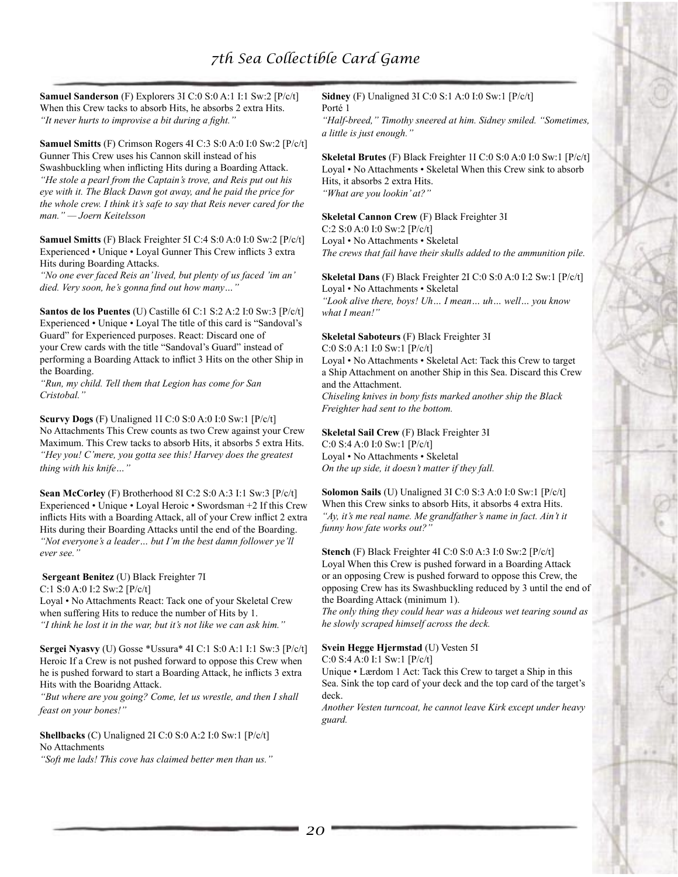**Samuel Sanderson** (F) Explorers 3I C:0 S:0 A:1 I:1 Sw:2 [P/c/t] When this Crew tacks to absorb Hits, he absorbs 2 extra Hits. *"It never hurts to improvise a bit during a fight."*

**Samuel Smitts** (F) Crimson Rogers 4I C:3 S:0 A:0 I:0 Sw:2 [P/c/t] Gunner This Crew uses his Cannon skill instead of his Swashbuckling when inflicting Hits during a Boarding Attack. *"He stole a pearl from the Captain's trove, and Reis put out his eye with it. The Black Dawn got away, and he paid the price for the whole crew. I think it's safe to say that Reis never cared for the man." — Joern Keitelsson*

**Samuel Smitts** (F) Black Freighter 5I C:4 S:0 A:0 I:0 Sw:2 [P/c/t] Experienced • Unique • Loyal Gunner This Crew inflicts 3 extra Hits during Boarding Attacks.

*"No one ever faced Reis an' lived, but plenty of us faced 'im an' died. Very soon, he's gonna find out how many…"*

**Santos de los Puentes** (U) Castille 6I C:1 S:2 A:2 I:0 Sw:3 [P/c/t] Experienced • Unique • Loyal The title of this card is "Sandoval's Guard" for Experienced purposes. React: Discard one of your Crew cards with the title "Sandoval's Guard" instead of performing a Boarding Attack to inflict 3 Hits on the other Ship in the Boarding.

*"Run, my child. Tell them that Legion has come for San Cristobal."*

**Scurvy Dogs** (F) Unaligned 1I C:0 S:0 A:0 I:0 Sw:1 [P/c/t] No Attachments This Crew counts as two Crew against your Crew Maximum. This Crew tacks to absorb Hits, it absorbs 5 extra Hits. *"Hey you! C'mere, you gotta see this! Harvey does the greatest thing with his knife…"*

**Sean McCorley** (F) Brotherhood 8I C:2 S:0 A:3 I:1 Sw:3 [P/c/t] Experienced • Unique • Loyal Heroic • Swordsman +2 If this Crew inflicts Hits with a Boarding Attack, all of your Crew inflict 2 extra Hits during their Boarding Attacks until the end of the Boarding. *"Not everyone's a leader… but I'm the best damn follower ye'll ever see."*

# **Sergeant Benitez** (U) Black Freighter 7I

C:1 S:0 A:0 I:2 Sw:2 [P/c/t] Loyal • No Attachments React: Tack one of your Skeletal Crew

when suffering Hits to reduce the number of Hits by 1. *"I think he lost it in the war, but it's not like we can ask him."*

**Sergei Nyasvy** (U) Gosse \*Ussura\* 4I C:1 S:0 A:1 I:1 Sw:3 [P/c/t] Heroic If a Crew is not pushed forward to oppose this Crew when he is pushed forward to start a Boarding Attack, he inflicts 3 extra Hits with the Boaridng Attack.

*"But where are you going? Come, let us wrestle, and then I shall feast on your bones!"*

**Shellbacks** (C) Unaligned 2I C:0 S:0 A:2 I:0 Sw:1 [P/c/t] No Attachments

*"Soft me lads! This cove has claimed better men than us."*

**Sidney** (F) Unaligned 3I C:0 S:1 A:0 I:0 Sw:1 [P/c/t] Porté 1

*"Half-breed," Timothy sneered at him. Sidney smiled. "Sometimes, a little is just enough."*

**Skeletal Brutes** (F) Black Freighter 1I C:0 S:0 A:0 I:0 Sw:1 [P/c/t] Loyal • No Attachments • Skeletal When this Crew sink to absorb Hits, it absorbs 2 extra Hits. *"What are you lookin' at?"*

**Skeletal Cannon Crew** (F) Black Freighter 3I C:2 S:0 A:0 I:0 Sw:2 [P/c/t] Loyal • No Attachments • Skeletal *The crews that fail have their skulls added to the ammunition pile.*

**Skeletal Dans** (F) Black Freighter 2I C:0 S:0 A:0 I:2 Sw:1 [P/c/t] Loyal • No Attachments • Skeletal

*"Look alive there, boys! Uh… I mean… uh… well… you know what I mean!"*

## **Skeletal Saboteurs** (F) Black Freighter 3I

C:0 S:0 A:1 I:0 Sw:1 [P/c/t]

Loyal • No Attachments • Skeletal Act: Tack this Crew to target a Ship Attachment on another Ship in this Sea. Discard this Crew and the Attachment. *Chiseling knives in bony fists marked another ship the Black* 

*Freighter had sent to the bottom.*

**Skeletal Sail Crew** (F) Black Freighter 3I C:0 S:4 A:0 I:0 Sw:1 [P/c/t] Loyal • No Attachments • Skeletal *On the up side, it doesn't matter if they fall.*

**Solomon Sails** (U) Unaligned 3I C:0 S:3 A:0 I:0 Sw:1 [P/c/t] When this Crew sinks to absorb Hits, it absorbs 4 extra Hits. *"Ay, it's me real name. Me grandfather's name in fact. Ain't it funny how fate works out?"*

**Stench** (F) Black Freighter 4I C:0 S:0 A:3 I:0 Sw:2 [P/c/t] Loyal When this Crew is pushed forward in a Boarding Attack or an opposing Crew is pushed forward to oppose this Crew, the opposing Crew has its Swashbuckling reduced by 3 until the end of the Boarding Attack (minimum 1).

*The only thing they could hear was a hideous wet tearing sound as he slowly scraped himself across the deck.*

# **Svein Hegge Hjermstad** (U) Vesten 5I

C:0 S:4 A:0 I:1 Sw:1 [P/c/t]

Unique • Lærdom 1 Act: Tack this Crew to target a Ship in this Sea. Sink the top card of your deck and the top card of the target's deck.

*Another Vesten turncoat, he cannot leave Kirk except under heavy guard.*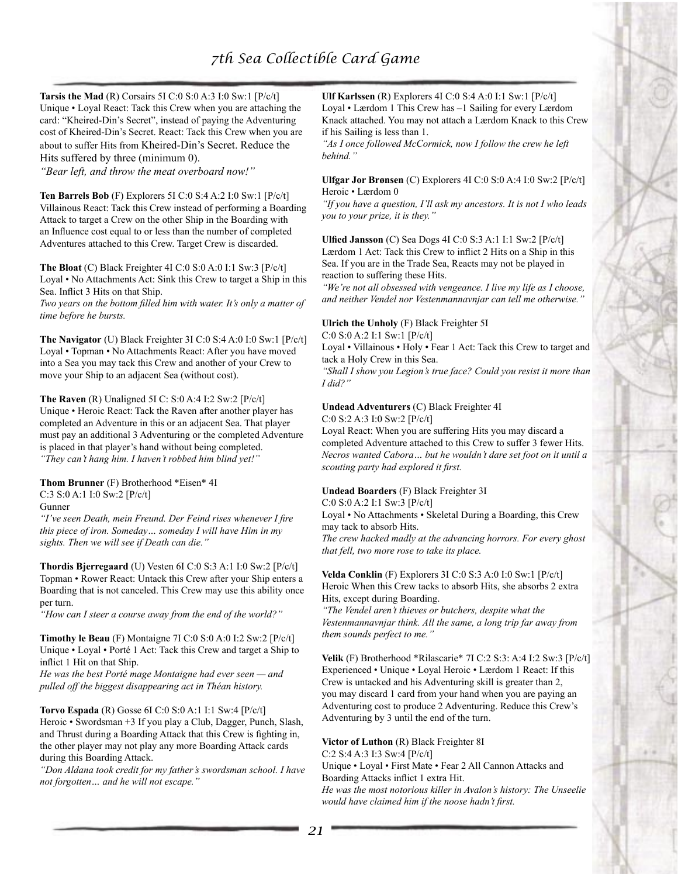**Tarsis the Mad** (R) Corsairs 5I C:0 S:0 A:3 I:0 Sw:1 [P/c/t] Unique • Loyal React: Tack this Crew when you are attaching the card: "Kheired-Din's Secret", instead of paying the Adventuring cost of Kheired-Din's Secret. React: Tack this Crew when you are about to suffer Hits from Kheired-Din's Secret. Reduce the Hits suffered by three (minimum 0).

*"Bear left, and throw the meat overboard now!"*

**Ten Barrels Bob** (F) Explorers 5I C:0 S:4 A:2 I:0 Sw:1 [P/c/t] Villainous React: Tack this Crew instead of performing a Boarding Attack to target a Crew on the other Ship in the Boarding with an Influence cost equal to or less than the number of completed Adventures attached to this Crew. Target Crew is discarded.

**The Bloat** (C) Black Freighter 4I C:0 S:0 A:0 I:1 Sw:3 [P/c/t] Loyal • No Attachments Act: Sink this Crew to target a Ship in this Sea. Inflict 3 Hits on that Ship.

*Two years on the bottom filled him with water. It's only a matter of time before he bursts.*

**The Navigator** (U) Black Freighter 3I C:0 S:4 A:0 I:0 Sw:1 [P/c/t] Loyal • Topman • No Attachments React: After you have moved into a Sea you may tack this Crew and another of your Crew to move your Ship to an adjacent Sea (without cost).

**The Raven** (R) Unaligned 5I C: S:0 A:4 I:2 Sw:2 [P/c/t] Unique • Heroic React: Tack the Raven after another player has completed an Adventure in this or an adjacent Sea. That player must pay an additional 3 Adventuring or the completed Adventure is placed in that player's hand without being completed. *"They can't hang him. I haven't robbed him blind yet!"*

**Thom Brunner** (F) Brotherhood \*Eisen\* 4I C:3 S:0 A:1 I:0 Sw:2 [P/c/t]

Gunner

*"I've seen Death, mein Freund. Der Feind rises whenever I fire this piece of iron. Someday… someday I will have Him in my sights. Then we will see if Death can die."*

**Thordis Bjerregaard** (U) Vesten 6I C:0 S:3 A:1 I:0 Sw:2 [P/c/t] Topman • Rower React: Untack this Crew after your Ship enters a Boarding that is not canceled. This Crew may use this ability once per turn.

*"How can I steer a course away from the end of the world?"*

**Timothy le Beau** (F) Montaigne 7I C:0 S:0 A:0 I:2 Sw:2 [P/c/t] Unique • Loyal • Porté 1 Act: Tack this Crew and target a Ship to inflict 1 Hit on that Ship.

*He was the best Porté mage Montaigne had ever seen — and pulled off the biggest disappearing act in Théan history.*

**Torvo Espada** (R) Gosse 6I C:0 S:0 A:1 I:1 Sw:4 [P/c/t] Heroic • Swordsman +3 If you play a Club, Dagger, Punch, Slash, and Thrust during a Boarding Attack that this Crew is fighting in, the other player may not play any more Boarding Attack cards during this Boarding Attack.

*"Don Aldana took credit for my father's swordsman school. I have not forgotten… and he will not escape."*

**Ulf Karlssen** (R) Explorers 4I C:0 S:4 A:0 I:1 Sw:1 [P/c/t] Loyal • Lærdom 1 This Crew has –1 Sailing for every Lærdom Knack attached. You may not attach a Lærdom Knack to this Crew if his Sailing is less than 1.

*"As I once followed McCormick, now I follow the crew he left behind."*

**Ulfgar Jor Brønsen** (C) Explorers 4I C:0 S:0 A:4 I:0 Sw:2 [P/c/t] Heroic • Lærdom 0

*"If you have a question, I'll ask my ancestors. It is not I who leads you to your prize, it is they."*

**Ulfied Jansson** (C) Sea Dogs 4I C:0 S:3 A:1 I:1 Sw:2 [P/c/t] Lærdom 1 Act: Tack this Crew to inflict 2 Hits on a Ship in this Sea. If you are in the Trade Sea, Reacts may not be played in reaction to suffering these Hits.

*"We're not all obsessed with vengeance. I live my life as I choose, and neither Vendel nor Vestenmannavnjar can tell me otherwise."*

#### **Ulrich the Unholy** (F) Black Freighter 5I

C:0 S:0 A:2 I:1 Sw:1 [P/c/t]

Loyal • Villainous • Holy • Fear 1 Act: Tack this Crew to target and tack a Holy Crew in this Sea.

*"Shall I show you Legion's true face? Could you resist it more than I did?"*

#### **Undead Adventurers** (C) Black Freighter 4I

C:0 S:2 A:3 I:0 Sw:2 [P/c/t]

Loyal React: When you are suffering Hits you may discard a completed Adventure attached to this Crew to suffer 3 fewer Hits. *Necros wanted Cabora… but he wouldn't dare set foot on it until a scouting party had explored it first.*

#### **Undead Boarders** (F) Black Freighter 3I

C:0 S:0 A:2 I:1 Sw:3 [P/c/t]

Loyal • No Attachments • Skeletal During a Boarding, this Crew may tack to absorb Hits.

*The crew hacked madly at the advancing horrors. For every ghost that fell, two more rose to take its place.*

**Velda Conklin** (F) Explorers 3I C:0 S:3 A:0 I:0 Sw:1 [P/c/t] Heroic When this Crew tacks to absorb Hits, she absorbs 2 extra Hits, except during Boarding.

*"The Vendel aren't thieves or butchers, despite what the Vestenmannavnjar think. All the same, a long trip far away from them sounds perfect to me."*

**Velik** (F) Brotherhood \*Rilascarie\* 7I C:2 S:3: A:4 I:2 Sw:3 [P/c/t] Experienced • Unique • Loyal Heroic • Lærdom 1 React: If this Crew is untacked and his Adventuring skill is greater than 2, you may discard 1 card from your hand when you are paying an Adventuring cost to produce 2 Adventuring. Reduce this Crew's Adventuring by 3 until the end of the turn.

**Victor of Luthon** (R) Black Freighter 8I C:2 S:4 A:3 I:3 Sw:4 [P/c/t] Unique • Loyal • First Mate • Fear 2 All Cannon Attacks and Boarding Attacks inflict 1 extra Hit. *He was the most notorious killer in Avalon's history: The Unseelie would have claimed him if the noose hadn't first.*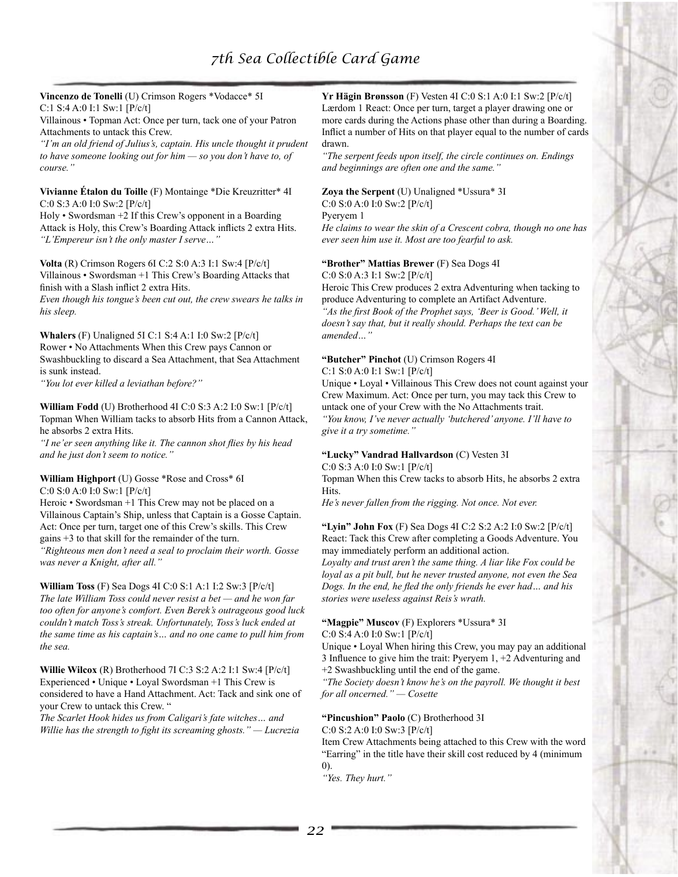**Vincenzo de Tonelli** (U) Crimson Rogers \*Vodacce\* 5I C:1 S:4 A:0 I:1 Sw:1 [P/c/t]

Villainous • Topman Act: Once per turn, tack one of your Patron Attachments to untack this Crew.

*"I'm an old friend of Julius's, captain. His uncle thought it prudent to have someone looking out for him — so you don't have to, of course."*

#### **Vivianne Étalon du Toille** (F) Montainge \*Die Kreuzritter\* 4I C:0 S:3 A:0 I:0 Sw:2 [P/c/t]

Holy • Swordsman +2 If this Crew's opponent in a Boarding Attack is Holy, this Crew's Boarding Attack inflicts 2 extra Hits. *"L'Empereur isn't the only master I serve…"*

**Volta** (R) Crimson Rogers 6I C:2 S:0 A:3 I:1 Sw:4 [P/c/t] Villainous • Swordsman +1 This Crew's Boarding Attacks that finish with a Slash inflict 2 extra Hits.

*Even though his tongue's been cut out, the crew swears he talks in his sleep.*

**Whalers** (F) Unaligned 5I C:1 S:4 A:1 I:0 Sw:2 [P/c/t] Rower • No Attachments When this Crew pays Cannon or Swashbuckling to discard a Sea Attachment, that Sea Attachment is sunk instead.

*"You lot ever killed a leviathan before?"*

**William Fodd** (U) Brotherhood 4I C:0 S:3 A:2 I:0 Sw:1 [P/c/t] Topman When William tacks to absorb Hits from a Cannon Attack, he absorbs 2 extra Hits.

*"I ne'er seen anything like it. The cannon shot flies by his head and he just don't seem to notice."*

#### **William Highport** (U) Gosse \*Rose and Cross\* 6I C:0 S:0 A:0 I:0 Sw:1 [P/c/t]

Heroic • Swordsman +1 This Crew may not be placed on a Villainous Captain's Ship, unless that Captain is a Gosse Captain. Act: Once per turn, target one of this Crew's skills. This Crew gains +3 to that skill for the remainder of the turn. *"Righteous men don't need a seal to proclaim their worth. Gosse was never a Knight, after all."*

**William Toss** (F) Sea Dogs 4I C:0 S:1 A:1 I:2 Sw:3 [P/c/t] *The late William Toss could never resist a bet — and he won far too often for anyone's comfort. Even Berek's outrageous good luck couldn't match Toss's streak. Unfortunately, Toss's luck ended at the same time as his captain's… and no one came to pull him from the sea.*

**Willie Wilcox** (R) Brotherhood 7I C:3 S:2 A:2 I:1 Sw:4 [P/c/t] Experienced • Unique • Loyal Swordsman +1 This Crew is considered to have a Hand Attachment. Act: Tack and sink one of your Crew to untack this Crew. "

*The Scarlet Hook hides us from Caligari's fate witches… and Willie has the strength to fight its screaming ghosts." — Lucrezia*

#### **Yr Hägin Brønsson** (F) Vesten 4I C:0 S:1 A:0 I:1 Sw:2 [P/c/t] Lærdom 1 React: Once per turn, target a player drawing one or more cards during the Actions phase other than during a Boarding. Inflict a number of Hits on that player equal to the number of cards drawn.

*"The serpent feeds upon itself, the circle continues on. Endings and beginnings are often one and the same."*

# **Zoya the Serpent** (U) Unaligned \*Ussura\* 3I

C:0 S:0 A:0 I:0 Sw:2 [P/c/t]

Pyeryem 1

*He claims to wear the skin of a Crescent cobra, though no one has ever seen him use it. Most are too fearful to ask.*

## **"Brother" Mattias Brewer** (F) Sea Dogs 4I

C:0 S:0 A:3 I:1 Sw:2 [P/c/t]

Heroic This Crew produces 2 extra Adventuring when tacking to produce Adventuring to complete an Artifact Adventure. *"As the first Book of the Prophet says, 'Beer is Good.' Well, it doesn't say that, but it really should. Perhaps the text can be amended…"*

#### **"Butcher" Pinchot** (U) Crimson Rogers 4I C:1 S:0 A:0 I:1 Sw:1 [P/c/t]

Unique • Loyal • Villainous This Crew does not count against your Crew Maximum. Act: Once per turn, you may tack this Crew to untack one of your Crew with the No Attachments trait. *"You know, I've never actually 'butchered' anyone. I'll have to give it a try sometime."*

## **"Lucky" Vandrad Hallvardson** (C) Vesten 3I

C:0 S:3 A:0 I:0 Sw:1 [P/c/t]

Topman When this Crew tacks to absorb Hits, he absorbs 2 extra Hits.

*He's never fallen from the rigging. Not once. Not ever.*

#### **"Lyin" John Fox** (F) Sea Dogs 4I C:2 S:2 A:2 I:0 Sw:2 [P/c/t] React: Tack this Crew after completing a Goods Adventure. You may immediately perform an additional action.

*Loyalty and trust aren't the same thing. A liar like Fox could be loyal as a pit bull, but he never trusted anyone, not even the Sea Dogs. In the end, he fled the only friends he ever had… and his stories were useless against Reis's wrath.*

# **"Magpie" Muscov** (F) Explorers \*Ussura\* 3I

C:0 S:4 A:0 I:0 Sw:1 [P/c/t]

Unique • Loyal When hiring this Crew, you may pay an additional 3 Influence to give him the trait: Pyeryem 1, +2 Adventuring and +2 Swashbuckling until the end of the game.

*"The Society doesn't know he's on the payroll. We thought it best for all oncerned." — Cosette*

## **"Pincushion" Paolo** (C) Brotherhood 3I

C:0 S:2 A:0 I:0 Sw:3 [P/c/t]

Item Crew Attachments being attached to this Crew with the word "Earring" in the title have their skill cost reduced by 4 (minimum  $(0)$ 

*"Yes. They hurt."*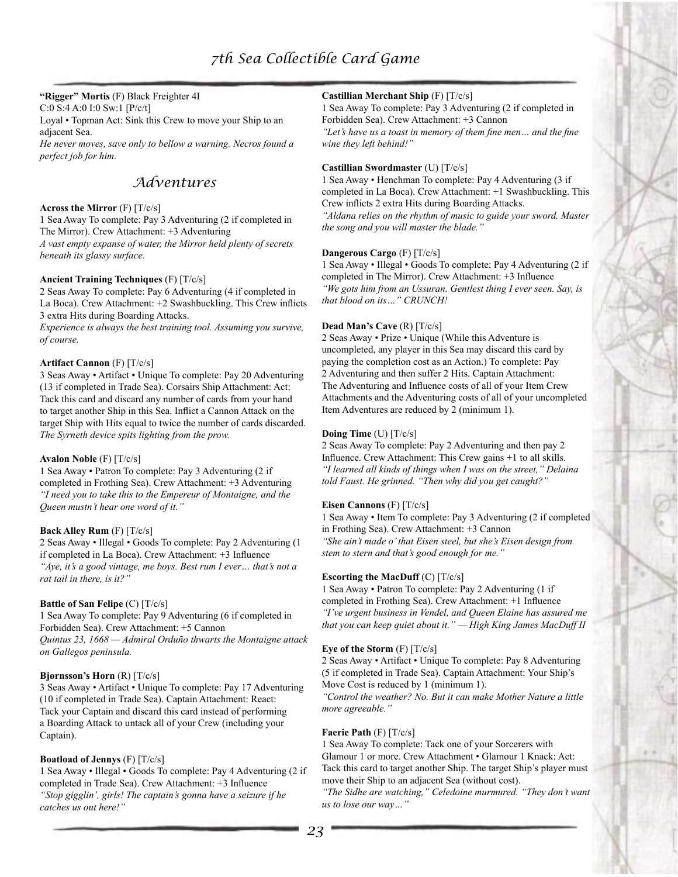## **"Rigger" Mortis** (F) Black Freighter 4I

C:0 S:4 A:0 I:0 Sw:1 [P/c/t]

Loyal • Topman Act: Sink this Crew to move your Ship to an adjacent Sea.

*He never moves, save only to bellow a warning. Necros found a perfect job for him.*

# *Adventures*

## **Across the Mirror** (F) [T/c/s]

1 Sea Away To complete: Pay 3 Adventuring (2 if completed in The Mirror). Crew Attachment: +3 Adventuring *A vast empty expanse of water, the Mirror held plenty of secrets beneath its glassy surface.*

## **Ancient Training Techniques** (F) [T/c/s]

2 Seas Away To complete: Pay 6 Adventuring (4 if completed in La Boca). Crew Attachment: +2 Swashbuckling. This Crew inflicts 3 extra Hits during Boarding Attacks.

*Experience is always the best training tool. Assuming you survive, of course.*

#### **Artifact Cannon** (F) [T/c/s]

3 Seas Away • Artifact • Unique To complete: Pay 20 Adventuring (13 if completed in Trade Sea). Corsairs Ship Attachment: Act: Tack this card and discard any number of cards from your hand to target another Ship in this Sea. Inflict a Cannon Attack on the target Ship with Hits equal to twice the number of cards discarded. *The Syrneth device spits lighting from the prow.*

#### **Avalon Noble** (F) [T/c/s]

1 Sea Away • Patron To complete: Pay 3 Adventuring (2 if completed in Frothing Sea). Crew Attachment: +3 Adventuring *"I need you to take this to the Empereur of Montaigne, and the Queen mustn't hear one word of it."*

## **Back Alley Rum** (F) [T/c/s]

2 Seas Away • Illegal • Goods To complete: Pay 2 Adventuring (1 if completed in La Boca). Crew Attachment: +3 Influence *"Aye, it's a good vintage, me boys. Best rum I ever… that's not a rat tail in there, is it?"*

## **Battle of San Felipe** (C) [T/c/s]

1 Sea Away To complete: Pay 9 Adventuring (6 if completed in Forbidden Sea). Crew Attachment: +5 Cannon *Quintus 23, 1668 — Admiral Orduño thwarts the Montaigne attack on Gallegos peninsula.*

## **Bjørnsson's Horn** (R) [T/c/s]

3 Seas Away • Artifact • Unique To complete: Pay 17 Adventuring (10 if completed in Trade Sea). Captain Attachment: React: Tack your Captain and discard this card instead of performing a Boarding Attack to untack all of your Crew (including your Captain).

## **Boatload of Jennys** (F) [T/c/s]

1 Sea Away • Illegal • Goods To complete: Pay 4 Adventuring (2 if completed in Trade Sea). Crew Attachment: +3 Influence *"Stop gigglin', girls! The captain's gonna have a seizure if he catches us out here!"*

## **Castillian Merchant Ship** (F) [T/c/s]

1 Sea Away To complete: Pay 3 Adventuring (2 if completed in Forbidden Sea). Crew Attachment: +3 Cannon

*"Let's have us a toast in memory of them fine men… and the fine wine they left behind!"*

#### **Castillian Swordmaster** (U) [T/c/s]

1 Sea Away • Henchman To complete: Pay 4 Adventuring (3 if completed in La Boca). Crew Attachment: +1 Swashbuckling. This Crew inflicts 2 extra Hits during Boarding Attacks. *"Aldana relies on the rhythm of music to guide your sword. Master the song and you will master the blade."*

#### **Dangerous Cargo** (F) [T/c/s]

1 Sea Away • Illegal • Goods To complete: Pay 4 Adventuring (2 if completed in The Mirror). Crew Attachment: +3 Influence *"We gots him from an Ussuran. Gentlest thing I ever seen. Say, is that blood on its…" CRUNCH!*

### **Dead Man's Cave** (R) [T/c/s]

2 Seas Away • Prize • Unique (While this Adventure is uncompleted, any player in this Sea may discard this card by paying the completion cost as an Action.) To complete: Pay 2 Adventuring and then suffer 2 Hits. Captain Attachment: The Adventuring and Influence costs of all of your Item Crew Attachments and the Adventuring costs of all of your uncompleted Item Adventures are reduced by 2 (minimum 1).

#### **Doing Time** (U) [T/c/s]

2 Seas Away To complete: Pay 2 Adventuring and then pay 2 Influence. Crew Attachment: This Crew gains +1 to all skills. *"I learned all kinds of things when I was on the street," Delaina told Faust. He grinned. "Then why did you get caught?"*

#### **Eisen Cannons** (F) [T/c/s]

1 Sea Away • Item To complete: Pay 3 Adventuring (2 if completed in Frothing Sea). Crew Attachment: +3 Cannon *"She ain't made o' that Eisen steel, but she's Eisen design from stem to stern and that's good enough for me."*

#### **Escorting the MacDuff** (C) [T/c/s]

1 Sea Away • Patron To complete: Pay 2 Adventuring (1 if completed in Frothing Sea). Crew Attachment: +1 Influence *"I've urgent business in Vendel, and Queen Elaine has assured me that you can keep quiet about it." — High King James MacDuff II*

#### **Eye of the Storm** (F) [T/c/s]

2 Seas Away • Artifact • Unique To complete: Pay 8 Adventuring (5 if completed in Trade Sea). Captain Attachment: Your Ship's Move Cost is reduced by 1 (minimum 1).

*"Control the weather? No. But it can make Mother Nature a little more agreeable."*

## **Faerie Path** (F) [T/c/s]

1 Sea Away To complete: Tack one of your Sorcerers with Glamour 1 or more. Crew Attachment • Glamour 1 Knack: Act: Tack this card to target another Ship. The target Ship's player must move their Ship to an adjacent Sea (without cost).

*"The Sidhe are watching," Celedoine murmured. "They don't want us to lose our way…"*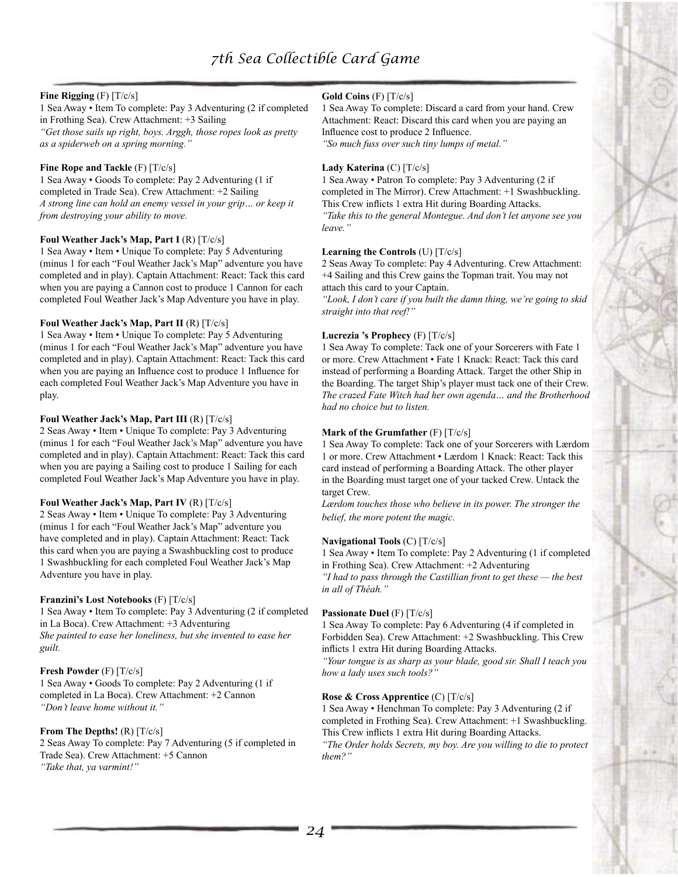## **Fine Rigging** (F) [T/c/s]

1 Sea Away • Item To complete: Pay 3 Adventuring (2 if completed in Frothing Sea). Crew Attachment: +3 Sailing *"Get those sails up right, boys. Arggh, those ropes look as pretty as a spiderweb on a spring morning."*

## **Fine Rope and Tackle** (F) [T/c/s]

1 Sea Away • Goods To complete: Pay 2 Adventuring (1 if completed in Trade Sea). Crew Attachment: +2 Sailing *A strong line can hold an enemy vessel in your grip… or keep it from destroying your ability to move.*

#### **Foul Weather Jack's Map, Part I** (R) [T/c/s]

1 Sea Away • Item • Unique To complete: Pay 5 Adventuring (minus 1 for each "Foul Weather Jack's Map" adventure you have completed and in play). Captain Attachment: React: Tack this card when you are paying a Cannon cost to produce 1 Cannon for each completed Foul Weather Jack's Map Adventure you have in play.

#### **Foul Weather Jack's Map, Part II** (R) [T/c/s]

1 Sea Away • Item • Unique To complete: Pay 5 Adventuring (minus 1 for each "Foul Weather Jack's Map" adventure you have completed and in play). Captain Attachment: React: Tack this card when you are paying an Influence cost to produce 1 Influence for each completed Foul Weather Jack's Map Adventure you have in play.

#### **Foul Weather Jack's Map, Part III** (R) [T/c/s]

2 Seas Away • Item • Unique To complete: Pay 3 Adventuring (minus 1 for each "Foul Weather Jack's Map" adventure you have completed and in play). Captain Attachment: React: Tack this card when you are paying a Sailing cost to produce 1 Sailing for each completed Foul Weather Jack's Map Adventure you have in play.

#### **Foul Weather Jack's Map, Part IV** (R) [T/c/s]

2 Seas Away • Item • Unique To complete: Pay 3 Adventuring (minus 1 for each "Foul Weather Jack's Map" adventure you have completed and in play). Captain Attachment: React: Tack this card when you are paying a Swashbuckling cost to produce 1 Swashbuckling for each completed Foul Weather Jack's Map Adventure you have in play.

#### **Franzini's Lost Notebooks** (F) [T/c/s]

1 Sea Away • Item To complete: Pay 3 Adventuring (2 if completed in La Boca). Crew Attachment: +3 Adventuring *She painted to ease her loneliness, but she invented to ease her guilt.*

## **Fresh Powder** (F) [T/c/s]

1 Sea Away • Goods To complete: Pay 2 Adventuring (1 if completed in La Boca). Crew Attachment: +2 Cannon *"Don't leave home without it."*

## **From The Depths!** (R) [T/c/s]

2 Seas Away To complete: Pay 7 Adventuring (5 if completed in Trade Sea). Crew Attachment: +5 Cannon *"Take that, ya varmint!"*

#### **Gold Coins** (F) [T/c/s]

1 Sea Away To complete: Discard a card from your hand. Crew Attachment: React: Discard this card when you are paying an Influence cost to produce 2 Influence. *"So much fuss over such tiny lumps of metal."*

#### **Lady Katerina** (C) [T/c/s]

1 Sea Away • Patron To complete: Pay 3 Adventuring (2 if completed in The Mirror). Crew Attachment: +1 Swashbuckling. This Crew inflicts 1 extra Hit during Boarding Attacks. *"Take this to the general Montegue. And don't let anyone see you leave."*

#### **Learning the Controls** (U) [T/c/s]

2 Seas Away To complete: Pay 4 Adventuring. Crew Attachment: +4 Sailing and this Crew gains the Topman trait. You may not attach this card to your Captain.

*"Look, I don't care if you built the damn thing, we're going to skid straight into that reef!"*

#### **Lucrezia 's Prophecy** (F) [T/c/s]

1 Sea Away To complete: Tack one of your Sorcerers with Fate 1 or more. Crew Attachment • Fate 1 Knack: React: Tack this card instead of performing a Boarding Attack. Target the other Ship in the Boarding. The target Ship's player must tack one of their Crew. *The crazed Fate Witch had her own agenda… and the Brotherhood had no choice but to listen.*

## **Mark of the Grumfather** (F) [T/c/s]

1 Sea Away To complete: Tack one of your Sorcerers with Lærdom 1 or more. Crew Attachment • Lærdom 1 Knack: React: Tack this card instead of performing a Boarding Attack. The other player in the Boarding must target one of your tacked Crew. Untack the target Crew.

*Lærdom touches those who believe in its power. The stronger the belief, the more potent the magic.*

#### **Navigational Tools** (C) [T/c/s]

1 Sea Away • Item To complete: Pay 2 Adventuring (1 if completed in Frothing Sea). Crew Attachment: +2 Adventuring

*"I had to pass through the Castillian front to get these — the best in all of Théah."*

#### **Passionate Duel** (F) [T/c/s]

1 Sea Away To complete: Pay 6 Adventuring (4 if completed in Forbidden Sea). Crew Attachment: +2 Swashbuckling. This Crew inflicts 1 extra Hit during Boarding Attacks.

*"Your tongue is as sharp as your blade, good sir. Shall I teach you how a lady uses such tools?"*

## **Rose & Cross Apprentice** (C) [T/c/s]

1 Sea Away • Henchman To complete: Pay 3 Adventuring (2 if completed in Frothing Sea). Crew Attachment: +1 Swashbuckling. This Crew inflicts 1 extra Hit during Boarding Attacks.

*"The Order holds Secrets, my boy. Are you willing to die to protect them?"*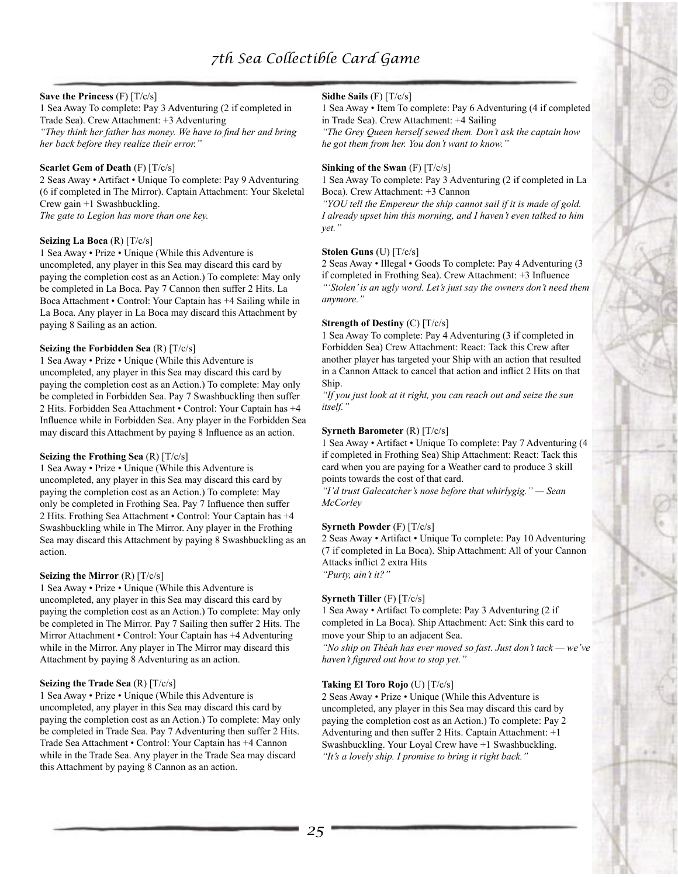## **Save the Princess** (F) [T/c/s]

1 Sea Away To complete: Pay 3 Adventuring (2 if completed in Trade Sea). Crew Attachment: +3 Adventuring *"They think her father has money. We have to find her and bring her back before they realize their error."*

#### **Scarlet Gem of Death** (F) [T/c/s]

2 Seas Away • Artifact • Unique To complete: Pay 9 Adventuring (6 if completed in The Mirror). Captain Attachment: Your Skeletal Crew gain +1 Swashbuckling.

*The gate to Legion has more than one key.*

#### **Seizing La Boca** (R) [T/c/s]

1 Sea Away • Prize • Unique (While this Adventure is uncompleted, any player in this Sea may discard this card by paying the completion cost as an Action.) To complete: May only be completed in La Boca. Pay 7 Cannon then suffer 2 Hits. La Boca Attachment • Control: Your Captain has +4 Sailing while in La Boca. Any player in La Boca may discard this Attachment by paying 8 Sailing as an action.

#### **Seizing the Forbidden Sea** (R) [T/c/s]

1 Sea Away • Prize • Unique (While this Adventure is uncompleted, any player in this Sea may discard this card by paying the completion cost as an Action.) To complete: May only be completed in Forbidden Sea. Pay 7 Swashbuckling then suffer 2 Hits. Forbidden Sea Attachment • Control: Your Captain has +4 Influence while in Forbidden Sea. Any player in the Forbidden Sea may discard this Attachment by paying 8 Influence as an action.

#### **Seizing the Frothing Sea** (R) [T/c/s]

1 Sea Away • Prize • Unique (While this Adventure is uncompleted, any player in this Sea may discard this card by paying the completion cost as an Action.) To complete: May only be completed in Frothing Sea. Pay 7 Influence then suffer 2 Hits. Frothing Sea Attachment • Control: Your Captain has +4 Swashbuckling while in The Mirror. Any player in the Frothing Sea may discard this Attachment by paying 8 Swashbuckling as an action.

#### **Seizing the Mirror** (R) [T/c/s]

1 Sea Away • Prize • Unique (While this Adventure is uncompleted, any player in this Sea may discard this card by paying the completion cost as an Action.) To complete: May only be completed in The Mirror. Pay 7 Sailing then suffer 2 Hits. The Mirror Attachment • Control: Your Captain has +4 Adventuring while in the Mirror. Any player in The Mirror may discard this Attachment by paying 8 Adventuring as an action.

## **Seizing the Trade Sea** (R) [T/c/s]

1 Sea Away • Prize • Unique (While this Adventure is uncompleted, any player in this Sea may discard this card by paying the completion cost as an Action.) To complete: May only be completed in Trade Sea. Pay 7 Adventuring then suffer 2 Hits. Trade Sea Attachment • Control: Your Captain has +4 Cannon while in the Trade Sea. Any player in the Trade Sea may discard this Attachment by paying 8 Cannon as an action.

#### **Sidhe Sails** (F) [T/c/s]

1 Sea Away • Item To complete: Pay 6 Adventuring (4 if completed in Trade Sea). Crew Attachment: +4 Sailing

*"The Grey Queen herself sewed them. Don't ask the captain how he got them from her. You don't want to know."*

#### **Sinking of the Swan** (F) [T/c/s]

1 Sea Away To complete: Pay 3 Adventuring (2 if completed in La Boca). Crew Attachment: +3 Cannon

*"YOU tell the Empereur the ship cannot sail if it is made of gold. I already upset him this morning, and I haven't even talked to him yet."*

#### **Stolen Guns** (U) [T/c/s]

2 Seas Away • Illegal • Goods To complete: Pay 4 Adventuring (3 if completed in Frothing Sea). Crew Attachment: +3 Influence *"'Stolen' is an ugly word. Let's just say the owners don't need them anymore."*

#### **Strength of Destiny** (C) [T/c/s]

1 Sea Away To complete: Pay 4 Adventuring (3 if completed in Forbidden Sea) Crew Attachment: React: Tack this Crew after another player has targeted your Ship with an action that resulted in a Cannon Attack to cancel that action and inflict 2 Hits on that Ship.

*"If you just look at it right, you can reach out and seize the sun itself."*

#### **Syrneth Barometer** (R) [T/c/s]

1 Sea Away • Artifact • Unique To complete: Pay 7 Adventuring (4 if completed in Frothing Sea) Ship Attachment: React: Tack this card when you are paying for a Weather card to produce 3 skill points towards the cost of that card.

*"I'd trust Galecatcher's nose before that whirlygig." — Sean McCorley*

#### **Syrneth Powder** (F) [T/c/s]

2 Seas Away • Artifact • Unique To complete: Pay 10 Adventuring (7 if completed in La Boca). Ship Attachment: All of your Cannon Attacks inflict 2 extra Hits *"Purty, ain't it?"*

#### **Syrneth Tiller** (F) [T/c/s]

1 Sea Away • Artifact To complete: Pay 3 Adventuring (2 if completed in La Boca). Ship Attachment: Act: Sink this card to move your Ship to an adjacent Sea.

*"No ship on Théah has ever moved so fast. Just don't tack — we've haven't figured out how to stop yet."*

#### **Taking El Toro Rojo** (U) [T/c/s]

2 Seas Away • Prize • Unique (While this Adventure is uncompleted, any player in this Sea may discard this card by paying the completion cost as an Action.) To complete: Pay 2 Adventuring and then suffer 2 Hits. Captain Attachment: +1 Swashbuckling. Your Loyal Crew have +1 Swashbuckling. *"It's a lovely ship. I promise to bring it right back."*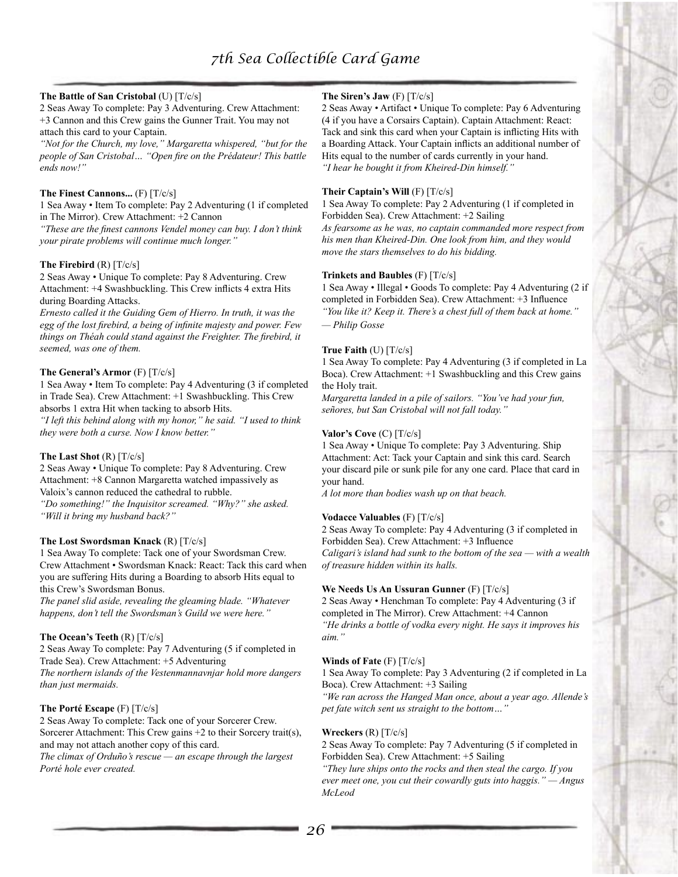#### **The Battle of San Cristobal** (U) [T/c/s]

2 Seas Away To complete: Pay 3 Adventuring. Crew Attachment: +3 Cannon and this Crew gains the Gunner Trait. You may not attach this card to your Captain.

*"Not for the Church, my love," Margaretta whispered, "but for the people of San Cristobal… "Open fire on the Prédateur! This battle ends now!"*

#### **The Finest Cannons...** (F) [T/c/s]

1 Sea Away • Item To complete: Pay 2 Adventuring (1 if completed in The Mirror). Crew Attachment: +2 Cannon

*"These are the finest cannons Vendel money can buy. I don't think your pirate problems will continue much longer."*

#### **The Firebird** (R) [T/c/s]

2 Seas Away • Unique To complete: Pay 8 Adventuring. Crew Attachment: +4 Swashbuckling. This Crew inflicts 4 extra Hits during Boarding Attacks.

*Ernesto called it the Guiding Gem of Hierro. In truth, it was the egg of the lost firebird, a being of infinite majesty and power. Few things on Théah could stand against the Freighter. The firebird, it seemed, was one of them.*

#### **The General's Armor** (F) [T/c/s]

1 Sea Away • Item To complete: Pay 4 Adventuring (3 if completed in Trade Sea). Crew Attachment: +1 Swashbuckling. This Crew absorbs 1 extra Hit when tacking to absorb Hits.

*"I left this behind along with my honor," he said. "I used to think they were both a curse. Now I know better."*

#### **The Last Shot** (R) [T/c/s]

2 Seas Away • Unique To complete: Pay 8 Adventuring. Crew Attachment: +8 Cannon Margaretta watched impassively as Valoix's cannon reduced the cathedral to rubble.

*"Do something!" the Inquisitor screamed. "Why?" she asked. "Will it bring my husband back?"*

#### **The Lost Swordsman Knack** (R) [T/c/s]

1 Sea Away To complete: Tack one of your Swordsman Crew. Crew Attachment • Swordsman Knack: React: Tack this card when you are suffering Hits during a Boarding to absorb Hits equal to this Crew's Swordsman Bonus.

*The panel slid aside, revealing the gleaming blade. "Whatever happens, don't tell the Swordsman's Guild we were here."*

#### **The Ocean's Teeth** (R) [T/c/s]

2 Seas Away To complete: Pay 7 Adventuring (5 if completed in Trade Sea). Crew Attachment: +5 Adventuring

*The northern islands of the Vestenmannavnjar hold more dangers than just mermaids.*

#### **The Porté Escape** (F) [T/c/s]

2 Seas Away To complete: Tack one of your Sorcerer Crew. Sorcerer Attachment: This Crew gains +2 to their Sorcery trait(s), and may not attach another copy of this card. *The climax of Orduño's rescue — an escape through the largest* 

*Porté hole ever created.*

#### **The Siren's Jaw** (F) [T/c/s]

2 Seas Away • Artifact • Unique To complete: Pay 6 Adventuring (4 if you have a Corsairs Captain). Captain Attachment: React: Tack and sink this card when your Captain is inflicting Hits with a Boarding Attack. Your Captain inflicts an additional number of Hits equal to the number of cards currently in your hand. *"I hear he bought it from Kheired-Din himself."*

#### **Their Captain's Will** (F) [T/c/s]

1 Sea Away To complete: Pay 2 Adventuring (1 if completed in Forbidden Sea). Crew Attachment: +2 Sailing *As fearsome as he was, no captain commanded more respect from his men than Kheired-Din. One look from him, and they would* 

#### **Trinkets and Baubles** (F) [T/c/s]

*move the stars themselves to do his bidding.*

1 Sea Away • Illegal • Goods To complete: Pay 4 Adventuring (2 if completed in Forbidden Sea). Crew Attachment: +3 Influence *"You like it? Keep it. There's a chest full of them back at home." — Philip Gosse*

#### **True Faith** (U) [T/c/s]

1 Sea Away To complete: Pay 4 Adventuring (3 if completed in La Boca). Crew Attachment: +1 Swashbuckling and this Crew gains the Holy trait.

*Margaretta landed in a pile of sailors. "You've had your fun, señores, but San Cristobal will not fall today."*

#### **Valor's Cove** (C) [T/c/s]

1 Sea Away • Unique To complete: Pay 3 Adventuring. Ship Attachment: Act: Tack your Captain and sink this card. Search your discard pile or sunk pile for any one card. Place that card in your hand.

*A lot more than bodies wash up on that beach.*

#### **Vodacce Valuables** (F) [T/c/s]

2 Seas Away To complete: Pay 4 Adventuring (3 if completed in Forbidden Sea). Crew Attachment: +3 Influence *Caligari's island had sunk to the bottom of the sea — with a wealth of treasure hidden within its halls.*

#### **We Needs Us An Ussuran Gunner** (F) [T/c/s]

2 Seas Away • Henchman To complete: Pay 4 Adventuring (3 if completed in The Mirror). Crew Attachment: +4 Cannon *"He drinks a bottle of vodka every night. He says it improves his aim."*

#### **Winds of Fate** (F) [T/c/s]

1 Sea Away To complete: Pay 3 Adventuring (2 if completed in La Boca). Crew Attachment: +3 Sailing

*"We ran across the Hanged Man once, about a year ago. Allende's pet fate witch sent us straight to the bottom…"*

#### **Wreckers** (R) [T/c/s]

2 Seas Away To complete: Pay 7 Adventuring (5 if completed in Forbidden Sea). Crew Attachment: +5 Sailing

*"They lure ships onto the rocks and then steal the cargo. If you ever meet one, you cut their cowardly guts into haggis." — Angus McLeod*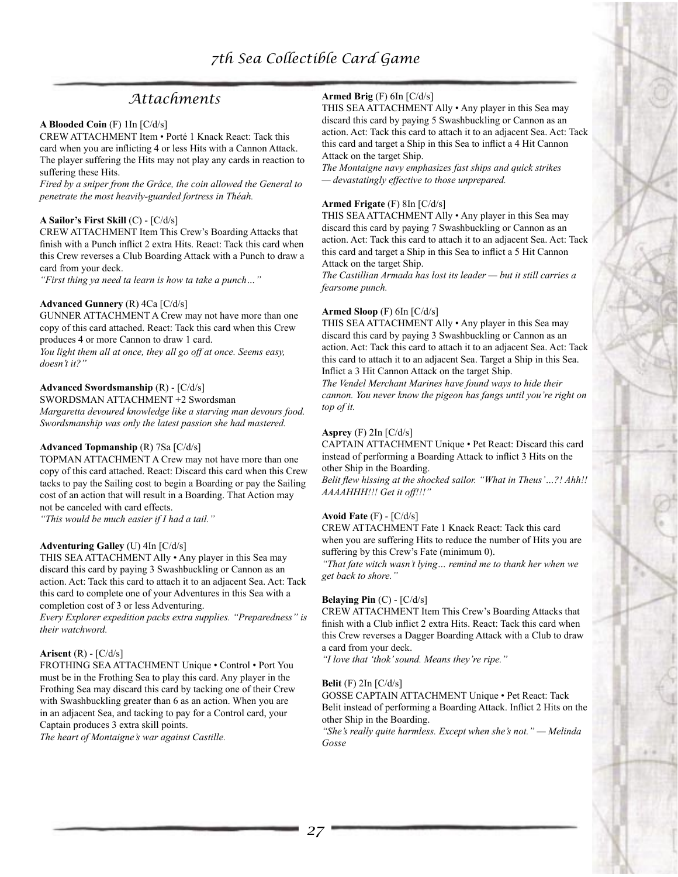# *Attachments*

#### **A Blooded Coin** (F) 1In [C/d/s]

CREW ATTACHMENT Item • Porté 1 Knack React: Tack this card when you are inflicting 4 or less Hits with a Cannon Attack. The player suffering the Hits may not play any cards in reaction to suffering these Hits.

*Fired by a sniper from the Grâce, the coin allowed the General to penetrate the most heavily-guarded fortress in Théah.*

#### **A Sailor's First Skill** (C) - [C/d/s]

CREW ATTACHMENT Item This Crew's Boarding Attacks that finish with a Punch inflict 2 extra Hits. React: Tack this card when this Crew reverses a Club Boarding Attack with a Punch to draw a card from your deck.

*"First thing ya need ta learn is how ta take a punch…"*

#### **Advanced Gunnery** (R) 4Ca [C/d/s]

GUNNER ATTACHMENT A Crew may not have more than one copy of this card attached. React: Tack this card when this Crew produces 4 or more Cannon to draw 1 card.

*You light them all at once, they all go off at once. Seems easy, doesn't it?"*

#### **Advanced Swordsmanship** (R) - [C/d/s]

SWORDSMAN ATTACHMENT +2 Swordsman *Margaretta devoured knowledge like a starving man devours food. Swordsmanship was only the latest passion she had mastered.*

#### **Advanced Topmanship** (R) 7Sa [C/d/s]

TOPMAN ATTACHMENT A Crew may not have more than one copy of this card attached. React: Discard this card when this Crew tacks to pay the Sailing cost to begin a Boarding or pay the Sailing cost of an action that will result in a Boarding. That Action may not be canceled with card effects.

*"This would be much easier if I had a tail."*

#### **Adventuring Galley** (U) 4In [C/d/s]

THIS SEA ATTACHMENT Ally • Any player in this Sea may discard this card by paying 3 Swashbuckling or Cannon as an action. Act: Tack this card to attach it to an adjacent Sea. Act: Tack this card to complete one of your Adventures in this Sea with a completion cost of 3 or less Adventuring.

*Every Explorer expedition packs extra supplies. "Preparedness" is their watchword.*

#### **Arisent** (R) - [C/d/s]

FROTHING SEA ATTACHMENT Unique • Control • Port You must be in the Frothing Sea to play this card. Any player in the Frothing Sea may discard this card by tacking one of their Crew with Swashbuckling greater than 6 as an action. When you are in an adjacent Sea, and tacking to pay for a Control card, your Captain produces 3 extra skill points.

*The heart of Montaigne's war against Castille.*

## **Armed Brig** (F) 6In [C/d/s]

THIS SEA ATTACHMENT Ally • Any player in this Sea may discard this card by paying 5 Swashbuckling or Cannon as an action. Act: Tack this card to attach it to an adjacent Sea. Act: Tack this card and target a Ship in this Sea to inflict a 4 Hit Cannon Attack on the target Ship.

*The Montaigne navy emphasizes fast ships and quick strikes — devastatingly effective to those unprepared.*

#### **Armed Frigate** (F) 8In [C/d/s]

THIS SEA ATTACHMENT Ally • Any player in this Sea may discard this card by paying 7 Swashbuckling or Cannon as an action. Act: Tack this card to attach it to an adjacent Sea. Act: Tack this card and target a Ship in this Sea to inflict a 5 Hit Cannon Attack on the target Ship.

*The Castillian Armada has lost its leader — but it still carries a fearsome punch.*

#### **Armed Sloop** (F) 6In [C/d/s]

THIS SEA ATTACHMENT Ally • Any player in this Sea may discard this card by paying 3 Swashbuckling or Cannon as an action. Act: Tack this card to attach it to an adjacent Sea. Act: Tack this card to attach it to an adjacent Sea. Target a Ship in this Sea. Inflict a 3 Hit Cannon Attack on the target Ship.

*The Vendel Merchant Marines have found ways to hide their cannon. You never know the pigeon has fangs until you're right on top of it.*

#### **Asprey** (F) 2In [C/d/s]

CAPTAIN ATTACHMENT Unique • Pet React: Discard this card instead of performing a Boarding Attack to inflict 3 Hits on the other Ship in the Boarding.

*Belit flew hissing at the shocked sailor. "What in Theus'…?! Ahh!! AAAAHHH!!! Get it off!!!"*

#### **Avoid Fate** (F) - [C/d/s]

CREW ATTACHMENT Fate 1 Knack React: Tack this card when you are suffering Hits to reduce the number of Hits you are suffering by this Crew's Fate (minimum 0).

*"That fate witch wasn't lying… remind me to thank her when we get back to shore."*

#### **Belaying Pin**  $(C)$  -  $[C/d/s]$

CREW ATTACHMENT Item This Crew's Boarding Attacks that finish with a Club inflict 2 extra Hits. React: Tack this card when this Crew reverses a Dagger Boarding Attack with a Club to draw a card from your deck.

*"I love that 'thok' sound. Means they're ripe."*

#### **Belit** (F) 2In [C/d/s]

GOSSE CAPTAIN ATTACHMENT Unique • Pet React: Tack Belit instead of performing a Boarding Attack. Inflict 2 Hits on the other Ship in the Boarding.

*"She's really quite harmless. Except when she's not." — Melinda Gosse*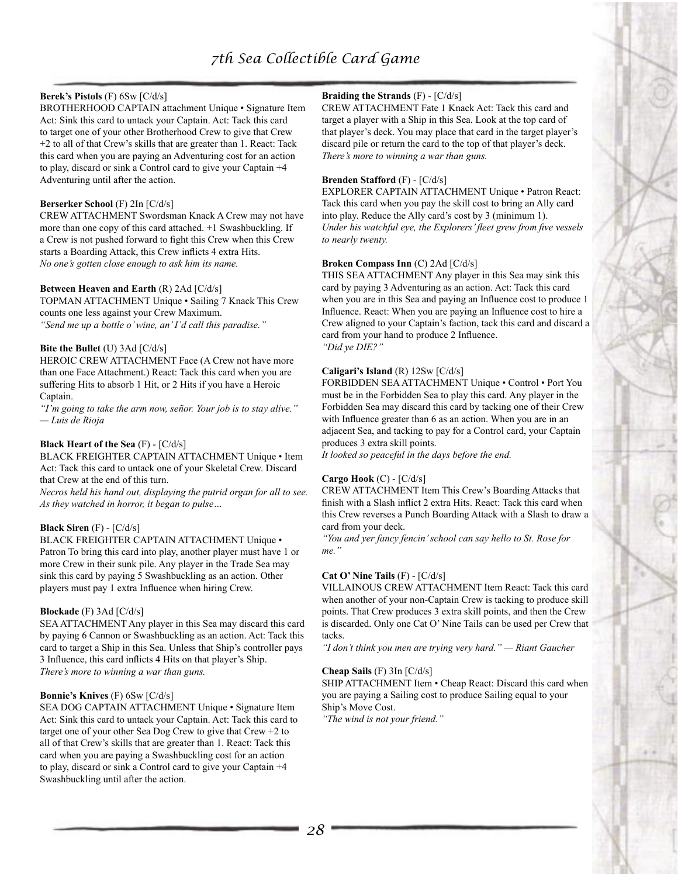## **Berek's Pistols** (F) 6Sw [C/d/s]

BROTHERHOOD CAPTAIN attachment Unique • Signature Item Act: Sink this card to untack your Captain. Act: Tack this card to target one of your other Brotherhood Crew to give that Crew +2 to all of that Crew's skills that are greater than 1. React: Tack this card when you are paying an Adventuring cost for an action to play, discard or sink a Control card to give your Captain +4 Adventuring until after the action.

## **Berserker School** (F) 2In [C/d/s]

CREW ATTACHMENT Swordsman Knack A Crew may not have more than one copy of this card attached. +1 Swashbuckling. If a Crew is not pushed forward to fight this Crew when this Crew starts a Boarding Attack, this Crew inflicts 4 extra Hits. *No one's gotten close enough to ask him its name.*

#### **Between Heaven and Earth** (R) 2Ad [C/d/s]

TOPMAN ATTACHMENT Unique • Sailing 7 Knack This Crew counts one less against your Crew Maximum. *"Send me up a bottle o' wine, an' I'd call this paradise."*

#### **Bite the Bullet** (U) 3Ad [C/d/s]

HEROIC CREW ATTACHMENT Face (A Crew not have more than one Face Attachment.) React: Tack this card when you are suffering Hits to absorb 1 Hit, or 2 Hits if you have a Heroic Captain.

*"I'm going to take the arm now, señor. Your job is to stay alive." — Luis de Rioja*

## **Black Heart of the Sea** (F) - [C/d/s]

BLACK FREIGHTER CAPTAIN ATTACHMENT Unique • Item Act: Tack this card to untack one of your Skeletal Crew. Discard that Crew at the end of this turn.

*Necros held his hand out, displaying the putrid organ for all to see. As they watched in horror, it began to pulse…*

## **Black Siren** (F) - [C/d/s]

BLACK FREIGHTER CAPTAIN ATTACHMENT Unique • Patron To bring this card into play, another player must have 1 or more Crew in their sunk pile. Any player in the Trade Sea may sink this card by paying 5 Swashbuckling as an action. Other players must pay 1 extra Influence when hiring Crew.

#### **Blockade** (F) 3Ad [C/d/s]

SEA ATTACHMENT Any player in this Sea may discard this card by paying 6 Cannon or Swashbuckling as an action. Act: Tack this card to target a Ship in this Sea. Unless that Ship's controller pays 3 Influence, this card inflicts 4 Hits on that player's Ship. *There's more to winning a war than guns.*

#### **Bonnie's Knives** (F) 6Sw [C/d/s]

SEA DOG CAPTAIN ATTACHMENT Unique • Signature Item Act: Sink this card to untack your Captain. Act: Tack this card to target one of your other Sea Dog Crew to give that Crew +2 to all of that Crew's skills that are greater than 1. React: Tack this card when you are paying a Swashbuckling cost for an action to play, discard or sink a Control card to give your Captain +4 Swashbuckling until after the action.

## **Braiding the Strands** (F) - [C/d/s]

CREW ATTACHMENT Fate 1 Knack Act: Tack this card and target a player with a Ship in this Sea. Look at the top card of that player's deck. You may place that card in the target player's discard pile or return the card to the top of that player's deck. *There's more to winning a war than guns.*

#### **Brenden Stafford** (F) - [C/d/s]

EXPLORER CAPTAIN ATTACHMENT Unique • Patron React: Tack this card when you pay the skill cost to bring an Ally card into play. Reduce the Ally card's cost by 3 (minimum 1). *Under his watchful eye, the Explorers' fleet grew from five vessels to nearly twenty.*

### **Broken Compass Inn** (C) 2Ad [C/d/s]

THIS SEA ATTACHMENT Any player in this Sea may sink this card by paying 3 Adventuring as an action. Act: Tack this card when you are in this Sea and paying an Influence cost to produce 1 Influence. React: When you are paying an Influence cost to hire a Crew aligned to your Captain's faction, tack this card and discard a card from your hand to produce 2 Influence. *"Did ye DIE?"*

# **Caligari's Island** (R) 12Sw [C/d/s]

FORBIDDEN SEA ATTACHMENT Unique • Control • Port You must be in the Forbidden Sea to play this card. Any player in the Forbidden Sea may discard this card by tacking one of their Crew with Influence greater than 6 as an action. When you are in an adjacent Sea, and tacking to pay for a Control card, your Captain produces 3 extra skill points.

*It looked so peaceful in the days before the end.*

#### **Cargo Hook** (C) - [C/d/s]

CREW ATTACHMENT Item This Crew's Boarding Attacks that finish with a Slash inflict 2 extra Hits. React: Tack this card when this Crew reverses a Punch Boarding Attack with a Slash to draw a card from your deck.

*"You and yer fancy fencin' school can say hello to St. Rose for me."*

#### **Cat O' Nine Tails** (F) - [C/d/s]

VILLAINOUS CREW ATTACHMENT Item React: Tack this card when another of your non-Captain Crew is tacking to produce skill points. That Crew produces 3 extra skill points, and then the Crew is discarded. Only one Cat O' Nine Tails can be used per Crew that tacks.

*"I don't think you men are trying very hard." — Riant Gaucher*

#### **Cheap Sails** (F) 3In [C/d/s]

SHIP ATTACHMENT Item • Cheap React: Discard this card when you are paying a Sailing cost to produce Sailing equal to your Ship's Move Cost.

*"The wind is not your friend."*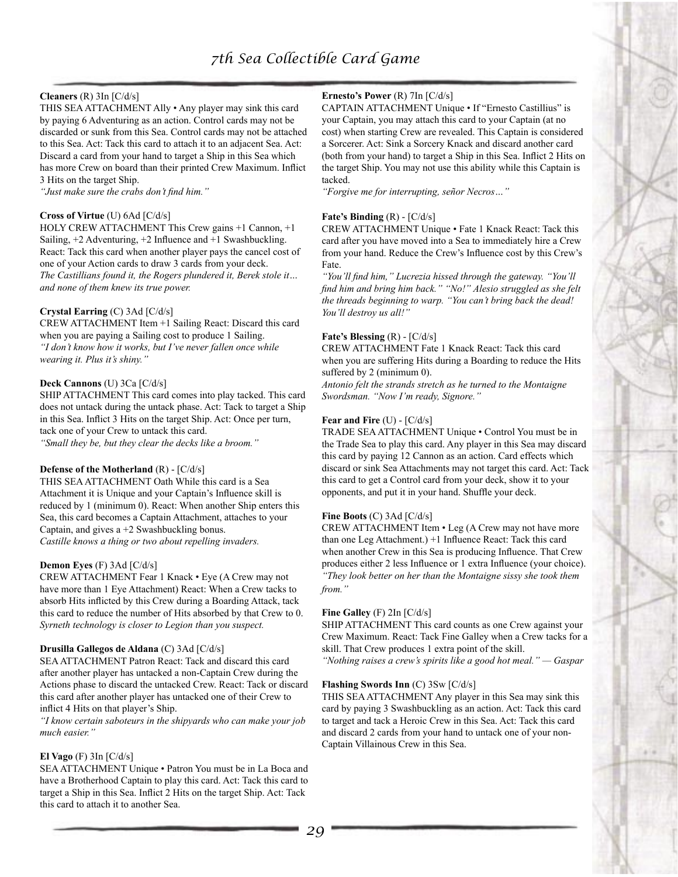## **Cleaners** (R) 3In [C/d/s]

THIS SEA ATTACHMENT Ally • Any player may sink this card by paying 6 Adventuring as an action. Control cards may not be discarded or sunk from this Sea. Control cards may not be attached to this Sea. Act: Tack this card to attach it to an adjacent Sea. Act: Discard a card from your hand to target a Ship in this Sea which has more Crew on board than their printed Crew Maximum. Inflict 3 Hits on the target Ship.

*"Just make sure the crabs don't find him."*

#### **Cross of Virtue** (U) 6Ad [C/d/s]

HOLY CREW ATTACHMENT This Crew gains +1 Cannon, +1 Sailing,  $+2$  Adventuring,  $+2$  Influence and  $+1$  Swashbuckling. React: Tack this card when another player pays the cancel cost of one of your Action cards to draw 3 cards from your deck. *The Castillians found it, the Rogers plundered it, Berek stole it… and none of them knew its true power.*

## **Crystal Earring** (C) 3Ad [C/d/s]

CREW ATTACHMENT Item +1 Sailing React: Discard this card when you are paying a Sailing cost to produce 1 Sailing. *"I don't know how it works, but I've never fallen once while wearing it. Plus it's shiny."*

#### **Deck Cannons** (U) 3Ca [C/d/s]

SHIP ATTACHMENT This card comes into play tacked. This card does not untack during the untack phase. Act: Tack to target a Ship in this Sea. Inflict 3 Hits on the target Ship. Act: Once per turn, tack one of your Crew to untack this card. *"Small they be, but they clear the decks like a broom."*

#### **Defense of the Motherland** (R) - [C/d/s]

THIS SEA ATTACHMENT Oath While this card is a Sea Attachment it is Unique and your Captain's Influence skill is reduced by 1 (minimum 0). React: When another Ship enters this Sea, this card becomes a Captain Attachment, attaches to your Captain, and gives a +2 Swashbuckling bonus. *Castille knows a thing or two about repelling invaders.*

#### **Demon Eyes** (F) 3Ad [C/d/s]

CREW ATTACHMENT Fear 1 Knack • Eye (A Crew may not have more than 1 Eye Attachment) React: When a Crew tacks to absorb Hits inflicted by this Crew during a Boarding Attack, tack this card to reduce the number of Hits absorbed by that Crew to 0. *Syrneth technology is closer to Legion than you suspect.*

#### **Drusilla Gallegos de Aldana** (C) 3Ad [C/d/s]

SEA ATTACHMENT Patron React: Tack and discard this card after another player has untacked a non-Captain Crew during the Actions phase to discard the untacked Crew. React: Tack or discard this card after another player has untacked one of their Crew to inflict 4 Hits on that player's Ship.

*"I know certain saboteurs in the shipyards who can make your job much easier."*

#### **El Vago** (F) 3In [C/d/s]

SEA ATTACHMENT Unique • Patron You must be in La Boca and have a Brotherhood Captain to play this card. Act: Tack this card to target a Ship in this Sea. Inflict 2 Hits on the target Ship. Act: Tack this card to attach it to another Sea.

## **Ernesto's Power** (R) 7In [C/d/s]

CAPTAIN ATTACHMENT Unique • If "Ernesto Castillius" is your Captain, you may attach this card to your Captain (at no cost) when starting Crew are revealed. This Captain is considered a Sorcerer. Act: Sink a Sorcery Knack and discard another card (both from your hand) to target a Ship in this Sea. Inflict 2 Hits on the target Ship. You may not use this ability while this Captain is tacked.

*"Forgive me for interrupting, señor Necros…"*

#### **Fate's Binding** (R) - [C/d/s]

CREW ATTACHMENT Unique • Fate 1 Knack React: Tack this card after you have moved into a Sea to immediately hire a Crew from your hand. Reduce the Crew's Influence cost by this Crew's Fate.

*"You'll find him," Lucrezia hissed through the gateway. "You'll find him and bring him back." "No!" Alesio struggled as she felt the threads beginning to warp. "You can't bring back the dead! You'll destroy us all!"*

#### **Fate's Blessing** (R) - [C/d/s]

CREW ATTACHMENT Fate 1 Knack React: Tack this card when you are suffering Hits during a Boarding to reduce the Hits suffered by 2 (minimum 0).

*Antonio felt the strands stretch as he turned to the Montaigne Swordsman. "Now I'm ready, Signore."*

#### **Fear and Fire** (U) - [C/d/s]

TRADE SEA ATTACHMENT Unique • Control You must be in the Trade Sea to play this card. Any player in this Sea may discard this card by paying 12 Cannon as an action. Card effects which discard or sink Sea Attachments may not target this card. Act: Tack this card to get a Control card from your deck, show it to your opponents, and put it in your hand. Shuffle your deck.

#### **Fine Boots** (C) 3Ad [C/d/s]

CREW ATTACHMENT Item • Leg (A Crew may not have more than one Leg Attachment.) +1 Influence React: Tack this card when another Crew in this Sea is producing Influence. That Crew produces either 2 less Influence or 1 extra Influence (your choice). *"They look better on her than the Montaigne sissy she took them from."*

#### **Fine Galley** (F) 2In [C/d/s]

SHIP ATTACHMENT This card counts as one Crew against your Crew Maximum. React: Tack Fine Galley when a Crew tacks for a skill. That Crew produces 1 extra point of the skill.

*"Nothing raises a crew's spirits like a good hot meal." — Gaspar*

#### **Flashing Swords Inn** (C) 3Sw [C/d/s]

THIS SEA ATTACHMENT Any player in this Sea may sink this card by paying 3 Swashbuckling as an action. Act: Tack this card to target and tack a Heroic Crew in this Sea. Act: Tack this card and discard 2 cards from your hand to untack one of your non-Captain Villainous Crew in this Sea.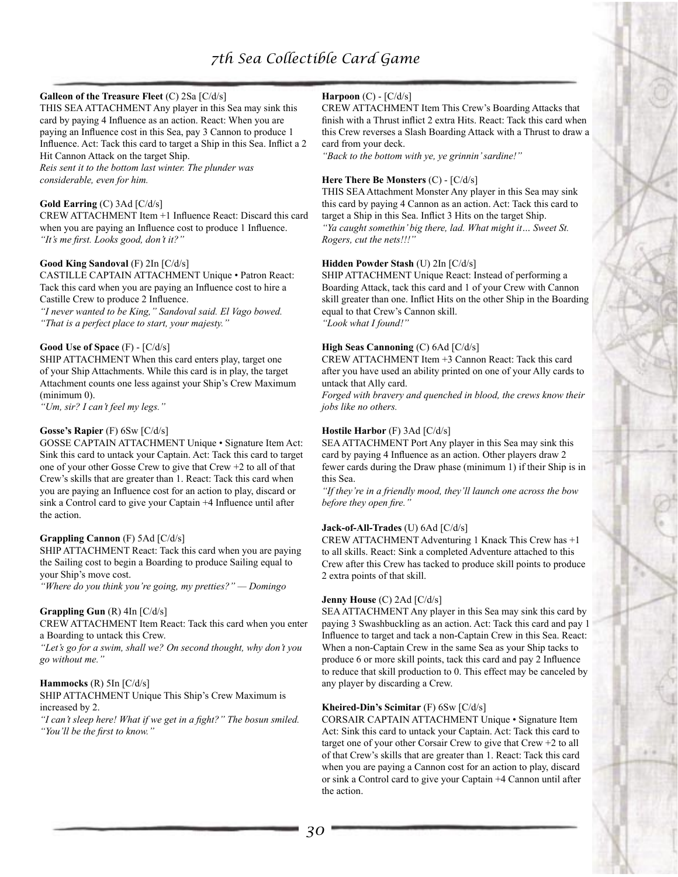### **Galleon of the Treasure Fleet** (C) 2Sa [C/d/s]

THIS SEA ATTACHMENT Any player in this Sea may sink this card by paying 4 Influence as an action. React: When you are paying an Influence cost in this Sea, pay 3 Cannon to produce 1 Influence. Act: Tack this card to target a Ship in this Sea. Inflict a 2 Hit Cannon Attack on the target Ship.

*Reis sent it to the bottom last winter. The plunder was considerable, even for him.*

#### **Gold Earring** (C) 3Ad [C/d/s]

CREW ATTACHMENT Item +1 Influence React: Discard this card when you are paying an Influence cost to produce 1 Influence. *"It's me first. Looks good, don't it?"*

#### **Good King Sandoval** (F) 2In [C/d/s]

CASTILLE CAPTAIN ATTACHMENT Unique • Patron React: Tack this card when you are paying an Influence cost to hire a Castille Crew to produce 2 Influence.

*"I never wanted to be King," Sandoval said. El Vago bowed. "That is a perfect place to start, your majesty."*

#### **Good Use of Space** (F) - [C/d/s]

SHIP ATTACHMENT When this card enters play, target one of your Ship Attachments. While this card is in play, the target Attachment counts one less against your Ship's Crew Maximum (minimum 0).

*"Um, sir? I can't feel my legs."*

#### **Gosse's Rapier** (F) 6Sw [C/d/s]

GOSSE CAPTAIN ATTACHMENT Unique • Signature Item Act: Sink this card to untack your Captain. Act: Tack this card to target one of your other Gosse Crew to give that Crew +2 to all of that Crew's skills that are greater than 1. React: Tack this card when you are paying an Influence cost for an action to play, discard or sink a Control card to give your Captain +4 Influence until after the action.

#### **Grappling Cannon** (F) 5Ad [C/d/s]

SHIP ATTACHMENT React: Tack this card when you are paying the Sailing cost to begin a Boarding to produce Sailing equal to your Ship's move cost.

*"Where do you think you're going, my pretties?" — Domingo*

#### **Grappling Gun** (R) 4In [C/d/s]

CREW ATTACHMENT Item React: Tack this card when you enter a Boarding to untack this Crew.

*"Let's go for a swim, shall we? On second thought, why don't you go without me."*

#### **Hammocks** (R) 5In [C/d/s]

SHIP ATTACHMENT Unique This Ship's Crew Maximum is increased by 2.

*"I can't sleep here! What if we get in a fight?" The bosun smiled. "You'll be the first to know."*

## **Harpoon** (C) - [C/d/s]

CREW ATTACHMENT Item This Crew's Boarding Attacks that finish with a Thrust inflict 2 extra Hits. React: Tack this card when this Crew reverses a Slash Boarding Attack with a Thrust to draw a card from your deck.

*"Back to the bottom with ye, ye grinnin' sardine!"*

#### **Here There Be Monsters** (C) - [C/d/s]

THIS SEA Attachment Monster Any player in this Sea may sink this card by paying 4 Cannon as an action. Act: Tack this card to target a Ship in this Sea. Inflict 3 Hits on the target Ship. *"Ya caught somethin' big there, lad. What might it… Sweet St. Rogers, cut the nets!!!"*

#### **Hidden Powder Stash** (U) 2In [C/d/s]

SHIP ATTACHMENT Unique React: Instead of performing a Boarding Attack, tack this card and 1 of your Crew with Cannon skill greater than one. Inflict Hits on the other Ship in the Boarding equal to that Crew's Cannon skill. *"Look what I found!"*

#### **High Seas Cannoning** (C) 6Ad [C/d/s]

CREW ATTACHMENT Item +3 Cannon React: Tack this card after you have used an ability printed on one of your Ally cards to untack that Ally card.

*Forged with bravery and quenched in blood, the crews know their jobs like no others.*

#### **Hostile Harbor** (F) 3Ad [C/d/s]

SEA ATTACHMENT Port Any player in this Sea may sink this card by paying 4 Influence as an action. Other players draw 2 fewer cards during the Draw phase (minimum 1) if their Ship is in this Sea.

*"If they're in a friendly mood, they'll launch one across the bow before they open fire."*

#### **Jack-of-All-Trades** (U) 6Ad [C/d/s]

CREW ATTACHMENT Adventuring 1 Knack This Crew has +1 to all skills. React: Sink a completed Adventure attached to this Crew after this Crew has tacked to produce skill points to produce 2 extra points of that skill.

#### **Jenny House** (C) 2Ad [C/d/s]

SEA ATTACHMENT Any player in this Sea may sink this card by paying 3 Swashbuckling as an action. Act: Tack this card and pay 1 Influence to target and tack a non-Captain Crew in this Sea. React: When a non-Captain Crew in the same Sea as your Ship tacks to produce 6 or more skill points, tack this card and pay 2 Influence to reduce that skill production to 0. This effect may be canceled by any player by discarding a Crew.

#### **Kheired-Din's Scimitar** (F) 6Sw [C/d/s]

CORSAIR CAPTAIN ATTACHMENT Unique • Signature Item Act: Sink this card to untack your Captain. Act: Tack this card to target one of your other Corsair Crew to give that Crew +2 to all of that Crew's skills that are greater than 1. React: Tack this card when you are paying a Cannon cost for an action to play, discard or sink a Control card to give your Captain +4 Cannon until after the action.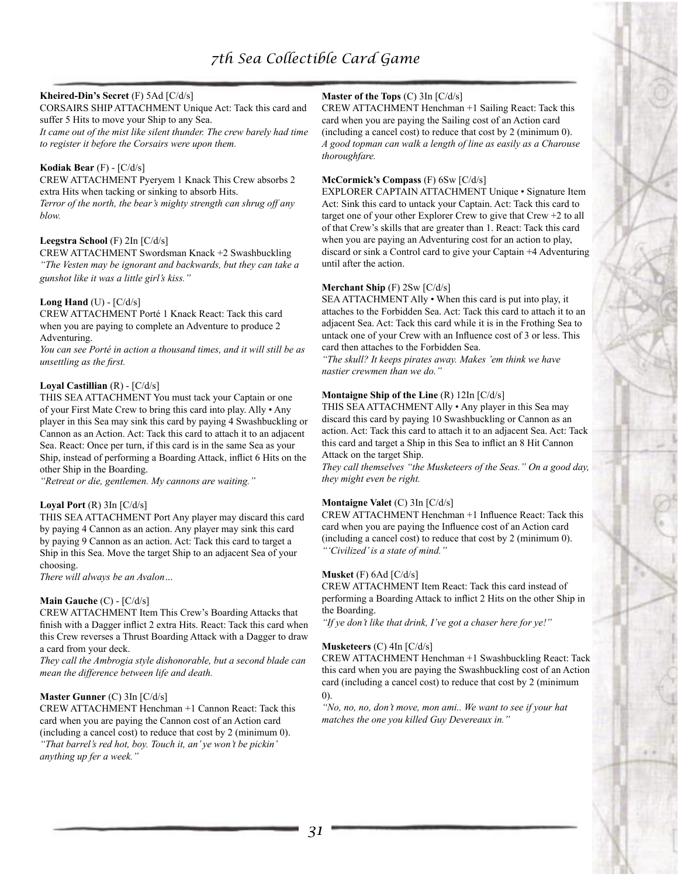## **Kheired-Din's Secret** (F) 5Ad [C/d/s]

CORSAIRS SHIP ATTACHMENT Unique Act: Tack this card and suffer 5 Hits to move your Ship to any Sea.

*It came out of the mist like silent thunder. The crew barely had time to register it before the Corsairs were upon them.*

#### **Kodiak Bear** (F) - [C/d/s]

CREW ATTACHMENT Pyeryem 1 Knack This Crew absorbs 2 extra Hits when tacking or sinking to absorb Hits. *Terror of the north, the bear's mighty strength can shrug off any blow.*

#### **Leegstra School** (F) 2In [C/d/s]

CREW ATTACHMENT Swordsman Knack +2 Swashbuckling *"The Vesten may be ignorant and backwards, but they can take a gunshot like it was a little girl's kiss."*

#### **Long Hand** (U) - [C/d/s]

CREW ATTACHMENT Porté 1 Knack React: Tack this card when you are paying to complete an Adventure to produce 2 Adventuring.

*You can see Porté in action a thousand times, and it will still be as unsettling as the first.*

#### **Loyal Castillian** (R) - [C/d/s]

THIS SEA ATTACHMENT You must tack your Captain or one of your First Mate Crew to bring this card into play. Ally • Any player in this Sea may sink this card by paying 4 Swashbuckling or Cannon as an Action. Act: Tack this card to attach it to an adjacent Sea. React: Once per turn, if this card is in the same Sea as your Ship, instead of performing a Boarding Attack, inflict 6 Hits on the other Ship in the Boarding.

*"Retreat or die, gentlemen. My cannons are waiting."*

#### **Loyal Port** (R) 3In [C/d/s]

THIS SEA ATTACHMENT Port Any player may discard this card by paying 4 Cannon as an action. Any player may sink this card by paying 9 Cannon as an action. Act: Tack this card to target a Ship in this Sea. Move the target Ship to an adjacent Sea of your choosing.

*There will always be an Avalon…*

#### **Main Gauche** (C) - [C/d/s]

CREW ATTACHMENT Item This Crew's Boarding Attacks that finish with a Dagger inflict 2 extra Hits. React: Tack this card when this Crew reverses a Thrust Boarding Attack with a Dagger to draw a card from your deck.

*They call the Ambrogia style dishonorable, but a second blade can mean the difference between life and death.*

## **Master Gunner** (C) 3In [C/d/s]

CREW ATTACHMENT Henchman +1 Cannon React: Tack this card when you are paying the Cannon cost of an Action card (including a cancel cost) to reduce that cost by 2 (minimum 0). *"That barrel's red hot, boy. Touch it, an' ye won't be pickin'* 

*anything up fer a week."*

## **Master of the Tops** (C) 3In [C/d/s]

CREW ATTACHMENT Henchman +1 Sailing React: Tack this card when you are paying the Sailing cost of an Action card (including a cancel cost) to reduce that cost by 2 (minimum 0). *A good topman can walk a length of line as easily as a Charouse thoroughfare.*

#### **McCormick's Compass** (F) 6Sw [C/d/s]

EXPLORER CAPTAIN ATTACHMENT Unique • Signature Item Act: Sink this card to untack your Captain. Act: Tack this card to target one of your other Explorer Crew to give that Crew +2 to all of that Crew's skills that are greater than 1. React: Tack this card when you are paying an Adventuring cost for an action to play, discard or sink a Control card to give your Captain +4 Adventuring until after the action.

## **Merchant Ship** (F) 2Sw [C/d/s]

SEA ATTACHMENT Ally • When this card is put into play, it attaches to the Forbidden Sea. Act: Tack this card to attach it to an adjacent Sea. Act: Tack this card while it is in the Frothing Sea to untack one of your Crew with an Influence cost of 3 or less. This card then attaches to the Forbidden Sea.

*"The skull? It keeps pirates away. Makes 'em think we have nastier crewmen than we do."*

#### **Montaigne Ship of the Line** (R) 12In [C/d/s]

THIS SEA ATTACHMENT Ally • Any player in this Sea may discard this card by paying 10 Swashbuckling or Cannon as an action. Act: Tack this card to attach it to an adjacent Sea. Act: Tack this card and target a Ship in this Sea to inflict an 8 Hit Cannon Attack on the target Ship.

*They call themselves "the Musketeers of the Seas." On a good day, they might even be right.*

#### **Montaigne Valet** (C) 3In [C/d/s]

CREW ATTACHMENT Henchman +1 Influence React: Tack this card when you are paying the Influence cost of an Action card (including a cancel cost) to reduce that cost by 2 (minimum 0). *"'Civilized' is a state of mind."*

#### **Musket** (F) 6Ad [C/d/s]

CREW ATTACHMENT Item React: Tack this card instead of performing a Boarding Attack to inflict 2 Hits on the other Ship in the Boarding.

*"If ye don't like that drink, I've got a chaser here for ye!"*

#### **Musketeers** (C) 4In [C/d/s]

CREW ATTACHMENT Henchman +1 Swashbuckling React: Tack this card when you are paying the Swashbuckling cost of an Action card (including a cancel cost) to reduce that cost by 2 (minimum 0).

*"No, no, no, don't move, mon ami.. We want to see if your hat matches the one you killed Guy Devereaux in."*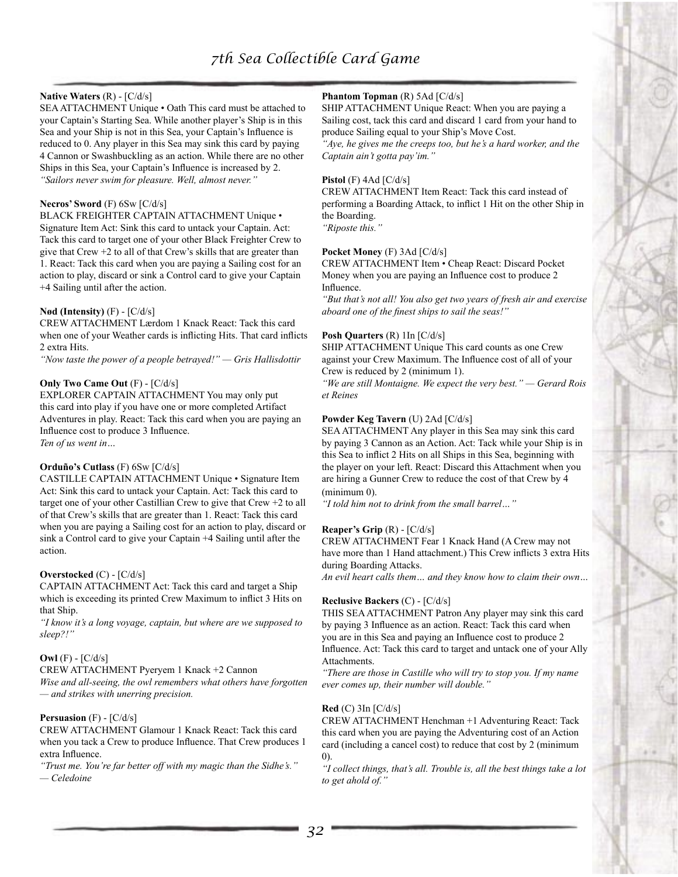#### **Native Waters** (R) - [C/d/s]

SEA ATTACHMENT Unique • Oath This card must be attached to your Captain's Starting Sea. While another player's Ship is in this Sea and your Ship is not in this Sea, your Captain's Influence is reduced to 0. Any player in this Sea may sink this card by paying 4 Cannon or Swashbuckling as an action. While there are no other Ships in this Sea, your Captain's Influence is increased by 2. *"Sailors never swim for pleasure. Well, almost never."*

#### **Necros' Sword** (F) 6Sw [C/d/s]

BLACK FREIGHTER CAPTAIN ATTACHMENT Unique • Signature Item Act: Sink this card to untack your Captain. Act: Tack this card to target one of your other Black Freighter Crew to give that Crew +2 to all of that Crew's skills that are greater than 1. React: Tack this card when you are paying a Sailing cost for an action to play, discard or sink a Control card to give your Captain +4 Sailing until after the action.

## **Nød (Intensity)** (F) - [C/d/s]

CREW ATTACHMENT Lærdom 1 Knack React: Tack this card when one of your Weather cards is inflicting Hits. That card inflicts 2 extra Hits.

*"Now taste the power of a people betrayed!" — Gris Hallisdottir*

#### **Only Two Came Out** (F) - [C/d/s]

EXPLORER CAPTAIN ATTACHMENT You may only put this card into play if you have one or more completed Artifact Adventures in play. React: Tack this card when you are paying an Influence cost to produce 3 Influence. *Ten of us went in…*

#### **Orduño's Cutlass** (F) 6Sw [C/d/s]

CASTILLE CAPTAIN ATTACHMENT Unique • Signature Item Act: Sink this card to untack your Captain. Act: Tack this card to target one of your other Castillian Crew to give that Crew +2 to all of that Crew's skills that are greater than 1. React: Tack this card when you are paying a Sailing cost for an action to play, discard or sink a Control card to give your Captain +4 Sailing until after the action.

#### **Overstocked** (C) - [C/d/s]

CAPTAIN ATTACHMENT Act: Tack this card and target a Ship which is exceeding its printed Crew Maximum to inflict 3 Hits on that Ship.

*"I know it's a long voyage, captain, but where are we supposed to sleep?!"*

#### **Owl** (F) - [C/d/s]

CREW ATTACHMENT Pyeryem 1 Knack +2 Cannon

*Wise and all-seeing, the owl remembers what others have forgotten — and strikes with unerring precision.*

#### **Persuasion** (F) - [C/d/s]

CREW ATTACHMENT Glamour 1 Knack React: Tack this card when you tack a Crew to produce Influence. That Crew produces 1 extra Influence.

*"Trust me. You're far better off with my magic than the Sidhe's." — Celedoine*

## **Phantom Topman** (R) 5Ad [C/d/s]

SHIP ATTACHMENT Unique React: When you are paying a Sailing cost, tack this card and discard 1 card from your hand to produce Sailing equal to your Ship's Move Cost.

*"Aye, he gives me the creeps too, but he's a hard worker, and the Captain ain't gotta pay'im."*

#### **Pistol** (F) 4Ad [C/d/s]

CREW ATTACHMENT Item React: Tack this card instead of performing a Boarding Attack, to inflict 1 Hit on the other Ship in the Boarding.

*"Riposte this."*

#### **Pocket Money** (F) 3Ad [C/d/s]

CREW ATTACHMENT Item • Cheap React: Discard Pocket Money when you are paying an Influence cost to produce 2 Influence.

*"But that's not all! You also get two years of fresh air and exercise aboard one of the finest ships to sail the seas!"*

#### **Posh Quarters** (R) 1In [C/d/s]

SHIP ATTACHMENT Unique This card counts as one Crew against your Crew Maximum. The Influence cost of all of your Crew is reduced by 2 (minimum 1).

*"We are still Montaigne. We expect the very best." — Gerard Rois et Reines*

#### **Powder Keg Tavern** (U) 2Ad [C/d/s]

SEA ATTACHMENT Any player in this Sea may sink this card by paying 3 Cannon as an Action. Act: Tack while your Ship is in this Sea to inflict 2 Hits on all Ships in this Sea, beginning with the player on your left. React: Discard this Attachment when you are hiring a Gunner Crew to reduce the cost of that Crew by 4 (minimum 0).

*"I told him not to drink from the small barrel…"*

#### **Reaper's Grip** (R) - [C/d/s]

CREW ATTACHMENT Fear 1 Knack Hand (A Crew may not have more than 1 Hand attachment.) This Crew inflicts 3 extra Hits during Boarding Attacks.

*An evil heart calls them… and they know how to claim their own…*

#### **Reclusive Backers** (C) - [C/d/s]

THIS SEA ATTACHMENT Patron Any player may sink this card by paying 3 Influence as an action. React: Tack this card when you are in this Sea and paying an Influence cost to produce 2 Influence. Act: Tack this card to target and untack one of your Ally Attachments.

*"There are those in Castille who will try to stop you. If my name ever comes up, their number will double."*

#### **Red** (C) 3In [C/d/s]

CREW ATTACHMENT Henchman +1 Adventuring React: Tack this card when you are paying the Adventuring cost of an Action card (including a cancel cost) to reduce that cost by 2 (minimum 0).

*"I collect things, that's all. Trouble is, all the best things take a lot to get ahold of."*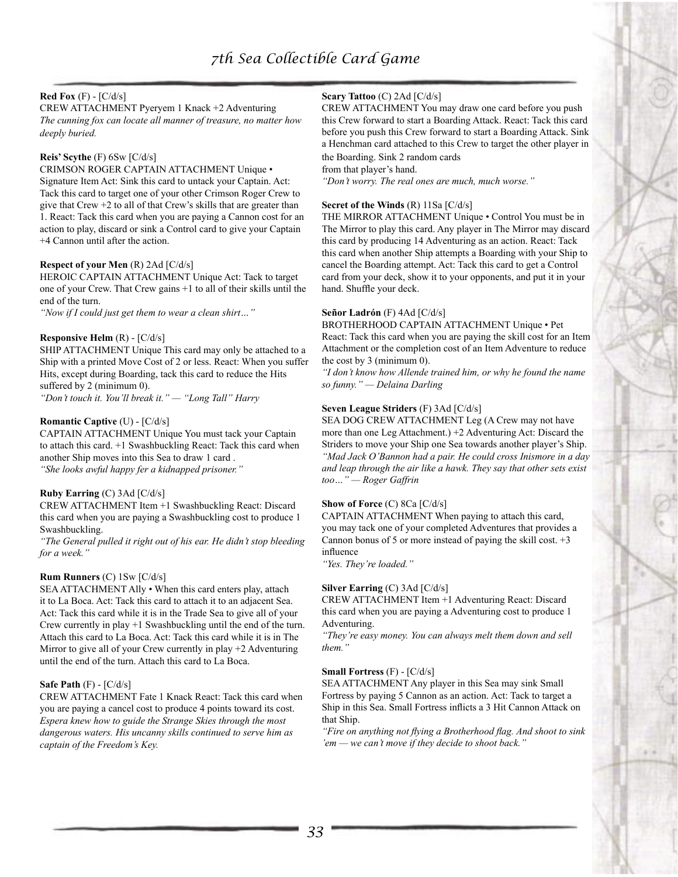# **Red Fox** (F) - [C/d/s]

CREW ATTACHMENT Pyeryem 1 Knack +2 Adventuring *The cunning fox can locate all manner of treasure, no matter how deeply buried.*

## **Reis' Scythe** (F) 6Sw [C/d/s]

CRIMSON ROGER CAPTAIN ATTACHMENT Unique • Signature Item Act: Sink this card to untack your Captain. Act: Tack this card to target one of your other Crimson Roger Crew to give that Crew +2 to all of that Crew's skills that are greater than 1. React: Tack this card when you are paying a Cannon cost for an action to play, discard or sink a Control card to give your Captain +4 Cannon until after the action.

#### **Respect of your Men** (R) 2Ad [C/d/s]

HEROIC CAPTAIN ATTACHMENT Unique Act: Tack to target one of your Crew. That Crew gains +1 to all of their skills until the end of the turn.

*"Now if I could just get them to wear a clean shirt…"*

#### **Responsive Helm** (R) - [C/d/s]

SHIP ATTACHMENT Unique This card may only be attached to a Ship with a printed Move Cost of 2 or less. React: When you suffer Hits, except during Boarding, tack this card to reduce the Hits suffered by 2 (minimum 0).

*"Don't touch it. You'll break it." — "Long Tall" Harry*

#### **Romantic Captive** (U) - [C/d/s]

CAPTAIN ATTACHMENT Unique You must tack your Captain to attach this card. +1 Swashbuckling React: Tack this card when another Ship moves into this Sea to draw 1 card . *"She looks awful happy fer a kidnapped prisoner."*

## **Ruby Earring** (C) 3Ad [C/d/s]

CREW ATTACHMENT Item +1 Swashbuckling React: Discard this card when you are paying a Swashbuckling cost to produce 1 Swashbuckling.

*"The General pulled it right out of his ear. He didn't stop bleeding for a week."*

#### **Rum Runners** (C) 1Sw [C/d/s]

SEA ATTACHMENT Ally • When this card enters play, attach it to La Boca. Act: Tack this card to attach it to an adjacent Sea. Act: Tack this card while it is in the Trade Sea to give all of your Crew currently in play +1 Swashbuckling until the end of the turn. Attach this card to La Boca. Act: Tack this card while it is in The Mirror to give all of your Crew currently in play +2 Adventuring until the end of the turn. Attach this card to La Boca.

## **Safe Path** (F) - [C/d/s]

CREW ATTACHMENT Fate 1 Knack React: Tack this card when you are paying a cancel cost to produce 4 points toward its cost. *Espera knew how to guide the Strange Skies through the most dangerous waters. His uncanny skills continued to serve him as captain of the Freedom's Key.*

## **Scary Tattoo** (C) 2Ad [C/d/s]

CREW ATTACHMENT You may draw one card before you push this Crew forward to start a Boarding Attack. React: Tack this card before you push this Crew forward to start a Boarding Attack. Sink a Henchman card attached to this Crew to target the other player in the Boarding. Sink 2 random cards

from that player's hand.

*"Don't worry. The real ones are much, much worse."*

#### **Secret of the Winds** (R) 11Sa [C/d/s]

THE MIRROR ATTACHMENT Unique • Control You must be in The Mirror to play this card. Any player in The Mirror may discard this card by producing 14 Adventuring as an action. React: Tack this card when another Ship attempts a Boarding with your Ship to cancel the Boarding attempt. Act: Tack this card to get a Control card from your deck, show it to your opponents, and put it in your hand. Shuffle your deck.

#### **Señor Ladrón** (F) 4Ad [C/d/s]

BROTHERHOOD CAPTAIN ATTACHMENT Unique • Pet React: Tack this card when you are paying the skill cost for an Item Attachment or the completion cost of an Item Adventure to reduce the cost by 3 (minimum 0).

*"I don't know how Allende trained him, or why he found the name so funny." — Delaina Darling*

## **Seven League Striders** (F) 3Ad [C/d/s]

SEA DOG CREW ATTACHMENT Leg (A Crew may not have more than one Leg Attachment.) +2 Adventuring Act: Discard the Striders to move your Ship one Sea towards another player's Ship. *"Mad Jack O'Bannon had a pair. He could cross Inismore in a day and leap through the air like a hawk. They say that other sets exist too…" — Roger Gaffrin*

#### **Show of Force** (C) 8Ca [C/d/s]

CAPTAIN ATTACHMENT When paying to attach this card, you may tack one of your completed Adventures that provides a Cannon bonus of 5 or more instead of paying the skill cost. +3 influence

*"Yes. They're loaded."*

#### **Silver Earring** (C) 3Ad [C/d/s]

CREW ATTACHMENT Item +1 Adventuring React: Discard this card when you are paying a Adventuring cost to produce 1 Adventuring.

*"They're easy money. You can always melt them down and sell them."*

#### **Small Fortress** (F) - [C/d/s]

SEA ATTACHMENT Any player in this Sea may sink Small Fortress by paying 5 Cannon as an action. Act: Tack to target a Ship in this Sea. Small Fortress inflicts a 3 Hit Cannon Attack on that Ship.

*"Fire on anything not flying a Brotherhood flag. And shoot to sink 'em — we can't move if they decide to shoot back."*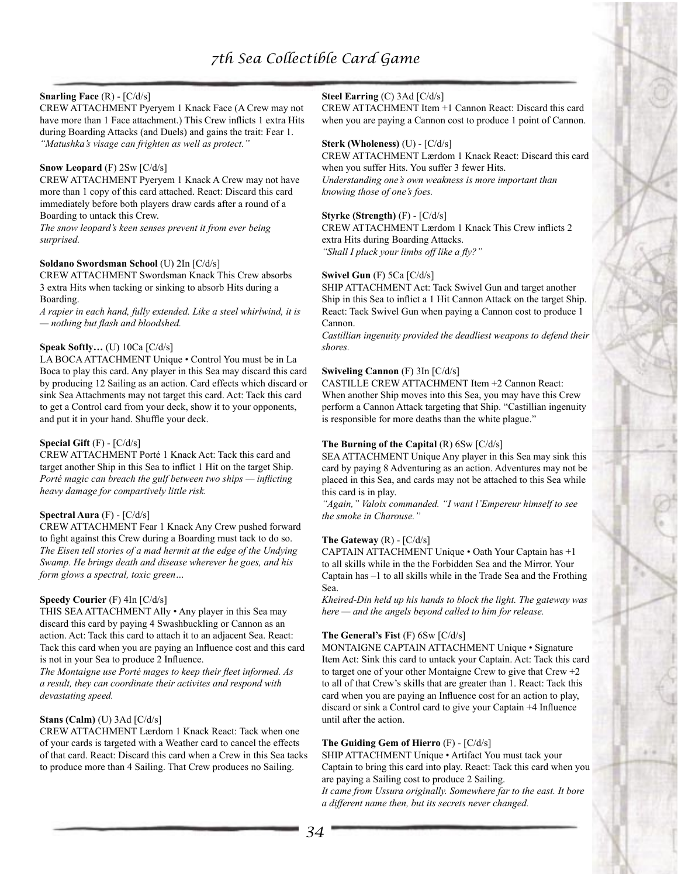## **Snarling Face** (R) - [C/d/s]

CREW ATTACHMENT Pyeryem 1 Knack Face (A Crew may not have more than 1 Face attachment.) This Crew inflicts 1 extra Hits during Boarding Attacks (and Duels) and gains the trait: Fear 1. *"Matushka's visage can frighten as well as protect."*

#### **Snow Leopard** (F) 2Sw [C/d/s]

CREW ATTACHMENT Pyeryem 1 Knack A Crew may not have more than 1 copy of this card attached. React: Discard this card immediately before both players draw cards after a round of a Boarding to untack this Crew.

*The snow leopard's keen senses prevent it from ever being surprised.*

#### **Soldano Swordsman School** (U) 2In [C/d/s]

CREW ATTACHMENT Swordsman Knack This Crew absorbs 3 extra Hits when tacking or sinking to absorb Hits during a Boarding.

*A rapier in each hand, fully extended. Like a steel whirlwind, it is — nothing but flash and bloodshed.*

#### **Speak Softly…** (U) 10Ca [C/d/s]

LA BOCA ATTACHMENT Unique • Control You must be in La Boca to play this card. Any player in this Sea may discard this card by producing 12 Sailing as an action. Card effects which discard or sink Sea Attachments may not target this card. Act: Tack this card to get a Control card from your deck, show it to your opponents, and put it in your hand. Shuffle your deck.

#### **Special Gift** (F) - [C/d/s]

CREW ATTACHMENT Porté 1 Knack Act: Tack this card and target another Ship in this Sea to inflict 1 Hit on the target Ship. *Porté magic can breach the gulf between two ships — inflicting heavy damage for compartively little risk.*

## **Spectral Aura** (F) - [C/d/s]

CREW ATTACHMENT Fear 1 Knack Any Crew pushed forward to fight against this Crew during a Boarding must tack to do so. *The Eisen tell stories of a mad hermit at the edge of the Undying Swamp. He brings death and disease wherever he goes, and his form glows a spectral, toxic green…*

## **Speedy Courier** (F) 4In [C/d/s]

THIS SEA ATTACHMENT Ally • Any player in this Sea may discard this card by paying 4 Swashbuckling or Cannon as an action. Act: Tack this card to attach it to an adjacent Sea. React: Tack this card when you are paying an Influence cost and this card is not in your Sea to produce 2 Influence.

*The Montaigne use Porté mages to keep their fleet informed. As a result, they can coordinate their activites and respond with devastating speed.*

#### **Stans (Calm)** (U) 3Ad [C/d/s]

CREW ATTACHMENT Lærdom 1 Knack React: Tack when one of your cards is targeted with a Weather card to cancel the effects of that card. React: Discard this card when a Crew in this Sea tacks to produce more than 4 Sailing. That Crew produces no Sailing.

#### **Steel Earring** (C) 3Ad [C/d/s]

CREW ATTACHMENT Item +1 Cannon React: Discard this card when you are paying a Cannon cost to produce 1 point of Cannon.

#### **Sterk (Wholeness)** (U) - [C/d/s]

CREW ATTACHMENT Lærdom 1 Knack React: Discard this card when you suffer Hits. You suffer 3 fewer Hits. *Understanding one's own weakness is more important than knowing those of one's foes.*

#### **Styrke (Strength)** (F) - [C/d/s]

CREW ATTACHMENT Lærdom 1 Knack This Crew inflicts 2 extra Hits during Boarding Attacks. *"Shall I pluck your limbs off like a fly?"*

#### **Swivel Gun** (F) 5Ca [C/d/s]

SHIP ATTACHMENT Act: Tack Swivel Gun and target another Ship in this Sea to inflict a 1 Hit Cannon Attack on the target Ship. React: Tack Swivel Gun when paying a Cannon cost to produce 1 Cannon.

*Castillian ingenuity provided the deadliest weapons to defend their shores.*

# **Swiveling Cannon** (F) 3In [C/d/s]

CASTILLE CREW ATTACHMENT Item +2 Cannon React: When another Ship moves into this Sea, you may have this Crew perform a Cannon Attack targeting that Ship. "Castillian ingenuity is responsible for more deaths than the white plague."

#### **The Burning of the Capital** (R) 6Sw [C/d/s]

SEA ATTACHMENT Unique Any player in this Sea may sink this card by paying 8 Adventuring as an action. Adventures may not be placed in this Sea, and cards may not be attached to this Sea while this card is in play.

*"Again," Valoix commanded. "I want l'Empereur himself to see the smoke in Charouse."*

#### **The Gateway**  $(R)$  -  $\left[\frac{C}{d/s}\right]$

CAPTAIN ATTACHMENT Unique • Oath Your Captain has +1 to all skills while in the the Forbidden Sea and the Mirror. Your Captain has –1 to all skills while in the Trade Sea and the Frothing Sea.

*Kheired-Din held up his hands to block the light. The gateway was here — and the angels beyond called to him for release.*

## **The General's Fist** (F) 6Sw [C/d/s]

MONTAIGNE CAPTAIN ATTACHMENT Unique • Signature Item Act: Sink this card to untack your Captain. Act: Tack this card to target one of your other Montaigne Crew to give that Crew +2 to all of that Crew's skills that are greater than 1. React: Tack this card when you are paying an Influence cost for an action to play, discard or sink a Control card to give your Captain +4 Influence until after the action.

## **The Guiding Gem of Hierro** (F) - [C/d/s]

SHIP ATTACHMENT Unique • Artifact You must tack your Captain to bring this card into play. React: Tack this card when you are paying a Sailing cost to produce 2 Sailing.

*It came from Ussura originally. Somewhere far to the east. It bore a different name then, but its secrets never changed.*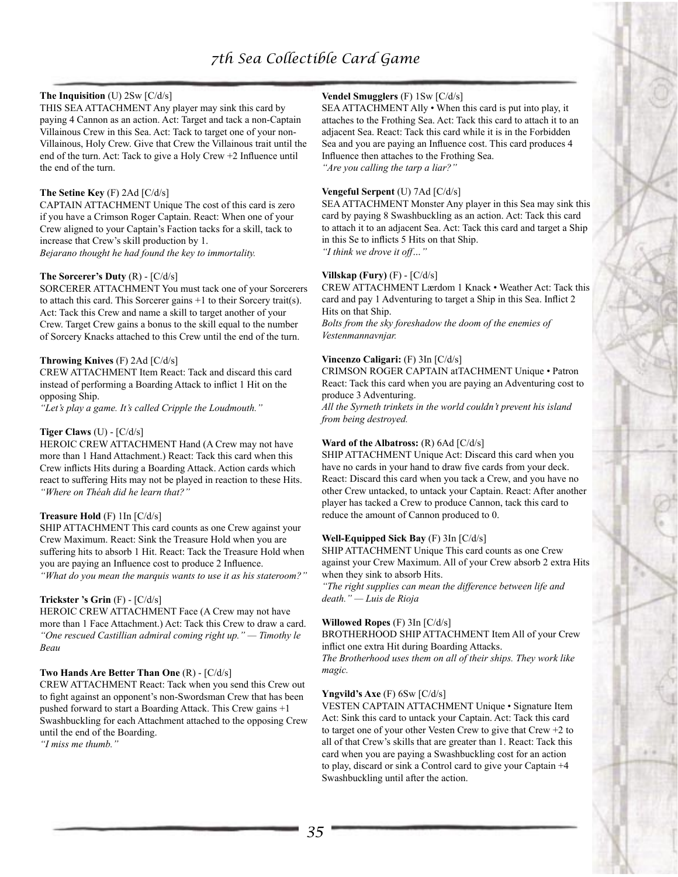## **The Inquisition** (U) 2Sw [C/d/s]

THIS SEA ATTACHMENT Any player may sink this card by paying 4 Cannon as an action. Act: Target and tack a non-Captain Villainous Crew in this Sea. Act: Tack to target one of your non-Villainous, Holy Crew. Give that Crew the Villainous trait until the end of the turn. Act: Tack to give a Holy Crew +2 Influence until the end of the turn.

#### **The Setine Key** (F) 2Ad [C/d/s]

CAPTAIN ATTACHMENT Unique The cost of this card is zero if you have a Crimson Roger Captain. React: When one of your Crew aligned to your Captain's Faction tacks for a skill, tack to increase that Crew's skill production by 1. *Bejarano thought he had found the key to immortality.*

#### **The Sorcerer's Duty** (R) - [C/d/s]

SORCERER ATTACHMENT You must tack one of your Sorcerers to attach this card. This Sorcerer gains +1 to their Sorcery trait(s). Act: Tack this Crew and name a skill to target another of your Crew. Target Crew gains a bonus to the skill equal to the number of Sorcery Knacks attached to this Crew until the end of the turn.

#### **Throwing Knives** (F) 2Ad [C/d/s]

CREW ATTACHMENT Item React: Tack and discard this card instead of performing a Boarding Attack to inflict 1 Hit on the opposing Ship.

*"Let's play a game. It's called Cripple the Loudmouth."*

#### **Tiger Claws** (U) - [C/d/s]

HEROIC CREW ATTACHMENT Hand (A Crew may not have more than 1 Hand Attachment.) React: Tack this card when this Crew inflicts Hits during a Boarding Attack. Action cards which react to suffering Hits may not be played in reaction to these Hits. *"Where on Théah did he learn that?"*

#### **Treasure Hold** (F) 1In [C/d/s]

SHIP ATTACHMENT This card counts as one Crew against your Crew Maximum. React: Sink the Treasure Hold when you are suffering hits to absorb 1 Hit. React: Tack the Treasure Hold when you are paying an Influence cost to produce 2 Influence. *"What do you mean the marquis wants to use it as his stateroom?"*

#### **Trickster 's Grin** (F) - [C/d/s]

HEROIC CREW ATTACHMENT Face (A Crew may not have more than 1 Face Attachment.) Act: Tack this Crew to draw a card. *"One rescued Castillian admiral coming right up." — Timothy le Beau*

#### **Two Hands Are Better Than One** (R) - [C/d/s]

CREW ATTACHMENT React: Tack when you send this Crew out to fight against an opponent's non-Swordsman Crew that has been pushed forward to start a Boarding Attack. This Crew gains +1 Swashbuckling for each Attachment attached to the opposing Crew until the end of the Boarding.

*"I miss me thumb."*

## **Vendel Smugglers** (F) 1Sw [C/d/s]

SEA ATTACHMENT Ally • When this card is put into play, it attaches to the Frothing Sea. Act: Tack this card to attach it to an adjacent Sea. React: Tack this card while it is in the Forbidden Sea and you are paying an Influence cost. This card produces 4 Influence then attaches to the Frothing Sea. *"Are you calling the tarp a liar?"*

#### **Vengeful Serpent** (U) 7Ad [C/d/s]

SEA ATTACHMENT Monster Any player in this Sea may sink this card by paying 8 Swashbuckling as an action. Act: Tack this card to attach it to an adjacent Sea. Act: Tack this card and target a Ship in this Se to inflicts 5 Hits on that Ship. *"I think we drove it off…"* 

#### **Villskap (Fury)** (F) - [C/d/s]

CREW ATTACHMENT Lærdom 1 Knack • Weather Act: Tack this card and pay 1 Adventuring to target a Ship in this Sea. Inflict 2 Hits on that Ship.

*Bolts from the sky foreshadow the doom of the enemies of Vestenmannavnjar.* 

#### **Vincenzo Caligari:** (F) 3In [C/d/s]

CRIMSON ROGER CAPTAIN atTACHMENT Unique • Patron React: Tack this card when you are paying an Adventuring cost to produce 3 Adventuring.

*All the Syrneth trinkets in the world couldn't prevent his island from being destroyed.* 

#### **Ward of the Albatross:** (R) 6Ad [C/d/s]

SHIP ATTACHMENT Unique Act: Discard this card when you have no cards in your hand to draw five cards from your deck. React: Discard this card when you tack a Crew, and you have no other Crew untacked, to untack your Captain. React: After another player has tacked a Crew to produce Cannon, tack this card to reduce the amount of Cannon produced to 0.

#### **Well-Equipped Sick Bay** (F) 3In [C/d/s]

SHIP ATTACHMENT Unique This card counts as one Crew against your Crew Maximum. All of your Crew absorb 2 extra Hits when they sink to absorb Hits.

*"The right supplies can mean the difference between life and death." — Luis de Rioja* 

#### **Willowed Ropes** (F) 3In [C/d/s]

BROTHERHOOD SHIP ATTACHMENT Item All of your Crew inflict one extra Hit during Boarding Attacks.

*The Brotherhood uses them on all of their ships. They work like magic.* 

#### **Yngvild's Axe** (F) 6Sw [C/d/s]

VESTEN CAPTAIN ATTACHMENT Unique • Signature Item Act: Sink this card to untack your Captain. Act: Tack this card to target one of your other Vesten Crew to give that Crew +2 to all of that Crew's skills that are greater than 1. React: Tack this card when you are paying a Swashbuckling cost for an action to play, discard or sink a Control card to give your Captain +4 Swashbuckling until after the action.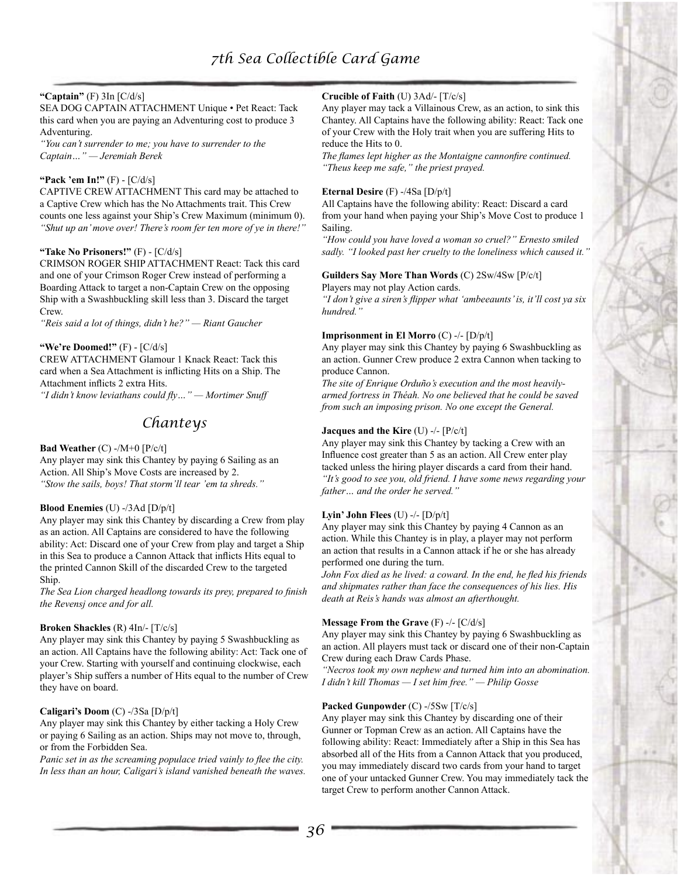## **"Captain"** (F) 3In [C/d/s]

SEA DOG CAPTAIN ATTACHMENT Unique • Pet React: Tack this card when you are paying an Adventuring cost to produce 3 Adventuring.

*"You can't surrender to me; you have to surrender to the Captain…" — Jeremiah Berek* 

#### **"Pack 'em In!"** (F) - [C/d/s]

CAPTIVE CREW ATTACHMENT This card may be attached to a Captive Crew which has the No Attachments trait. This Crew counts one less against your Ship's Crew Maximum (minimum 0). *"Shut up an' move over! There's room fer ten more of ye in there!"* 

## **"Take No Prisoners!"** (F) - [C/d/s]

CRIMSON ROGER SHIP ATTACHMENT React: Tack this card and one of your Crimson Roger Crew instead of performing a Boarding Attack to target a non-Captain Crew on the opposing Ship with a Swashbuckling skill less than 3. Discard the target Crew.

*"Reis said a lot of things, didn't he?" — Riant Gaucher*

#### **"We're Doomed!"** (F) - [C/d/s]

CREW ATTACHMENT Glamour 1 Knack React: Tack this card when a Sea Attachment is inflicting Hits on a Ship. The Attachment inflicts 2 extra Hits.

*"I didn't know leviathans could fly…" — Mortimer Snuff* 

# *Chanteys*

**Bad Weather** (C) -/M+0 [P/c/t]

Any player may sink this Chantey by paying 6 Sailing as an Action. All Ship's Move Costs are increased by 2. *"Stow the sails, boys! That storm'll tear 'em ta shreds."*

#### **Blood Enemies** (U) -/3Ad [D/p/t]

Any player may sink this Chantey by discarding a Crew from play as an action. All Captains are considered to have the following ability: Act: Discard one of your Crew from play and target a Ship in this Sea to produce a Cannon Attack that inflicts Hits equal to the printed Cannon Skill of the discarded Crew to the targeted Ship.

*The Sea Lion charged headlong towards its prey, prepared to finish the Revensj once and for all.*

#### **Broken Shackles** (R) 4In/- [T/c/s]

Any player may sink this Chantey by paying 5 Swashbuckling as an action. All Captains have the following ability: Act: Tack one of your Crew. Starting with yourself and continuing clockwise, each player's Ship suffers a number of Hits equal to the number of Crew they have on board.

## **Caligari's Doom** (C) -/3Sa [D/p/t]

Any player may sink this Chantey by either tacking a Holy Crew or paying 6 Sailing as an action. Ships may not move to, through, or from the Forbidden Sea.

*Panic set in as the screaming populace tried vainly to flee the city. In less than an hour, Caligari's island vanished beneath the waves.*

## **Crucible of Faith** (U) 3Ad/- [T/c/s]

Any player may tack a Villainous Crew, as an action, to sink this Chantey. All Captains have the following ability: React: Tack one of your Crew with the Holy trait when you are suffering Hits to reduce the Hits to 0.

*The flames lept higher as the Montaigne cannonfire continued. "Theus keep me safe," the priest prayed.*

#### **Eternal Desire** (F) -/4Sa [D/p/t]

All Captains have the following ability: React: Discard a card from your hand when paying your Ship's Move Cost to produce 1 Sailing.

*"How could you have loved a woman so cruel?" Ernesto smiled sadly. "I looked past her cruelty to the loneliness which caused it."*

## **Guilders Say More Than Words** (C) 2Sw/4Sw [P/c/t]

Players may not play Action cards.

*"I don't give a siren's flipper what 'ambeeaunts' is, it'll cost ya six hundred."*

#### **Imprisonment in El Morro** (C) -/- [D/p/t]

Any player may sink this Chantey by paying 6 Swashbuckling as an action. Gunner Crew produce 2 extra Cannon when tacking to produce Cannon.

*The site of Enrique Orduño's execution and the most heavilyarmed fortress in Théah. No one believed that he could be saved from such an imposing prison. No one except the General.*

#### **Jacques and the Kire** (U) -/- [P/c/t]

Any player may sink this Chantey by tacking a Crew with an Influence cost greater than 5 as an action. All Crew enter play tacked unless the hiring player discards a card from their hand. *"It's good to see you, old friend. I have some news regarding your father… and the order he served."*

## **Lyin' John Flees** (U) -/- [D/p/t]

Any player may sink this Chantey by paying 4 Cannon as an action. While this Chantey is in play, a player may not perform an action that results in a Cannon attack if he or she has already performed one during the turn.

*John Fox died as he lived: a coward. In the end, he fled his friends and shipmates rather than face the consequences of his lies. His death at Reis's hands was almost an afterthought.*

#### **Message From the Grave** (F) -/- [C/d/s]

Any player may sink this Chantey by paying 6 Swashbuckling as an action. All players must tack or discard one of their non-Captain Crew during each Draw Cards Phase.

*"Necros took my own nephew and turned him into an abomination. I didn't kill Thomas — I set him free." — Philip Gosse*

## **Packed Gunpowder** (C) -/5Sw [T/c/s]

Any player may sink this Chantey by discarding one of their Gunner or Topman Crew as an action. All Captains have the following ability: React: Immediately after a Ship in this Sea has absorbed all of the Hits from a Cannon Attack that you produced, you may immediately discard two cards from your hand to target one of your untacked Gunner Crew. You may immediately tack the target Crew to perform another Cannon Attack.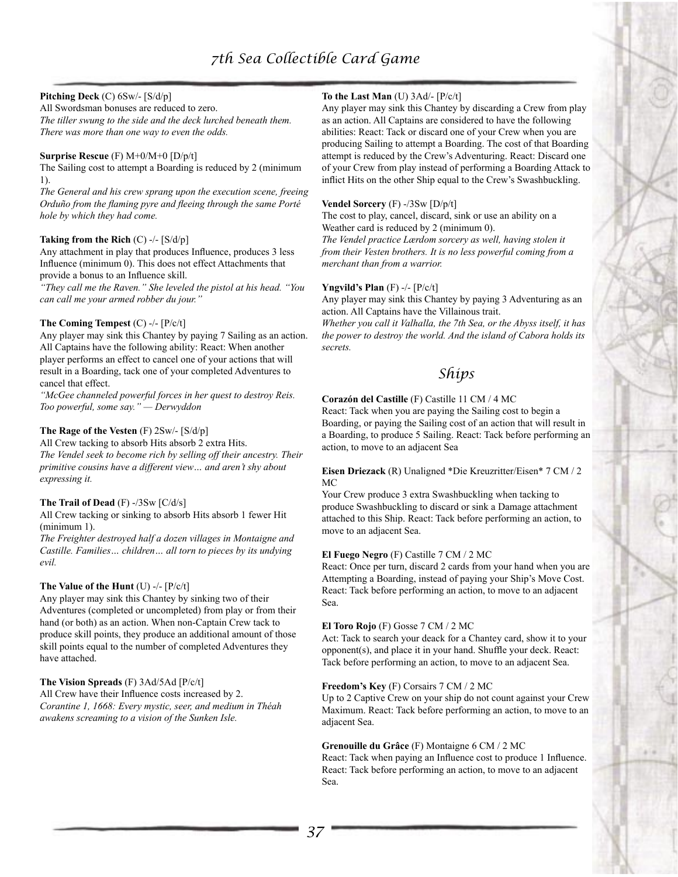## **Pitching Deck** (C) 6Sw/- [S/d/p]

All Swordsman bonuses are reduced to zero. *The tiller swung to the side and the deck lurched beneath them. There was more than one way to even the odds.*

#### **Surprise Rescue** (F) M+0/M+0 [D/p/t]

The Sailing cost to attempt a Boarding is reduced by 2 (minimum 1).

*The General and his crew sprang upon the execution scene, freeing Orduño from the flaming pyre and fleeing through the same Porté hole by which they had come.*

#### **Taking from the Rich** (C) -/- [S/d/p]

Any attachment in play that produces Influence, produces 3 less Influence (minimum 0). This does not effect Attachments that provide a bonus to an Influence skill.

*"They call me the Raven." She leveled the pistol at his head. "You can call me your armed robber du jour."*

#### **The Coming Tempest** (C) -/- [P/c/t]

Any player may sink this Chantey by paying 7 Sailing as an action. All Captains have the following ability: React: When another player performs an effect to cancel one of your actions that will result in a Boarding, tack one of your completed Adventures to cancel that effect.

*"McGee channeled powerful forces in her quest to destroy Reis. Too powerful, some say." — Derwyddon*

## **The Rage of the Vesten** (F) 2Sw/- [S/d/p]

All Crew tacking to absorb Hits absorb 2 extra Hits. *The Vendel seek to become rich by selling off their ancestry. Their primitive cousins have a different view… and aren't shy about expressing it.*

## **The Trail of Dead** (F) -/3Sw [C/d/s]

All Crew tacking or sinking to absorb Hits absorb 1 fewer Hit (minimum 1).

*The Freighter destroyed half a dozen villages in Montaigne and Castille. Families… children… all torn to pieces by its undying evil.*

## **The Value of the Hunt** (U) -/- [P/c/t]

Any player may sink this Chantey by sinking two of their Adventures (completed or uncompleted) from play or from their hand (or both) as an action. When non-Captain Crew tack to produce skill points, they produce an additional amount of those skill points equal to the number of completed Adventures they have attached.

## **The Vision Spreads** (F) 3Ad/5Ad [P/c/t]

All Crew have their Influence costs increased by 2. *Corantine 1, 1668: Every mystic, seer, and medium in Théah awakens screaming to a vision of the Sunken Isle.*

# **To the Last Man** (U) 3Ad/- [P/c/t]

Any player may sink this Chantey by discarding a Crew from play as an action. All Captains are considered to have the following abilities: React: Tack or discard one of your Crew when you are producing Sailing to attempt a Boarding. The cost of that Boarding attempt is reduced by the Crew's Adventuring. React: Discard one of your Crew from play instead of performing a Boarding Attack to inflict Hits on the other Ship equal to the Crew's Swashbuckling.

#### **Vendel Sorcery** (F) -/3Sw [D/p/t]

The cost to play, cancel, discard, sink or use an ability on a Weather card is reduced by 2 (minimum 0).

*The Vendel practice Lærdom sorcery as well, having stolen it from their Vesten brothers. It is no less powerful coming from a merchant than from a warrior.*

#### **Yngvild's Plan** (F) -/- [P/c/t]

Any player may sink this Chantey by paying 3 Adventuring as an action. All Captains have the Villainous trait.

*Whether you call it Valhalla, the 7th Sea, or the Abyss itself, it has the power to destroy the world. And the island of Cabora holds its secrets.*

# *Ships*

#### **Corazón del Castille** (F) Castille 11 CM / 4 MC

React: Tack when you are paying the Sailing cost to begin a Boarding, or paying the Sailing cost of an action that will result in a Boarding, to produce 5 Sailing. React: Tack before performing an action, to move to an adjacent Sea

#### **Eisen Driezack** (R) Unaligned \*Die Kreuzritter/Eisen\* 7 CM / 2 MC

Your Crew produce 3 extra Swashbuckling when tacking to produce Swashbuckling to discard or sink a Damage attachment attached to this Ship. React: Tack before performing an action, to move to an adjacent Sea.

## **El Fuego Negro** (F) Castille 7 CM / 2 MC

React: Once per turn, discard 2 cards from your hand when you are Attempting a Boarding, instead of paying your Ship's Move Cost. React: Tack before performing an action, to move to an adjacent Sea.

## **El Toro Rojo** (F) Gosse 7 CM / 2 MC

Act: Tack to search your deack for a Chantey card, show it to your opponent(s), and place it in your hand. Shuffle your deck. React: Tack before performing an action, to move to an adjacent Sea.

## **Freedom's Key** (F) Corsairs 7 CM / 2 MC

Up to 2 Captive Crew on your ship do not count against your Crew Maximum. React: Tack before performing an action, to move to an adjacent Sea.

# **Grenouille du Grâce** (F) Montaigne 6 CM / 2 MC

React: Tack when paying an Influence cost to produce 1 Influence. React: Tack before performing an action, to move to an adjacent Sea.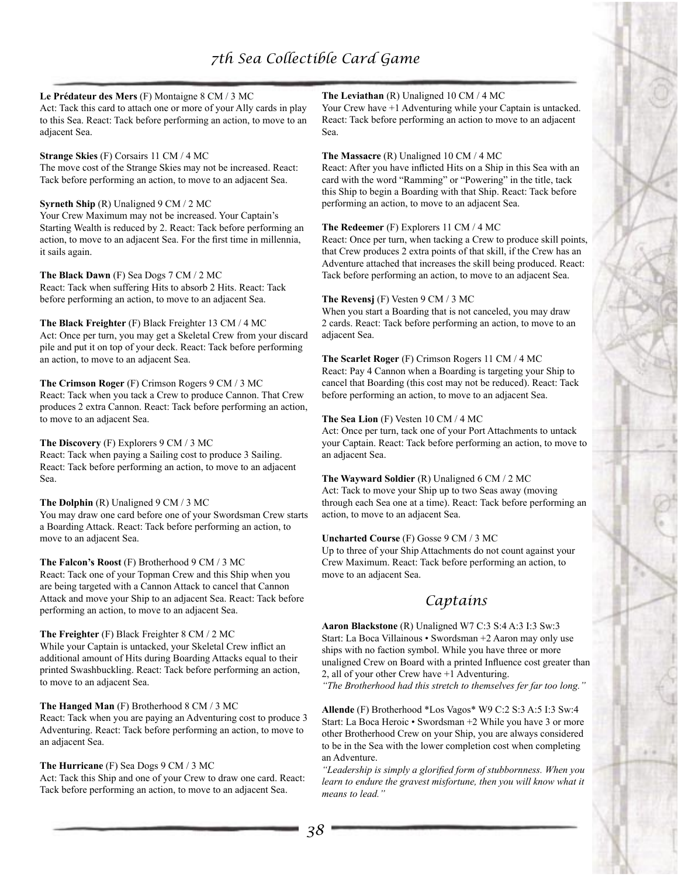## **Le Prédateur des Mers** (F) Montaigne 8 CM / 3 MC

Act: Tack this card to attach one or more of your Ally cards in play to this Sea. React: Tack before performing an action, to move to an adjacent Sea.

# **Strange Skies** (F) Corsairs 11 CM / 4 MC

The move cost of the Strange Skies may not be increased. React: Tack before performing an action, to move to an adjacent Sea.

#### **Syrneth Ship** (R) Unaligned 9 CM / 2 MC

Your Crew Maximum may not be increased. Your Captain's Starting Wealth is reduced by 2. React: Tack before performing an action, to move to an adjacent Sea. For the first time in millennia, it sails again.

**The Black Dawn** (F) Sea Dogs 7 CM / 2 MC React: Tack when suffering Hits to absorb 2 Hits. React: Tack before performing an action, to move to an adjacent Sea.

#### **The Black Freighter** (F) Black Freighter 13 CM / 4 MC Act: Once per turn, you may get a Skeletal Crew from your discard pile and put it on top of your deck. React: Tack before performing an action, to move to an adjacent Sea.

## **The Crimson Roger** (F) Crimson Rogers 9 CM / 3 MC

React: Tack when you tack a Crew to produce Cannon. That Crew produces 2 extra Cannon. React: Tack before performing an action, to move to an adjacent Sea.

#### **The Discovery** (F) Explorers 9 CM / 3 MC

React: Tack when paying a Sailing cost to produce 3 Sailing. React: Tack before performing an action, to move to an adjacent Sea.

#### **The Dolphin** (R) Unaligned 9 CM / 3 MC

You may draw one card before one of your Swordsman Crew starts a Boarding Attack. React: Tack before performing an action, to move to an adjacent Sea.

## **The Falcon's Roost** (F) Brotherhood 9 CM / 3 MC

React: Tack one of your Topman Crew and this Ship when you are being targeted with a Cannon Attack to cancel that Cannon Attack and move your Ship to an adjacent Sea. React: Tack before performing an action, to move to an adjacent Sea.

#### **The Freighter** (F) Black Freighter 8 CM / 2 MC

While your Captain is untacked, your Skeletal Crew inflict an additional amount of Hits during Boarding Attacks equal to their printed Swashbuckling. React: Tack before performing an action, to move to an adjacent Sea.

## **The Hanged Man** (F) Brotherhood 8 CM / 3 MC

React: Tack when you are paying an Adventuring cost to produce 3 Adventuring. React: Tack before performing an action, to move to an adjacent Sea.

## **The Hurricane** (F) Sea Dogs 9 CM / 3 MC

Act: Tack this Ship and one of your Crew to draw one card. React: Tack before performing an action, to move to an adjacent Sea.

## **The Leviathan** (R) Unaligned 10 CM / 4 MC

Your Crew have  $+1$  Adventuring while your Captain is untacked. React: Tack before performing an action to move to an adjacent Sea.

### **The Massacre** (R) Unaligned 10 CM / 4 MC

React: After you have inflicted Hits on a Ship in this Sea with an card with the word "Ramming" or "Powering" in the title, tack this Ship to begin a Boarding with that Ship. React: Tack before performing an action, to move to an adjacent Sea.

#### **The Redeemer** (F) Explorers 11 CM / 4 MC

React: Once per turn, when tacking a Crew to produce skill points, that Crew produces 2 extra points of that skill, if the Crew has an Adventure attached that increases the skill being produced. React: Tack before performing an action, to move to an adjacent Sea.

#### **The Revensj** (F) Vesten 9 CM / 3 MC

When you start a Boarding that is not canceled, you may draw 2 cards. React: Tack before performing an action, to move to an adjacent Sea.

#### **The Scarlet Roger** (F) Crimson Rogers 11 CM / 4 MC

React: Pay 4 Cannon when a Boarding is targeting your Ship to cancel that Boarding (this cost may not be reduced). React: Tack before performing an action, to move to an adjacent Sea.

## **The Sea Lion** (F) Vesten 10 CM / 4 MC

Act: Once per turn, tack one of your Port Attachments to untack your Captain. React: Tack before performing an action, to move to an adjacent Sea.

#### **The Wayward Soldier** (R) Unaligned 6 CM / 2 MC

Act: Tack to move your Ship up to two Seas away (moving through each Sea one at a time). React: Tack before performing an action, to move to an adjacent Sea.

## **Uncharted Course** (F) Gosse 9 CM / 3 MC

Up to three of your Ship Attachments do not count against your Crew Maximum. React: Tack before performing an action, to move to an adjacent Sea.

# *Captains*

**Aaron Blackstone** (R) Unaligned W7 C:3 S:4 A:3 I:3 Sw:3 Start: La Boca Villainous • Swordsman +2 Aaron may only use ships with no faction symbol. While you have three or more unaligned Crew on Board with a printed Influence cost greater than 2, all of your other Crew have +1 Adventuring.

*"The Brotherhood had this stretch to themselves fer far too long."*

**Allende** (F) Brotherhood \*Los Vagos\* W9 C:2 S:3 A:5 I:3 Sw:4 Start: La Boca Heroic • Swordsman +2 While you have 3 or more other Brotherhood Crew on your Ship, you are always considered to be in the Sea with the lower completion cost when completing an Adventure.

*"Leadership is simply a glorified form of stubbornness. When you*  learn to endure the gravest misfortune, then you will know what it *means to lead."*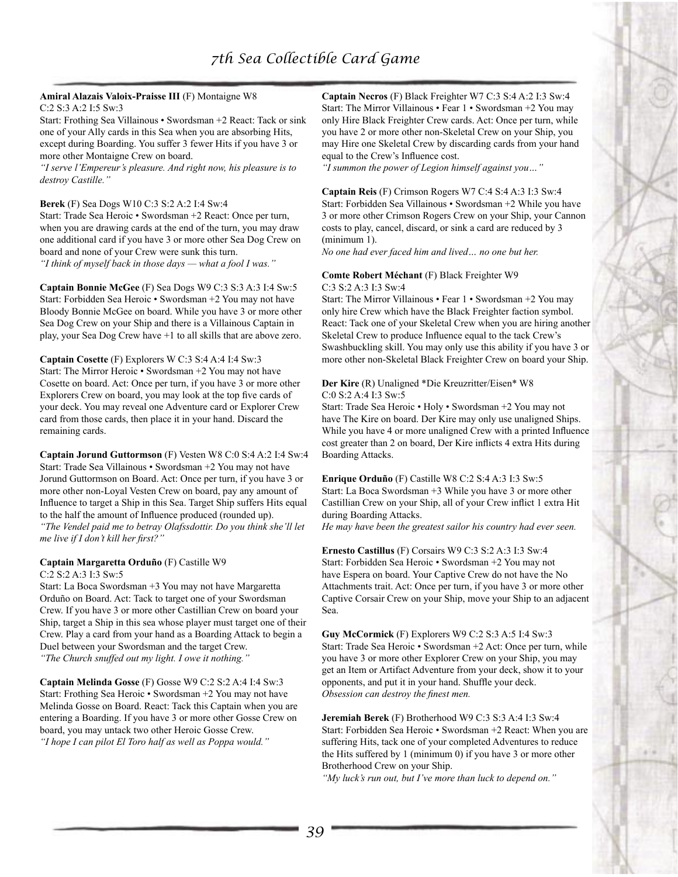#### **Amiral Alazais Valoix-Praisse III** (F) Montaigne W8 C:2 S:3 A:2 I:5 Sw:3

Start: Frothing Sea Villainous • Swordsman +2 React: Tack or sink one of your Ally cards in this Sea when you are absorbing Hits, except during Boarding. You suffer 3 fewer Hits if you have 3 or more other Montaigne Crew on board.

*"I serve l'Empereur's pleasure. And right now, his pleasure is to destroy Castille."*

#### **Berek** (F) Sea Dogs W10 C:3 S:2 A:2 I:4 Sw:4

Start: Trade Sea Heroic • Swordsman +2 React: Once per turn, when you are drawing cards at the end of the turn, you may draw one additional card if you have 3 or more other Sea Dog Crew on board and none of your Crew were sunk this turn. *"I think of myself back in those days — what a fool I was."*

**Captain Bonnie McGee** (F) Sea Dogs W9 C:3 S:3 A:3 I:4 Sw:5 Start: Forbidden Sea Heroic • Swordsman +2 You may not have Bloody Bonnie McGee on board. While you have 3 or more other Sea Dog Crew on your Ship and there is a Villainous Captain in play, your Sea Dog Crew have +1 to all skills that are above zero.

#### **Captain Cosette** (F) Explorers W C:3 S:4 A:4 I:4 Sw:3 Start: The Mirror Heroic • Swordsman +2 You may not have Cosette on board. Act: Once per turn, if you have 3 or more other Explorers Crew on board, you may look at the top five cards of your deck. You may reveal one Adventure card or Explorer Crew

card from those cards, then place it in your hand. Discard the remaining cards.

**Captain Jorund Guttormson** (F) Vesten W8 C:0 S:4 A:2 I:4 Sw:4 Start: Trade Sea Villainous • Swordsman +2 You may not have Jorund Guttormson on Board. Act: Once per turn, if you have 3 or more other non-Loyal Vesten Crew on board, pay any amount of Influence to target a Ship in this Sea. Target Ship suffers Hits equal to the half the amount of Influence produced (rounded up). *"The Vendel paid me to betray Olafssdottir. Do you think she'll let me live if I don't kill her first?"*

#### **Captain Margaretta Orduño** (F) Castille W9 C:2 S:2 A:3 I:3 Sw:5

Start: La Boca Swordsman +3 You may not have Margaretta

Orduño on Board. Act: Tack to target one of your Swordsman Crew. If you have 3 or more other Castillian Crew on board your Ship, target a Ship in this sea whose player must target one of their Crew. Play a card from your hand as a Boarding Attack to begin a Duel between your Swordsman and the target Crew. *"The Church snuffed out my light. I owe it nothing."*

**Captain Melinda Gosse** (F) Gosse W9 C:2 S:2 A:4 I:4 Sw:3 Start: Frothing Sea Heroic • Swordsman +2 You may not have Melinda Gosse on Board. React: Tack this Captain when you are entering a Boarding. If you have 3 or more other Gosse Crew on board, you may untack two other Heroic Gosse Crew. *"I hope I can pilot El Toro half as well as Poppa would."*

**Captain Necros** (F) Black Freighter W7 C:3 S:4 A:2 I:3 Sw:4 Start: The Mirror Villainous • Fear 1 • Swordsman +2 You may only Hire Black Freighter Crew cards. Act: Once per turn, while you have 2 or more other non-Skeletal Crew on your Ship, you may Hire one Skeletal Crew by discarding cards from your hand equal to the Crew's Influence cost.

*"I summon the power of Legion himself against you…"*

#### **Captain Reis** (F) Crimson Rogers W7 C:4 S:4 A:3 I:3 Sw:4 Start: Forbidden Sea Villainous • Swordsman +2 While you have 3 or more other Crimson Rogers Crew on your Ship, your Cannon costs to play, cancel, discard, or sink a card are reduced by 3 (minimum 1).

*No one had ever faced him and lived… no one but her.*

# **Comte Robert Méchant** (F) Black Freighter W9 C:3 S:2 A:3 I:3 Sw:4

Start: The Mirror Villainous • Fear 1 • Swordsman +2 You may only hire Crew which have the Black Freighter faction symbol. React: Tack one of your Skeletal Crew when you are hiring another Skeletal Crew to produce Influence equal to the tack Crew's Swashbuckling skill. You may only use this ability if you have 3 or more other non-Skeletal Black Freighter Crew on board your Ship.

#### **Der Kire** (R) Unaligned \*Die Kreuzritter/Eisen\* W8 C:0 S:2 A:4 I:3 Sw:5

Start: Trade Sea Heroic • Holy • Swordsman +2 You may not have The Kire on board. Der Kire may only use unaligned Ships. While you have 4 or more unaligned Crew with a printed Influence cost greater than 2 on board, Der Kire inflicts 4 extra Hits during Boarding Attacks.

**Enrique Orduño** (F) Castille W8 C:2 S:4 A:3 I:3 Sw:5 Start: La Boca Swordsman +3 While you have 3 or more other Castillian Crew on your Ship, all of your Crew inflict 1 extra Hit during Boarding Attacks.

*He may have been the greatest sailor his country had ever seen.*

**Ernesto Castillus** (F) Corsairs W9 C:3 S:2 A:3 I:3 Sw:4 Start: Forbidden Sea Heroic • Swordsman +2 You may not have Espera on board. Your Captive Crew do not have the No Attachments trait. Act: Once per turn, if you have 3 or more other Captive Corsair Crew on your Ship, move your Ship to an adjacent Sea.

**Guy McCormick** (F) Explorers W9 C:2 S:3 A:5 I:4 Sw:3 Start: Trade Sea Heroic • Swordsman +2 Act: Once per turn, while you have 3 or more other Explorer Crew on your Ship, you may get an Item or Artifact Adventure from your deck, show it to your opponents, and put it in your hand. Shuffle your deck. *Obsession can destroy the finest men.*

**Jeremiah Berek** (F) Brotherhood W9 C:3 S:3 A:4 I:3 Sw:4 Start: Forbidden Sea Heroic • Swordsman +2 React: When you are suffering Hits, tack one of your completed Adventures to reduce the Hits suffered by 1 (minimum 0) if you have 3 or more other Brotherhood Crew on your Ship.

*"My luck's run out, but I've more than luck to depend on."*